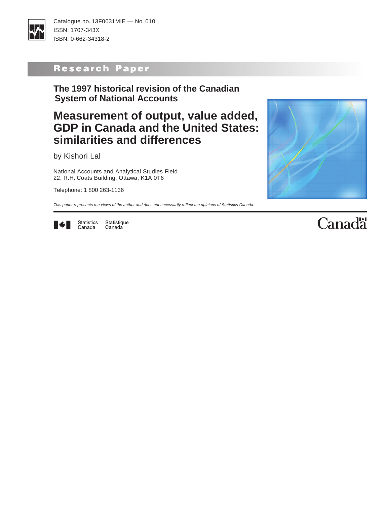

Catalogue no. 13F0031MIE — No. 010 ISSN: 1707-343X ISBN: 0-662-34318-2

# Research Paper

# **The 1997 historical revision of the Canadian System of National Accounts**

# **Measurement of output, value added, GDP in Canada and the United States: similarities and differences**

by Kishori Lal

National Accounts and Analytical Studies Field 22, R.H. Coats Building, Ottawa, K1A 0T6

Telephone: 1 800 263-1136

This paper represents the views of the author and does not necessarily reflect the opinions of Statistics Canada.



Statistics Statistique Canada Canada



# **Canadä**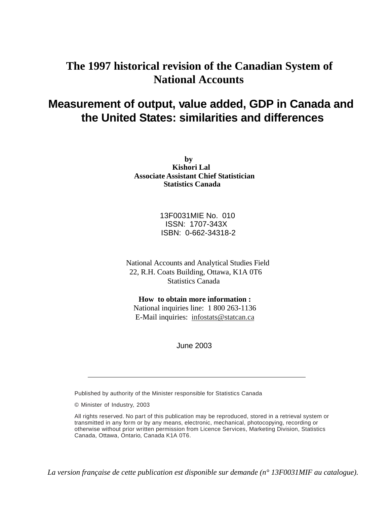# **The 1997 historical revision of the Canadian System of National Accounts**

# **Measurement of output, value added, GDP in Canada and the United States: similarities and differences**

**by Kishori Lal Associate Assistant Chief Statistician Statistics Canada**

> 13F0031MIE No. 010 ISSN: 1707-343X ISBN: 0-662-34318-2

National Accounts and Analytical Studies Field 22, R.H. Coats Building, Ottawa, K1A 0T6 Statistics Canada

**How to obtain more information :**  National inquiries line: 1 800 263-1136 E-Mail inquiries: infostats@statcan.ca

June 2003

Published by authority of the Minister responsible for Statistics Canada

© Minister of Industry, 2003

All rights reserved. No part of this publication may be reproduced, stored in a retrieval system or transmitted in any form or by any means, electronic, mechanical, photocopying, recording or otherwise without prior written permission from Licence Services, Marketing Division, Statistics Canada, Ottawa, Ontario, Canada K1A 0T6.

*La version française de cette publication est disponible sur demande (n° 13F0031MIF au catalogue).*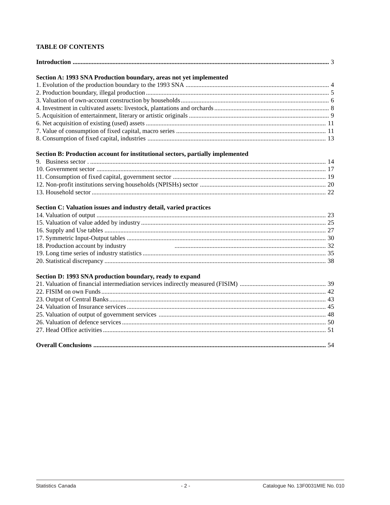# **TABLE OF CONTENTS**

| Section A: 1993 SNA Production boundary, areas not yet implemented             |  |
|--------------------------------------------------------------------------------|--|
|                                                                                |  |
|                                                                                |  |
|                                                                                |  |
|                                                                                |  |
|                                                                                |  |
|                                                                                |  |
|                                                                                |  |
|                                                                                |  |
| Section B: Production account for institutional sectors, partially implemented |  |
|                                                                                |  |
|                                                                                |  |
|                                                                                |  |
|                                                                                |  |
|                                                                                |  |
|                                                                                |  |
| Section C: Valuation issues and industry detail, varied practices              |  |
|                                                                                |  |
|                                                                                |  |
|                                                                                |  |
|                                                                                |  |
| 18. Production account by industry                                             |  |
|                                                                                |  |
|                                                                                |  |
| Section D: 1993 SNA production boundary, ready to expand                       |  |
|                                                                                |  |
|                                                                                |  |
|                                                                                |  |
|                                                                                |  |
|                                                                                |  |
|                                                                                |  |
|                                                                                |  |
|                                                                                |  |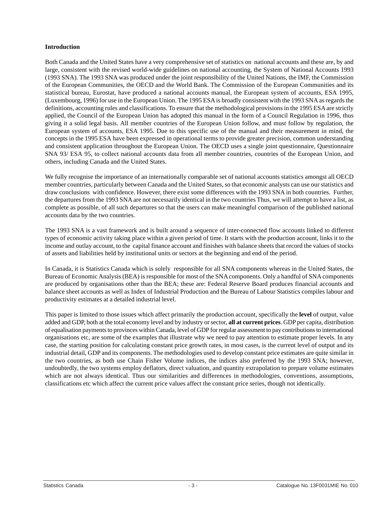#### <span id="page-3-0"></span>**Introduction**

Both Canada and the United States have a very comprehensive set of statistics on national accounts and these are, by and large, consistent with the revised world-wide guidelines on national accounting, the System of National Accounts 1993 (1993 SNA). The 1993 SNA was produced under the joint responsibility of the United Nations, the IMF, the Commission of the European Communities, the OECD and the World Bank. The Commission of the European Communities and its statistical bureau, Eurostat, have produced a national accounts manual, the European system of accounts, ESA 1995, (Luxembourg, 1996) for use in the European Union. The 1995 ESA is broadly consistent with the 1993 SNA as regards the definitions, accounting rules and classifications. To ensure that the methodological provisions in the 1995 ESA are strictly applied, the Council of the European Union has adopted this manual in the form of a Council Regulation in 1996, thus giving it a solid legal basis. All member countries of the European Union follow, and must follow by regulation, the European system of accounts, ESA 1995. Due to this specific use of the manual and their measurement in mind, the concepts in the 1995 ESA have been expressed in operational terms to provide greater precision, common understanding and consistent application throughout the European Union. The OECD uses a single joint questionnaire, Questionnaire SNA 93/ ESA 95, to collect national accounts data from all member countries, countries of the European Union, and others, including Canada and the United States.

We fully recognise the importance of an internationally comparable set of national accounts statistics amongst all OECD member countries, particularly between Canada and the United States, so that economic analysts can use our statistics and draw conclusions with confidence. However, there exist some differences with the 1993 SNA in both countries. Further, the departures from the 1993 SNA are not necessarily identical in the two countries Thus, we will attempt to have a list, as complete as possible, of all such departures so that the users can make meaningful comparison of the published national accounts data by the two countries.

The 1993 SNA is a vast framework and is built around a sequence of inter-connected flow accounts linked to different types of economic activity taking place within a given period of time. It starts with the production account, links it to the income and outlay account, to the capital finance account and finishes with balance sheets that record the values of stocks of assets and liabilities held by institutional units or sectors at the beginning and end of the period.

In Canada, it is Statistics Canada which is solely responsible for all SNA components whereas in the United States, the Bureau of Economic Analysis (BEA) is responsible for most of the SNA components. Only a handful of SNA components are produced by organisations other than the BEA; these are: Federal Reserve Board produces financial accounts and balance sheet accounts as well as Index of Industrial Production and the Bureau of Labour Statistics compiles labour and productivity estimates at a detailed industrial level.

This paper is limited to those issues which affect primarily the production account, specifically the **level** of output, value added and GDP, both at the total economy level and by industry or sector, **all at current prices**. GDP per capita, distribution of equalisation payments to provinces within Canada, level of GDP for regular assessment to pay contributions to international organisations etc, are some of the examples that illustrate why we need to pay attention to estimate proper levels. In any case, the starting position for calculating constant price growth rates, in most cases, is the current level of output and its industrial detail, GDP and its components. The methodologies used to develop constant price estimates are quite similar in the two countries, as both use Chain Fisher Volume indices, the indices also preferred by the 1993 SNA; however, undoubtedly, the two systems employ deflators, direct valuation, and quantity extrapolation to prepare volume estimates which are not always identical. Thus our similarities and differences in methodologies, conventions, assumptions, classifications etc which affect the current price values affect the constant price series, though not identically.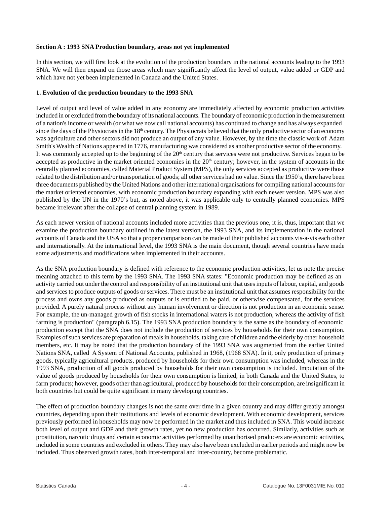#### <span id="page-4-0"></span>**Section A : 1993 SNA Production boundary, areas not yet implemented**

In this section, we will first look at the evolution of the production boundary in the national accounts leading to the 1993 SNA. We will then expand on those areas which may significantly affect the level of output, value added or GDP and which have not yet been implemented in Canada and the United States.

#### **1. Evolution of the production boundary to the 1993 SNA**

Level of output and level of value added in any economy are immediately affected by economic production activities included in or excluded from the boundary of its national accounts. The boundary of economic production in the measurement of a nation's income or wealth (or what we now call national accounts) has continued to change and has always expanded since the days of the Physiocrats in the 18<sup>th</sup> century. The Physiocrats believed that the only productive sector of an economy was agriculture and other sectors did not produce an output of any value. However, by the time the classic work of Adam Smith's Wealth of Nations appeared in 1776, manufacturing was considered as another productive sector of the economy. It was commonly accepted up to the beginning of the  $20<sup>th</sup>$  century that services were not productive. Services began to be accepted as productive in the market oriented economies in the 20<sup>th</sup> century; however, in the system of accounts in the centrally planned economies, called Material Product System (MPS), the only services accepted as productive were those related to the distribution and/or transportation of goods; all other services had no value. Since the 1950's, there have been three documents published by the United Nations and other international organisations for compiling national accounts for the market oriented economies, with economic production boundary expanding with each newer version. MPS was also published by the UN in the 1970's but, as noted above, it was applicable only to centrally planned economies. MPS became irrelevant after the collapse of central planning system in 1989.

As each newer version of national accounts included more activities than the previous one, it is, thus, important that we examine the production boundary outlined in the latest version, the 1993 SNA, and its implementation in the national accounts of Canada and the USA so that a proper comparison can be made of their published accounts vis-a-vis each other and internationally. At the international level, the 1993 SNA is the main document, though several countries have made some adjustments and modifications when implemented in their accounts.

As the SNA production boundary is defined with reference to the economic production activities, let us note the precise meaning attached to this term by the 1993 SNA. The 1993 SNA states: "Economic production may be defined as an activity carried out under the control and responsibility of an institutional unit that uses inputs of labour, capital, and goods and services to produce outputs of goods or services. There must be an institutional unit that assumes responsibility for the process and owns any goods produced as outputs or is entitled to be paid, or otherwise compensated, for the services provided. A purely natural process without any human involvement or direction is not production in an economic sense. For example, the un-managed growth of fish stocks in international waters is not production, whereas the activity of fish farming is production" (paragraph 6.15). The 1993 SNA production boundary is the same as the boundary of economic production except that the SNA does not include the production of services by households for their own consumption. Examples of such services are preparation of meals in households, taking care of children and the elderly by other household members, etc. It may be noted that the production boundary of the 1993 SNA was augmented from the earlier United Nations SNA, called A System of National Accounts, published in 1968, (1968 SNA). In it, only production of primary goods, typically agricultural products, produced by households for their own consumption was included, whereas in the 1993 SNA, production of all goods produced by households for their own consumption is included. Imputation of the value of goods produced by households for their own consumption is limited, in both Canada and the United States, to farm products; however, goods other than agricultural, produced by households for their consumption, are insignificant in both countries but could be quite significant in many developing countries.

The effect of production boundary changes is not the same over time in a given country and may differ greatly amongst countries, depending upon their institutions and levels of economic development. With economic development, services previously performed in households may now be performed in the market and thus included in SNA. This would increase both level of output and GDP and their growth rates, yet no new production has occurred. Similarly, activities such as prostitution, narcotic drugs and certain economic activities performed by unauthorised producers are economic activities, included in some countries and excluded in others. They may also have been excluded in earlier periods and might now be included. Thus observed growth rates, both inter-temporal and inter-country, become problematic.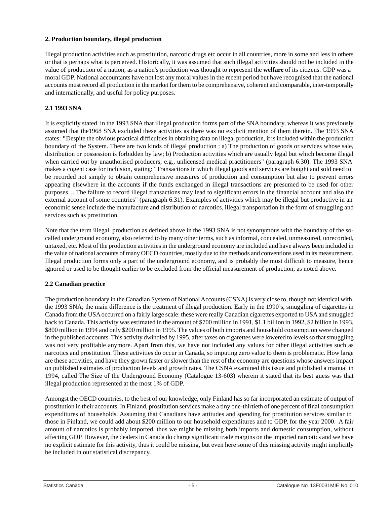# <span id="page-5-0"></span>**2. Production boundary, illegal production**

Illegal production activities such as prostitution, narcotic drugs etc occur in all countries, more in some and less in others or that is perhaps what is perceived. Historically, it was assumed that such illegal activities should not be included in the value of production of a nation, as a nation's production was thought to represent the **welfare** of its citizens. GDP was a moral GDP. National accountants have not lost any moral values in the recent period but have recognised that the national accounts must record all production in the market for them to be comprehensive, coherent and comparable, inter-temporally and internationally, and useful for policy purposes.

#### **2.1 1993 SNA**

It is explicitly stated in the 1993 SNA that illegal production forms part of the SNA boundary, whereas it was previously assumed that the1968 SNA excluded these activities as there was no explicit mention of them therein. The 1993 SNA states: "Despite the obvious practical difficulties in obtaining data on illegal production, it is included within the production boundary of the System. There are two kinds of illegal production : a) The production of goods or services whose sale, distribution or possession is forbidden by law; b) Production activities which are usually legal but which become illegal when carried out by unauthorised producers; e.g., unlicensed medical practitioners" (paragraph 6.30). The 1993 SNA makes a cogent case for inclusion, stating: "Transactions in which illegal goods and services are bought and sold need to be recorded not simply to obtain comprehensive measures of production and consumption but also to prevent errors appearing elsewhere in the accounts if the funds exchanged in illegal transactions are presumed to be used for other purposes… The failure to record illegal transactions may lead to significant errors in the financial account and also the external account of some countries" (paragraph 6.31). Examples of activities which may be illegal but productive in an economic sense include the manufacture and distribution of narcotics, illegal transportation in the form of smuggling and services such as prostitution.

Note that the term illegal production as defined above in the 1993 SNA is not synonymous with the boundary of the socalled underground economy, also referred to by many other terms, such as informal, concealed, unmeasured, unrecorded, untaxed, etc. Most of the production activities in the underground economy are included and have always been included in the value of national accounts of many OECD countries, mostly due to the methods and conventions used in its measurement. Illegal production forms only a part of the underground economy, and is probably the most difficult to measure, hence ignored or used to be thought earlier to be excluded from the official measurement of production, as noted above.

# **2.2 Canadian practice**

The production boundary in the Canadian System of National Accounts (CSNA) is very close to, though not identical with, the 1993 SNA; the main difference is the treatment of illegal production. Early in the 1990's, smuggling of cigarettes in Canada from the USA occurred on a fairly large scale: these were really Canadian cigarettes exported to USA and smuggled back to Canada. This activity was estimated in the amount of \$700 million in 1991, \$1.1 billion in 1992, \$2 billion in 1993, \$800 million in 1994 and only \$200 million in 1995. The values of both imports and household consumption were changed in the published accounts. This activity dwindled by 1995, after taxes on cigarettes were lowered to levels so that smuggling was not very profitable anymore. Apart from this, we have not included any values for other illegal activities such as narcotics and prostitution. These activities do occur in Canada, so imputing zero value to them is problematic. How large are these activities, and have they grown faster or slower than the rest of the economy are questions whose answers impact on published estimates of production levels and growth rates. The CSNA examined this issue and published a manual in 1994, called The Size of the Underground Economy (Catalogue 13-603) wherein it stated that its best guess was that illegal production represented at the most 1% of GDP.

Amongst the OECD countries, to the best of our knowledge, only Finland has so far incorporated an estimate of output of prostitution in their accounts. In Finland, prostitution services make a tiny one-thirtieth of one percent of final consumption expenditures of households. Assuming that Canadians have attitudes and spending for prostitution services similar to those in Finland, we could add about \$200 million to our household expenditures and to GDP, for the year 2000. A fair amount of narcotics is probably imported, thus we might be missing both imports and domestic consumption, without affecting GDP. However, the dealers in Canada do charge significant trade margins on the imported narcotics and we have no explicit estimate for this activity, thus it could be missing, but even here some of this missing activity might implicitly be included in our statistical discrepancy.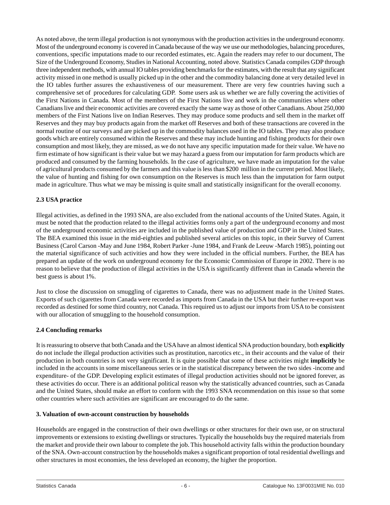<span id="page-6-0"></span>As noted above, the term illegal production is not synonymous with the production activities in the underground economy. Most of the underground economy is covered in Canada because of the way we use our methodologies, balancing procedures, conventions, specific imputations made to our recorded estimates, etc. Again the readers may refer to our document, The Size of the Underground Economy, Studies in National Accounting, noted above. Statistics Canada compiles GDP through three independent methods, with annual IO tables providing benchmarks for the estimates, with the result that any significant activity missed in one method is usually picked up in the other and the commodity balancing done at very detailed level in the IO tables further assures the exhaustiveness of our measurement. There are very few countries having such a comprehensive set of procedures for calculating GDP. Some users ask us whether we are fully covering the activities of the First Nations in Canada. Most of the members of the First Nations live and work in the communities where other Canadians live and their economic activities are covered exactly the same way as those of other Canadians. About 250,000 members of the First Nations live on Indian Reserves. They may produce some products and sell them in the market off Reserves and they may buy products again from the market off Reserves and both of these transactions are covered in the normal routine of our surveys and are picked up in the commodity balances used in the IO tables. They may also produce goods which are entirely consumed within the Reserves and these may include hunting and fishing products for their own consumption and most likely, they are missed, as we do not have any specific imputation made for their value. We have no firm estimate of how significant is their value but we may hazard a guess from our imputation for farm products which are produced and consumed by the farming households. In the case of agriculture, we have made an imputation for the value of agricultural products consumed by the farmers and this value is less than \$200 million in the current period. Most likely, the value of hunting and fishing for own consumption on the Reserves is much less than the imputation for farm output made in agriculture. Thus what we may be missing is quite small and statistically insignificant for the overall economy.

# **2.3 USA practice**

Illegal activities, as defined in the 1993 SNA, are also excluded from the national accounts of the United States. Again, it must be noted that the production related to the illegal activities forms only a part of the underground economy and most of the underground economic activities are included in the published value of production and GDP in the United States. The BEA examined this issue in the mid-eighties and published several articles on this topic, in their Survey of Current Business (Carol Carson -May and June 1984, Robert Parker -June 1984, and Frank de Leeuw -March 1985), pointing out the material significance of such activities and how they were included in the official numbers. Further, the BEA has prepared an update of the work on underground economy for the Economic Commission of Europe in 2002. There is no reason to believe that the production of illegal activities in the USA is significantly different than in Canada wherein the best guess is about 1%.

Just to close the discussion on smuggling of cigarettes to Canada, there was no adjustment made in the United States. Exports of such cigarettes from Canada were recorded as imports from Canada in the USA but their further re-export was recorded as destined for some third country, not Canada. This required us to adjust our imports from USA to be consistent with our allocation of smuggling to the household consumption.

#### **2.4 Concluding remarks**

It is reassuring to observe that both Canada and the USA have an almost identical SNA production boundary, both **explicitly** do not include the illegal production activities such as prostitution, narcotics etc., in their accounts and the value of their production in both countries is not very significant. It is quite possible that some of these activities might **implicitly** be included in the accounts in some miscellaneous series or in the statistical discrepancy between the two sides -income and expenditure- of the GDP. Developing explicit estimates of illegal production activities should not be ignored forever, as these activities do occur. There is an additional political reason why the statistically advanced countries, such as Canada and the United States, should make an effort to conform with the 1993 SNA recommendation on this issue so that some other countries where such activities are significant are encouraged to do the same.

#### **3. Valuation of own-account construction by households**

Households are engaged in the construction of their own dwellings or other structures for their own use, or on structural improvements or extensions to existing dwellings or structures. Typically the households buy the required materials from the market and provide their own labour to complete the job. This household activity falls within the production boundary of the SNA. Own-account construction by the households makes a significant proportion of total residential dwellings and other structures in most economies, the less developed an economy, the higher the proportion.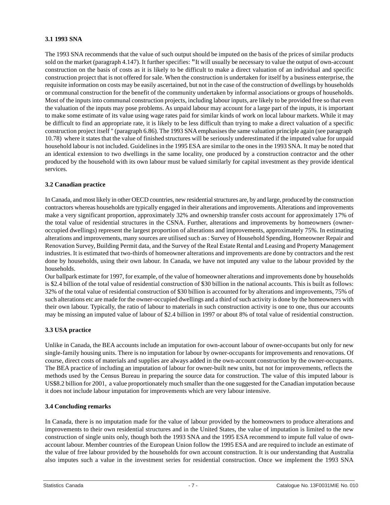#### **3.1 1993 SNA**

The 1993 SNA recommends that the value of such output should be imputed on the basis of the prices of similar products sold on the market (paragraph 4.147). It further specifies: "It will usually be necessary to value the output of own-account construction on the basis of costs as it is likely to be difficult to make a direct valuation of an individual and specific construction project that is not offered for sale. When the construction is undertaken for itself by a business enterprise, the requisite information on costs may be easily ascertained, but not in the case of the construction of dwellings by households or communal construction for the benefit of the community undertaken by informal associations or groups of households. Most of the inputs into communal construction projects, including labour inputs, are likely to be provided free so that even the valuation of the inputs may pose problems. As unpaid labour may account for a large part of the inputs, it is important to make some estimate of its value using wage rates paid for similar kinds of work on local labour markets. While it may be difficult to find an appropriate rate, it is likely to be less difficult than trying to make a direct valuation of a specific construction project itself " (paragraph 6.86). The 1993 SNAemphasises the same valuation principle again (see paragraph 10.78) where it states that the value of finished structures will be seriously underestimated if the imputed value for unpaid household labour is not included. Guidelines in the 1995 ESA are similar to the ones in the 1993 SNA. It may be noted that an identical extension to two dwellings in the same locality, one produced by a construction contractor and the other produced by the household with its own labour must be valued similarly for capital investment as they provide identical services.

# **3.2 Canadian practice**

In Canada, and most likely in other OECD countries, new residential structures are, by and large, produced by the construction contractors whereas households are typically engaged in their alterations and improvements. Alterations and improvements make a very significant proportion, approximately 32% and ownership transfer costs account for approximately 17% of the total value of residential structures in the CSNA. Further, alterations and improvements by homeowners (owneroccupied dwellings) represent the largest proportion of alterations and improvements, approximately 75%. In estimating alterations and improvements, many sources are utilised such as : Survey of Household Spending, Homeowner Repair and Renovation Survey, Building Permit data, and the Survey of the Real Estate Rental and Leasing and Property Management industries. It is estimated that two-thirds of homeowner alterations and improvements are done by contractors and the rest done by households, using their own labour. In Canada, we have not imputed any value to the labour provided by the households.

Our ballpark estimate for 1997, for example, of the value of homeowner alterations and improvements done by households is \$2.4 billion of the total value of residential construction of \$30 billion in the national accounts. This is built as follows: 32% of the total value of residential construction of \$30 billion is accounted for by alterations and improvements, 75% of such alterations etc are made for the owner-occupied dwellings and a third of such activity is done by the homeowners with their own labour. Typically, the ratio of labour to materials in such construction activity is one to one, thus our accounts may be missing an imputed value of labour of \$2.4 billion in 1997 or about 8% of total value of residential construction.

# **3.3 USA practice**

Unlike in Canada, the BEA accounts include an imputation for own-account labour of owner-occupants but only for new single-family housing units. There is no imputation for labour by owner-occupants for improvements and renovations. Of course, direct costs of materials and supplies are always added in the own-account construction by the owner-occupants. The BEA practice of including an imputation of labour for owner-built new units, but not for improvements, reflects the methods used by the Census Bureau in preparing the source data for construction. The value of this imputed labour is US\$8.2 billion for 2001, a value proportionately much smaller than the one suggested for the Canadian imputation because it does not include labour imputation for improvements which are very labour intensive.

# **3.4 Concluding remarks**

In Canada, there is no imputation made for the value of labour provided by the homeowners to produce alterations and improvements to their own residential structures and in the United States, the value of imputation is limited to the new construction of single units only, though both the 1993 SNA and the 1995 ESA recommend to impute full value of ownaccount labour. Member countries of the European Union follow the 1995 ESA and are required to include an estimate of the value of free labour provided by the households for own account construction. It is our understanding that Australia also imputes such a value in the investment series for residential construction. Once we implement the 1993 SNA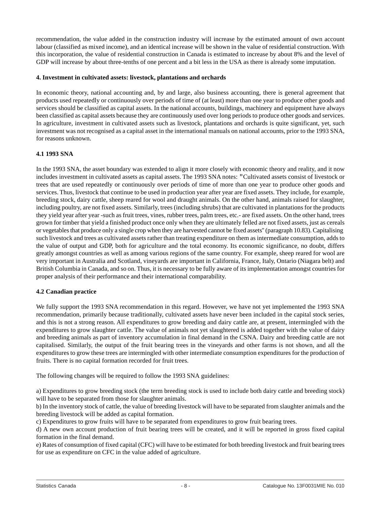<span id="page-8-0"></span>recommendation, the value added in the construction industry will increase by the estimated amount of own account labour (classified as mixed income), and an identical increase will be shown in the value of residential construction. With this incorporation, the value of residential construction in Canada is estimated to increase by about 8% and the level of GDP will increase by about three-tenths of one percent and a bit less in the USA as there is already some imputation.

#### **4. Investment in cultivated assets: livestock, plantations and orchards**

In economic theory, national accounting and, by and large, also business accounting, there is general agreement that products used repeatedly or continuously over periods of time of (at least) more than one year to produce other goods and services should be classified as capital assets. In the national accounts, buildings, machinery and equipment have always been classified as capital assets because they are continuously used over long periods to produce other goods and services. In agriculture, investment in cultivated assets such as livestock, plantations and orchards is quite significant, yet, such investment was not recognised as a capital asset in the international manuals on national accounts, prior to the 1993 SNA, for reasons unknown.

#### **4.1 1993 SNA**

In the 1993 SNA, the asset boundary was extended to align it more closely with economic theory and reality, and it now includes investment in cultivated assets as capital assets. The 1993 SNA notes: "Cultivated assets consist of livestock or trees that are used repeatedly or continuously over periods of time of more than one year to produce other goods and services. Thus, livestock that continue to be used in production year after year are fixed assets. They include, for example, breeding stock, dairy cattle, sheep reared for wool and draught animals. On the other hand, animals raised for slaughter, including poultry, are not fixed assets. Similarly, trees (including shrubs) that are cultivated in plantations for the products they yield year after year -such as fruit trees, vines, rubber trees, palm trees, etc.- are fixed assets. On the other hand, trees grown for timber that yield a finished product once only when they are ultimately felled are not fixed assets, just as cereals or vegetables that produce only a single crop when they are harvested cannot be fixed assets" (paragraph 10.83). Capitalising such livestock and trees as cultivated assets rather than treating expenditure on them as intermediate consumption, adds to the value of output and GDP, both for agriculture and the total economy. Its economic significance, no doubt, differs greatly amongst countries as well as among various regions of the same country. For example, sheep reared for wool are very important in Australia and Scotland, vineyards are important in California, France, Italy, Ontario (Niagara belt) and British Columbia in Canada, and so on. Thus, it is necessary to be fully aware of its implementation amongst countries for proper analysis of their performance and their international comparability.

# **4.2 Canadian practice**

We fully support the 1993 SNA recommendation in this regard. However, we have not yet implemented the 1993 SNA recommendation, primarily because traditionally, cultivated assets have never been included in the capital stock series, and this is not a strong reason. All expenditures to grow breeding and dairy cattle are, at present, intermingled with the expenditures to grow slaughter cattle. The value of animals not yet slaughtered is added together with the value of dairy and breeding animals as part of inventory accumulation in final demand in the CSNA. Dairy and breeding cattle are not capitalised. Similarly, the output of the fruit bearing trees in the vineyards and other farms is not shown, and all the expenditures to grow these trees are intermingled with other intermediate consumption expenditures for the production of fruits. There is no capital formation recorded for fruit trees.

The following changes will be required to follow the 1993 SNA guidelines:

a) Expenditures to grow breeding stock (the term breeding stock is used to include both dairy cattle and breeding stock) will have to be separated from those for slaughter animals.

b) In the inventory stock of cattle, the value of breeding livestock will have to be separated from slaughter animals and the breeding livestock will be added as capital formation.

c) Expenditures to grow fruits will have to be separated from expenditures to grow fruit bearing trees.

d) A new own account production of fruit bearing trees will be created, and it will be reported in gross fixed capital formation in the final demand.

e) Rates of consumption of fixed capital (CFC) will have to be estimated for both breeding livestock and fruit bearing trees for use as expenditure on CFC in the value added of agriculture.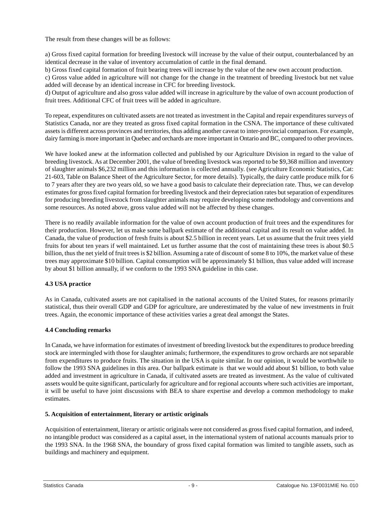<span id="page-9-0"></span>The result from these changes will be as follows:

a) Gross fixed capital formation for breeding livestock will increase by the value of their output, counterbalanced by an identical decrease in the value of inventory accumulation of cattle in the final demand.

b) Gross fixed capital formation of fruit bearing trees will increase by the value of the new own account production.

c) Gross value added in agriculture will not change for the change in the treatment of breeding livestock but net value added will decease by an identical increase in CFC for breeding livestock.

d) Output of agriculture and also gross value added will increase in agriculture by the value of own account production of fruit trees. Additional CFC of fruit trees will be added in agriculture.

To repeat, expenditures on cultivated assets are not treated as investment in the Capital and repair expenditures surveys of Statistics Canada, nor are they treated as gross fixed capital formation in the CSNA. The importance of these cultivated assets is different across provinces and territories, thus adding another caveat to inter-provincial comparison. For example, dairy farming is more important in Quebec and orchards are more important in Ontario and BC, compared to other provinces.

We have looked anew at the information collected and published by our Agriculture Division in regard to the value of breeding livestock. As at December 2001, the value of breeding livestock was reported to be \$9,368 million and inventory of slaughter animals \$6,232 million and this information is collected annually. (see Agriculture Economic Statistics, Cat: 21-603, Table on Balance Sheet of the Agriculture Sector, for more details). Typically, the dairy cattle produce milk for 6 to 7 years after they are two years old, so we have a good basis to calculate their depreciation rate. Thus, we can develop estimates for gross fixed capital formation for breeding livestock and their depreciation rates but separation of expenditures for producing breeding livestock from slaughter animals may require developing some methodology and conventions and some resources. As noted above, gross value added will not be affected by these changes.

There is no readily available information for the value of own account production of fruit trees and the expenditures for their production. However, let us make some ballpark estimate of the additional capital and its result on value added. In Canada, the value of production of fresh fruits is about \$2.5 billion in recent years. Let us assume that the fruit trees yield fruits for about ten years if well maintained. Let us further assume that the cost of maintaining these trees is about \$0.5 billion, thus the net yield of fruit trees is \$2 billion. Assuming a rate of discount of some 8 to 10%, the market value of these trees may approximate \$10 billion. Capital consumption will be approximately \$1 billion, thus value added will increase by about \$1 billion annually, if we conform to the 1993 SNA guideline in this case.

# **4.3 USA practice**

As in Canada, cultivated assets are not capitalised in the national accounts of the United States, for reasons primarily statistical, thus their overall GDP and GDP for agriculture, are underestimated by the value of new investments in fruit trees. Again, the economic importance of these activities varies a great deal amongst the States.

# **4.4 Concluding remarks**

In Canada, we have information for estimates of investment of breeding livestock but the expenditures to produce breeding stock are intermingled with those for slaughter animals; furthermore, the expenditures to grow orchards are not separable from expenditures to produce fruits. The situation in the USA is quite similar. In our opinion, it would be worthwhile to follow the 1993 SNA guidelines in this area. Our ballpark estimate is that we would add about \$1 billion, to both value added and investment in agriculture in Canada, if cultivated assets are treated as investment. As the value of cultivated assets would be quite significant, particularly for agriculture and for regional accounts where such activities are important, it will be useful to have joint discussions with BEA to share expertise and develop a common methodology to make estimates.

# **5. Acquisition of entertainment, literary or artistic originals**

Acquisition of entertainment, literary or artistic originals were not considered as gross fixed capital formation, and indeed, no intangible product was considered as a capital asset, in the international system of national accounts manuals prior to the 1993 SNA. In the 1968 SNA, the boundary of gross fixed capital formation was limited to tangible assets, such as buildings and machinery and equipment.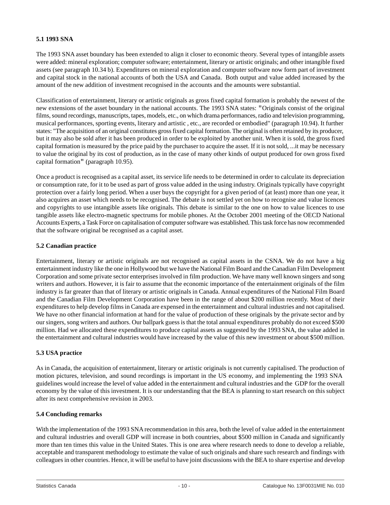#### **5.1 1993 SNA**

The 1993 SNA asset boundary has been extended to align it closer to economic theory. Several types of intangible assets were added: mineral exploration; computer software; entertainment, literary or artistic originals; and other intangible fixed assets (see paragraph 10.34 b). Expenditures on mineral exploration and computer software now form part of investment and capital stock in the national accounts of both the USA and Canada. Both output and value added increased by the amount of the new addition of investment recognised in the accounts and the amounts were substantial.

Classification of entertainment, literary or artistic originals as gross fixed capital formation is probably the newest of the new extensions of the asset boundary in the national accounts. The 1993 SNA states: "Originals consist of the original films, sound recordings, manuscripts, tapes, models, etc., on which drama performances, radio and television programming, musical performances, sporting events, literary and artistic , etc., are recorded or embodied" (paragraph 10.94). It further states: "The acquisition of an original constitutes gross fixed capital formation. The original is often retained by its producer, but it may also be sold after it has been produced in order to be exploited by another unit. When it is sold, the gross fixed capital formation is measured by the price paid by the purchaser to acquire the asset. If it is not sold, ...it may be necessary to value the original by its cost of production, as in the case of many other kinds of output produced for own gross fixed capital formation" (paragraph 10.95).

Once a product is recognised as a capital asset, its service life needs to be determined in order to calculate its depreciation or consumption rate, for it to be used as part of gross value added in the using industry. Originals typically have copyright protection over a fairly long period. When a user buys the copyright for a given period of (at least) more than one year, it also acquires an asset which needs to be recognised. The debate is not settled yet on how to recognise and value licences and copyrights to use intangible assets like originals. This debate is similar to the one on how to value licences to use tangible assets like electro-magnetic spectrums for mobile phones. At the October 2001 meeting of the OECD National Accounts Experts, a Task Force on capitalisation of computer software was established. This task force has now recommended that the software original be recognised as a capital asset.

#### **5.2 Canadian practice**

Entertainment, literary or artistic originals are not recognised as capital assets in the CSNA. We do not have a big entertainment industry like the one in Hollywood but we have the National Film Board and the Canadian Film Development Corporation and some private sector enterprises involved in film production. We have many well known singers and song writers and authors. However, it is fair to assume that the economic importance of the entertainment originals of the film industry is far greater than that of literary or artistic originals in Canada. Annual expenditures of the National Film Board and the Canadian Film Development Corporation have been in the range of about \$200 million recently. Most of their expenditures to help develop films in Canada are expensed in the entertainment and cultural industries and not capitalised. We have no other financial information at hand for the value of production of these originals by the private sector and by our singers, song writers and authors. Our ballpark guess is that the total annual expenditures probably do not exceed \$500 million. Had we allocated these expenditures to produce capital assets as suggested by the 1993 SNA, the value added in the entertainment and cultural industries would have increased by the value of this new investment or about \$500 million.

#### **5.3 USA practice**

As in Canada, the acquisition of entertainment, literary or artistic originals is not currently capitalised. The production of motion pictures, television, and sound recordings is important in the US economy, and implementing the 1993 SNA guidelines would increase the level of value added in the entertainment and cultural industries and the GDP for the overall economy by the value of this investment. It is our understanding that the BEA is planning to start research on this subject after its next comprehensive revision in 2003.

#### **5.4 Concluding remarks**

With the implementation of the 1993 SNA recommendation in this area, both the level of value added in the entertainment and cultural industries and overall GDP will increase in both countries, about \$500 million in Canada and significantly more than ten times this value in the United States. This is one area where research needs to done to develop a reliable, acceptable and transparent methodology to estimate the value of such originals and share such research and findings with colleagues in other countries. Hence, it will be useful to have joint discussions with the BEA to share expertise and develop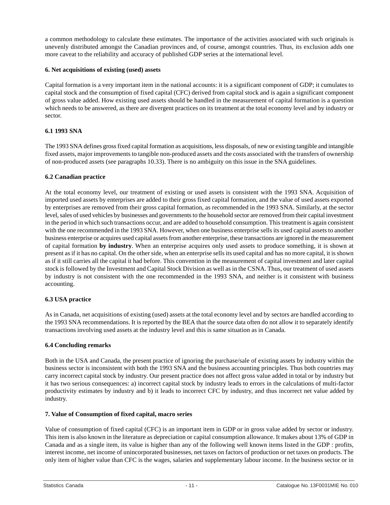<span id="page-11-0"></span>a common methodology to calculate these estimates. The importance of the activities associated with such originals is unevenly distributed amongst the Canadian provinces and, of course, amongst countries. Thus, its exclusion adds one more caveat to the reliability and accuracy of published GDP series at the international level.

#### **6. Net acquisitions of existing (used) assets**

Capital formation is a very important item in the national accounts: it is a significant component of GDP; it cumulates to capital stock and the consumption of fixed capital (CFC) derived from capital stock and is again a significant component of gross value added. How existing used assets should be handled in the measurement of capital formation is a question which needs to be answered, as there are divergent practices on its treatment at the total economy level and by industry or sector.

# **6.1 1993 SNA**

The 1993 SNA defines gross fixed capital formation as acquisitions, less disposals, of new or existing tangible and intangible fixed assets, major improvements to tangible non-produced assets and the costs associated with the transfers of ownership of non-produced assets (see paragraphs 10.33). There is no ambiguity on this issue in the SNA guidelines.

#### **6.2 Canadian practice**

At the total economy level, our treatment of existing or used assets is consistent with the 1993 SNA. Acquisition of imported used assets by enterprises are added to their gross fixed capital formation, and the value of used assets exported by enterprises are removed from their gross capital formation, as recommended in the 1993 SNA. Similarly, at the sector level, sales of used vehicles by businesses and governments to the household sector are removed from their capital investment in the period in which such transactions occur, and are added to household consumption. This treatment is again consistent with the one recommended in the 1993 SNA. However, when one business enterprise sells its used capital assets to another business enterprise or acquires used capital assets from another enterprise, these transactions are ignored in the measurement of capital formation **by industry**. When an enterprise acquires only used assets to produce something, it is shown at present as if it has no capital. On the other side, when an enterprise sells its used capital and has no more capital, it is shown as if it still carries all the capital it had before. This convention in the measurement of capital investment and later capital stock is followed by the Investment and Capital Stock Division as well as in the CSNA. Thus, our treatment of used assets by industry is not consistent with the one recommended in the 1993 SNA, and neither is it consistent with business accounting.

# **6.3 USA practice**

As in Canada, net acquisitions of existing (used) assets at the total economy level and by sectors are handled according to the 1993 SNA recommendations. It is reported by the BEA that the source data often do not allow it to separately identify transactions involving used assets at the industry level and this is same situation as in Canada.

#### **6.4 Concluding remarks**

Both in the USA and Canada, the present practice of ignoring the purchase/sale of existing assets by industry within the business sector is inconsistent with both the 1993 SNA and the business accounting principles. Thus both countries may carry incorrect capital stock by industry. Our present practice does not affect gross value added in total or by industry but it has two serious consequences: a) incorrect capital stock by industry leads to errors in the calculations of multi-factor productivity estimates by industry and b) it leads to incorrect CFC by industry, and thus incorrect net value added by industry.

#### **7. Value of Consumption of fixed capital, macro series**

Value of consumption of fixed capital (CFC) is an important item in GDP or in gross value added by sector or industry. This item is also known in the literature as depreciation or capital consumption allowance. It makes about 13% of GDP in Canada and as a single item, its value is higher than any of the following well known items listed in the GDP : profits, interest income, net income of unincorporated businesses, net taxes on factors of production or net taxes on products. The only item of higher value than CFC is the wages, salaries and supplementary labour income. In the business sector or in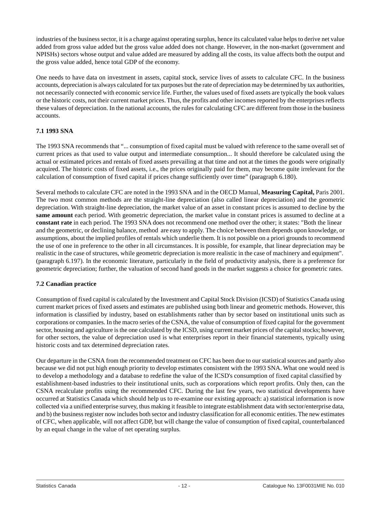industries of the business sector, it is a charge against operating surplus, hence its calculated value helps to derive net value added from gross value added but the gross value added does not change. However, in the non-market (government and NPISHs) sectors whose output and value added are measured by adding all the costs, its value affects both the output and the gross value added, hence total GDP of the economy.

One needs to have data on investment in assets, capital stock, service lives of assets to calculate CFC. In the business accounts, depreciation is always calculated for tax purposes but the rate of depreciation may be determined by tax authorities, not necessarily connected with economic service life. Further, the values used of fixed assets are typically the book values or the historic costs, not their current market prices. Thus, the profits and other incomes reported by the enterprises reflects these values of depreciation. In the national accounts, the rules for calculating CFC are different from those in the business accounts.

# **7.1 1993 SNA**

The 1993 SNA recommends that "... consumption of fixed capital must be valued with reference to the same overall set of current prices as that used to value output and intermediate consumption... It should therefore be calculated using the actual or estimated prices and rentals of fixed assets prevailing at that time and not at the times the goods were originally acquired. The historic costs of fixed assets, i.e., the prices originally paid for them, may become quite irrelevant for the calculation of consumption of fixed capital if prices change sufficiently over time" (paragraph 6.180).

Several methods to calculate CFC are noted in the 1993 SNA and in the OECD Manual, **Measuring Capital,** Paris 2001. The two most common methods are the straight-line depreciation (also called linear depreciation) and the geometric depreciation. With straight-line depreciation, the market value of an asset in constant prices is assumed to decline by the **same amount** each period. With geometric depreciation, the market value in constant prices is assumed to decline at a **constant rate** in each period. The 1993 SNA does not recommend one method over the other; it states: "Both the linear and the geometric, or declining balance, method are easy to apply. The choice between them depends upon knowledge, or assumptions, about the implied profiles of rentals which underlie them. It is not possible on a priori grounds to recommend the use of one in preference to the other in all circumstances. It is possible, for example, that linear depreciation may be realistic in the case of structures, while geometric depreciation is more realistic in the case of machinery and equipment". (paragraph 6.197). In the economic literature, particularly in the field of productivity analysis, there is a preference for geometric depreciation; further, the valuation of second hand goods in the market suggests a choice for geometric rates.

# **7.2 Canadian practice**

Consumption of fixed capital is calculated by the Investment and Capital Stock Division (ICSD) of Statistics Canada using current market prices of fixed assets and estimates are published using both linear and geometric methods. However, this information is classified by industry, based on establishments rather than by sector based on institutional units such as corporations or companies. In the macro series of the CSNA, the value of consumption of fixed capital for the government sector, housing and agriculture is the one calculated by the ICSD, using current market prices of the capital stocks; however, for other sectors, the value of depreciation used is what enterprises report in their financial statements, typically using historic costs and tax determined depreciation rates.

Our departure in the CSNA from the recommended treatment on CFC has been due to our statistical sources and partly also because we did not put high enough priority to develop estimates consistent with the 1993 SNA. What one would need is to develop a methodology and a database to redefine the value of the ICSD's consumption of fixed capital classified by establishment-based industries to their institutional units, such as corporations which report profits. Only then, can the CSNA recalculate profits using the recommended CFC. During the last few years, two statistical developments have occurred at Statistics Canada which should help us to re-examine our existing approach: a) statistical information is now collected via a unified enterprise survey, thus making it feasible to integrate establishment data with sector/enterprise data, and b) the business register now includes both sector and industry classification for all economic entities. The new estimates of CFC, when applicable, will not affect GDP, but will change the value of consumption of fixed capital, counterbalanced by an equal change in the value of net operating surplus.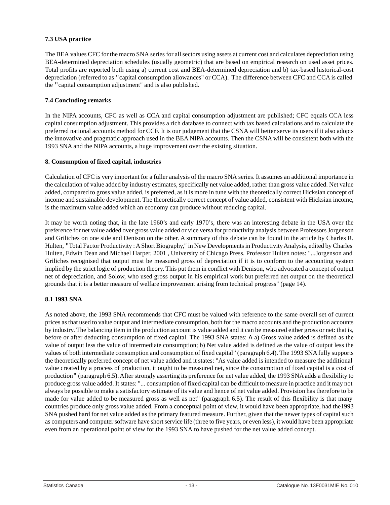# <span id="page-13-0"></span>**7.3 USA practice**

The BEA values CFC for the macro SNA series for all sectors using assets at current cost and calculates depreciation using BEA-determined depreciation schedules (usually geometric) that are based on empirical research on used asset prices. Total profits are reported both using a) current cost and BEA-determined depreciation and b) tax-based historical-cost depreciation (referred to as "capital consumption allowances" or CCA). The difference between CFC and CCA is called the "capital consumption adjustment" and is also published.

# **7.4 Concluding remarks**

In the NIPA accounts, CFC as well as CCA and capital consumption adjustment are published; CFC equals CCA less capital consumption adjustment. This provides a rich database to connect with tax based calculations and to calculate the preferred national accounts method for CCF. It is our judgement that the CSNA will better serve its users if it also adopts the innovative and pragmatic approach used in the BEA NIPA accounts. Then the CSNA will be consistent both with the 1993 SNA and the NIPA accounts, a huge improvement over the existing situation.

# **8. Consumption of fixed capital, industries**

Calculation of CFC is very important for a fuller analysis of the macro SNA series. It assumes an additional importance in the calculation of value added by industry estimates, specifically net value added, rather than gross value added. Net value added, compared to gross value added, is preferred, as it is more in tune with the theoretically correct Hicksian concept of income and sustainable development. The theoretically correct concept of value added, consistent with Hicksian income, is the maximum value added which an economy can produce without reducing capital.

It may be worth noting that, in the late 1960's and early 1970's, there was an interesting debate in the USA over the preference for net value added over gross value added or vice versa for productivity analysis between Professors Jorgenson and Griliches on one side and Denison on the other. A summary of this debate can be found in the article by Charles R. Hulten, "Total Factor Productivity : A Short Biography," in New Developments in Productivity Analysis, edited by Charles Hulten, Edwin Dean and Michael Harper, 2001 , University of Chicago Press. Professor Hulten notes: "...Jorgenson and Griliches recognised that output must be measured gross of depreciation if it is to conform to the accounting system implied by the strict logic of production theory. This put them in conflict with Denison, who advocated a concept of output net of depreciation, and Solow, who used gross output in his empirical work but preferred net output on the theoretical grounds that it is a better measure of welfare improvement arising from technical progress" (page 14).

# **8.1 1993 SNA**

As noted above, the 1993 SNA recommends that CFC must be valued with reference to the same overall set of current prices as that used to value output and intermediate consumption, both for the macro accounts and the production accounts by industry. The balancing item in the production account is value added and it can be measured either gross or net: that is, before or after deducting consumption of fixed capital. The 1993 SNA states: A a) Gross value added is defined as the value of output less the value of intermediate consumption; b) Net value added is defined as the value of output less the values of both intermediate consumption and consumption of fixed capital" (paragraph 6.4). The 1993 SNA fully supports the theoretically preferred concept of net value added and it states: "As value added is intended to measure the additional value created by a process of production, it ought to be measured net, since the consumption of fixed capital is a cost of production" (paragraph 6.5).After strongly asserting its preference for net value added, the 1993 SNAadds a flexibility to produce gross value added. It states: "... consumption of fixed capital can be difficult to measure in practice and it may not always be possible to make a satisfactory estimate of its value and hence of net value added. Provision has therefore to be made for value added to be measured gross as well as net" (paragraph 6.5). The result of this flexibility is that many countries produce only gross value added. From a conceptual point of view, it would have been appropriate, had the1993 SNA pushed hard for net value added as the primary featured measure. Further, given that the newer types of capital such as computers and computer software have short service life (three to five years, or even less), it would have been appropriate even from an operational point of view for the 1993 SNA to have pushed for the net value added concept.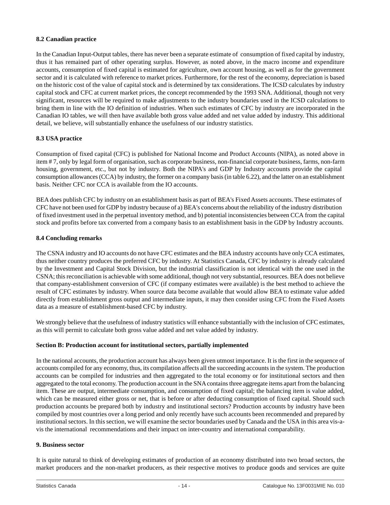#### <span id="page-14-0"></span>**8.2 Canadian practice**

In the Canadian Input-Output tables, there has never been a separate estimate of consumption of fixed capital by industry, thus it has remained part of other operating surplus. However, as noted above, in the macro income and expenditure accounts, consumption of fixed capital is estimated for agriculture, own account housing, as well as for the government sector and it is calculated with reference to market prices. Furthermore, for the rest of the economy, depreciation is based on the historic cost of the value of capital stock and is determined by tax considerations. The ICSD calculates by industry capital stock and CFC at current market prices, the concept recommended by the 1993 SNA. Additional, though not very significant, resources will be required to make adjustments to the industry boundaries used in the ICSD calculations to bring them in line with the IO definition of industries. When such estimates of CFC by industry are incorporated in the Canadian IO tables, we will then have available both gross value added and net value added by industry. This additional detail, we believe, will substantially enhance the usefulness of our industry statistics.

# **8.3 USA practice**

Consumption of fixed capital (CFC) is published for National Income and Product Accounts (NIPA), as noted above in item # 7, only by legal form of organisation, such as corporate business, non-financial corporate business, farms, non-farm housing, government, etc., but not by industry. Both the NIPA's and GDP by Industry accounts provide the capital consumption allowances (CCA) by industry, the former on a company basis (in table 6.22), and the latter on an establishment basis. Neither CFC nor CCA is available from the IO accounts.

BEA does publish CFC by industry on an establishment basis as part of BEA's Fixed Assets accounts. These estimates of CFC have not been used for GDP by industry because of a) BEA's concerns about the reliability of the industry distribution of fixed investment used in the perpetual inventory method, and b) potential inconsistencies between CCA from the capital stock and profits before tax converted from a company basis to an establishment basis in the GDP by Industry accounts.

#### **8.4 Concluding remarks**

The CSNA industry and IO accounts do not have CFC estimates and the BEA industry accounts have only CCA estimates, thus neither country produces the preferred CFC by industry. At Statistics Canada, CFC by industry is already calculated by the Investment and Capital Stock Division, but the industrial classification is not identical with the one used in the CSNA; this reconciliation is achievable with some additional, though not very substantial, resources. BEA does not believe that company-establishment conversion of CFC (if company estimates were available) is the best method to achieve the result of CFC estimates by industry. When source data become available that would allow BEA to estimate value added directly from establishment gross output and intermediate inputs, it may then consider using CFC from the Fixed Assets data as a measure of establishment-based CFC by industry.

We strongly believe that the usefulness of industry statistics will enhance substantially with the inclusion of CFC estimates, as this will permit to calculate both gross value added and net value added by industry.

#### **Section B: Production account for institutional sectors, partially implemented**

In the national accounts, the production account has always been given utmost importance. It is the first in the sequence of accounts compiled for any economy, thus, its compilation affects all the succeeding accounts in the system. The production accounts can be compiled for industries and then aggregated to the total economy or for institutional sectors and then aggregated to the total economy. The production account in the SNA contains three aggregate items apart from the balancing item. These are output, intermediate consumption, and consumption of fixed capital; the balancing item is value added, which can be measured either gross or net, that is before or after deducting consumption of fixed capital. Should such production accounts be prepared both by industry and institutional sectors? Production accounts by industry have been compiled by most countries over a long period and only recently have such accounts been recommended and prepared by institutional sectors. In this section, we will examine the sector boundaries used by Canada and the USA in this area vis-avis the international recommendations and their impact on inter-country and international comparability.

#### **9. Business sector**

It is quite natural to think of developing estimates of production of an economy distributed into two broad sectors, the market producers and the non-market producers, as their respective motives to produce goods and services are quite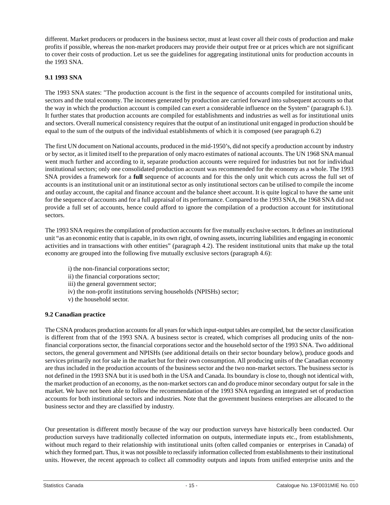different. Market producers or producers in the business sector, must at least cover all their costs of production and make profits if possible, whereas the non-market producers may provide their output free or at prices which are not significant to cover their costs of production. Let us see the guidelines for aggregating institutional units for production accounts in the 1993 SNA.

#### **9.1 1993 SNA**

The 1993 SNA states: "The production account is the first in the sequence of accounts compiled for institutional units, sectors and the total economy. The incomes generated by production are carried forward into subsequent accounts so that the way in which the production account is compiled can exert a considerable influence on the System" (paragraph 6.1). It further states that production accounts are compiled for establishments and industries as well as for institutional units and sectors. Overall numerical consistency requires that the output of an institutional unit engaged in production should be equal to the sum of the outputs of the individual establishments of which it is composed (see paragraph 6.2)

The first UN document on National accounts, produced in the mid-1950's, did not specify a production account by industry or by sector, as it limited itself to the preparation of only macro estimates of national accounts. The UN 1968 SNA manual went much further and according to it, separate production accounts were required for industries but not for individual institutional sectors; only one consolidated production account was recommended for the economy as a whole. The 1993 SNA provides a framework for a **full** sequence of accounts and for this the only unit which cuts across the full set of accounts is an institutional unit or an institutional sector as only institutional sectors can be utilised to compile the income and outlay account, the capital and finance account and the balance sheet account. It is quite logical to have the same unit for the sequence of accounts and for a full appraisal of its performance. Compared to the 1993 SNA, the 1968 SNA did not provide a full set of accounts, hence could afford to ignore the compilation of a production account for institutional sectors.

The 1993 SNA requires the compilation of production accounts for five mutually exclusive sectors. It defines an institutional unit "as an economic entity that is capable, in its own right, of owning assets, incurring liabilities and engaging in economic activities and in transactions with other entities" (paragraph 4.2). The resident institutional units that make up the total economy are grouped into the following five mutually exclusive sectors (paragraph 4.6):

- i) the non-financial corporations sector;
- ii) the financial corporations sector;
- iii) the general government sector;
- iv) the non-profit institutions serving households (NPISHs) sector;
- v) the household sector.

#### **9.2 Canadian practice**

The CSNA produces production accounts for all years for which input-output tables are compiled, but the sector classification is different from that of the 1993 SNA. A business sector is created, which comprises all producing units of the nonfinancial corporations sector, the financial corporations sector and the household sector of the 1993 SNA. Two additional sectors, the general government and NPISHs (see additional details on their sector boundary below), produce goods and services primarily not for sale in the market but for their own consumption. All producing units of the Canadian economy are thus included in the production accounts of the business sector and the two non-market sectors. The business sector is not defined in the 1993 SNA but it is used both in the USA and Canada. Its boundary is close to, though not identical with, the market production of an economy, as the non-market sectors can and do produce minor secondary output for sale in the market. We have not been able to follow the recommendation of the 1993 SNA regarding an integrated set of production accounts for both institutional sectors and industries. Note that the government business enterprises are allocated to the business sector and they are classified by industry.

Our presentation is different mostly because of the way our production surveys have historically been conducted. Our production surveys have traditionally collected information on outputs, intermediate inputs etc., from establishments, without much regard to their relationship with institutional units (often called companies or enterprises in Canada) of which they formed part. Thus, it was not possible to reclassify information collected from establishments to their institutional units. However, the recent approach to collect all commodity outputs and inputs from unified enterprise units and the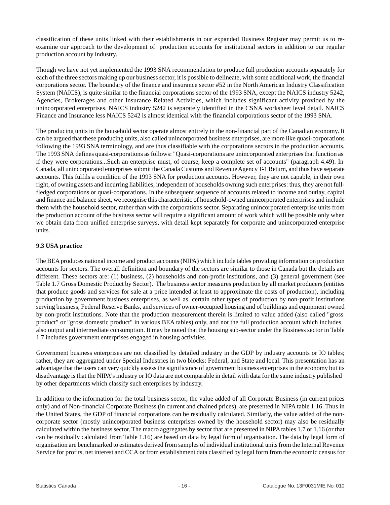classification of these units linked with their establishments in our expanded Business Register may permit us to reexamine our approach to the development of production accounts for institutional sectors in addition to our regular production account by industry.

Though we have not yet implemented the 1993 SNA recommendation to produce full production accounts separately for each of the three sectors making up our business sector, it is possible to delineate, with some additional work, the financial corporations sector. The boundary of the finance and insurance sector #52 in the North American Industry Classification System (NAICS), is quite similar to the financial corporations sector of the 1993 SNA, except the NAICS industry 5242, Agencies, Brokerages and other Insurance Related Activities, which includes significant activity provided by the unincorporated enterprises. NAICS industry 5242 is separately identified in the CSNA worksheet level detail. NAICS Finance and Insurance less NAICS 5242 is almost identical with the financial corporations sector of the 1993 SNA.

The producing units in the household sector operate almost entirely in the non-financial part of the Canadian economy. It can be argued that these producing units, also called unincorporated business enterprises, are more like quasi-corporations following the 1993 SNA terminology, and are thus classifiable with the corporations sectors in the production accounts. The 1993 SNA defines quasi-corporations as follows: "Quasi-corporations are unincorporated enterprises that function as if they were corporations...Such an enterprise must, of course, keep a complete set of accounts" (paragraph 4.49). In Canada, all unincorporated enterprises submit the Canada Customs and Revenue Agency T-1 Return, and thus have separate accounts. This fulfils a condition of the 1993 SNA for production accounts. However, they are not capable, in their own right, of owning assets and incurring liabilities, independent of households owning such enterprises: thus, they are not fullfledged corporations or quasi-corporations. In the subsequent sequence of accounts related to income and outlay, capital and finance and balance sheet, we recognise this characteristic of household-owned unincorporated enterprises and include them with the household sector, rather than with the corporations sector. Separating unincorporated enterprise units from the production account of the business sector will require a significant amount of work which will be possible only when we obtain data from unified enterprise surveys, with detail kept separately for corporate and unincorporated enterprise units.

# **9.3 USA practice**

The BEA produces national income and product accounts (NIPA) which include tables providing information on production accounts for sectors. The overall definition and boundary of the sectors are similar to those in Canada but the details are different. These sectors are: (1) business, (2) households and non-profit institutions, and (3) general government (see Table 1.7 Gross Domestic Product by Sector). The business sector measures production by all market producers (entities that produce goods and services for sale at a price intended at least to approximate the costs of production), including production by government business enterprises, as well as certain other types of production by non-profit institutions serving business, Federal Reserve Banks, and services of owner-occupied housing and of buildings and equipment owned by non-profit institutions. Note that the production measurement therein is limited to value added (also called "gross product" or "gross domestic product" in various BEA tables) only, and not the full production account which includes also output and intermediate consumption. It may be noted that the housing sub-sector under the Business sector in Table 1.7 includes government enterprises engaged in housing activities.

Government business enterprises are not classified by detailed industry in the GDP by industry accounts or IO tables; rather, they are aggregated under Special Industries in two blocks: Federal, and State and local. This presentation has an advantage that the users can very quickly assess the significance of government business enterprises in the economy but its disadvantage is that the NIPA's industry or IO data are not comparable in detail with data for the same industry published by other departments which classify such enterprises by industry.

In addition to the information for the total business sector, the value added of all Corporate Business (in current prices only) and of Non-financial Corporate Business (in current and chained prices), are presented in NIPA table 1.16. Thus in the United States, the GDP of financial corporations can be residually calculated. Similarly, the value added of the noncorporate sector (mostly unincorporated business enterprises owned by the household sector) may also be residually calculated within the business sector. The macro aggregates by sector that are presented in NIPA tables 1.7 or 1.16 (or that can be residually calculated from Table 1.16) are based on data by legal form of organisation. The data by legal form of organisation are benchmarked to estimates derived from samples of individual institutional units from the Internal Revenue Service for profits, net interest and CCA or from establishment data classified by legal form from the economic census for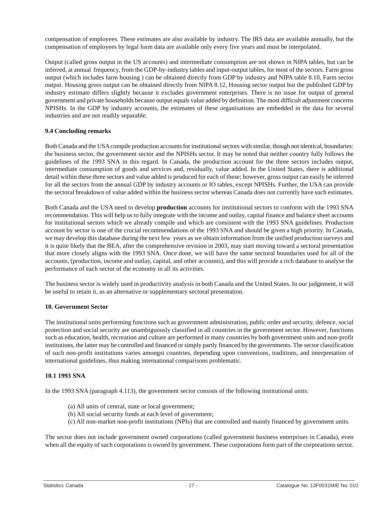<span id="page-17-0"></span>compensation of employees. These estimates are also available by industry. The IRS data are available annually, but the compensation of employees by legal form data are available only every five years and must be interpolated.

Output (called gross output in the US accounts) and intermediate consumption are not shown in NIPA tables, but can be inferred, at annual frequency, from the GDP-by-industry tables and input-output tables, for most of the sectors. Farm gross output (which includes farm housing ) can be obtained directly from GDP by industry and NIPA table 8.10, Farm sector output. Housing gross output can be obtained directly from NIPA 8.12, Housing sector output but the published GDP by industry estimate differs slightly because it excludes government enterprises. There is no issue for output of general government and private households because output equals value added by definition. The most difficult adjustment concerns NPISHs. In the GDP by industry accounts, the estimates of these organisations are embedded in the data for several industries and are not readily separable.

#### **9.4 Concluding remarks**

Both Canada and the USA compile production accounts for institutional sectors with similar, though not identical, boundaries: the business sector, the government sector and the NPISHs sector. It may be noted that neither country fully follows the guidelines of the 1993 SNA in this regard. In Canada, the production account for the three sectors includes output, intermediate consumption of goods and services and, residually, value added. In the United States, there is additional detail within these three sectors and value added is produced for each of these; however, gross output can easily be inferred for all the sectors from the annual GDP by industry accounts or IO tables, except NPISHs. Further, the USA can provide the sectoral breakdown of value added within the business sector whereas Canada does not currently have such estimates.

Both Canada and the USA need to develop **production** accounts for institutional sectors to conform with the 1993 SNA recommendation. This will help us to fully integrate with the income and outlay, capital finance and balance sheet accounts for institutional sectors which we already compile and which are consistent with the 1993 SNA guidelines. Production account by sector is one of the crucial recommendations of the 1993 SNA and should be given a high priority. In Canada, we may develop this database during the next few years as we obtain information from the unified production surveys and it is quite likely that the BEA, after the comprehensive revision in 2003, may start moving toward a sectoral presentation that more closely aligns with the 1993 SNA. Once done, we will have the same sectoral boundaries used for all of the accounts, (production, income and outlay, capital, and other accounts), and this will provide a rich database to analyse the performance of each sector of the economy in all its activities.

The business sector is widely used in productivity analysis in both Canada and the United States. In our judgement, it will be useful to retain it, as an alternative or supplementary sectoral presentation.

#### **10. Government Sector**

The institutional units performing functions such as government administration, public order and security, defence, social protection and social security are unambiguously classified in all countries in the government sector. However, functions such as education, health, recreation and culture are performed in many countries by both government units and non-profit institutions, the latter may be controlled and financed or simply partly financed by the governments. The sector classification of such non-profit institutions varies amongst countries, depending upon conventions, traditions, and interpretation of international guidelines, thus making international comparisons problematic.

#### **10.1 1993 SNA**

In the 1993 SNA (paragraph 4.113), the government sector consists of the following institutional units:

- (a) All units of central, state or local government;
- (b) All social security funds at each level of government;
- (c) All non-market non-profit institutions (NPIs) that are controlled and mainly financed by government units.

The sector does not include government owned corporations (called government business enterprises in Canada), even when all the equity of such corporations is owned by government. These corporations form part of the corporations sector.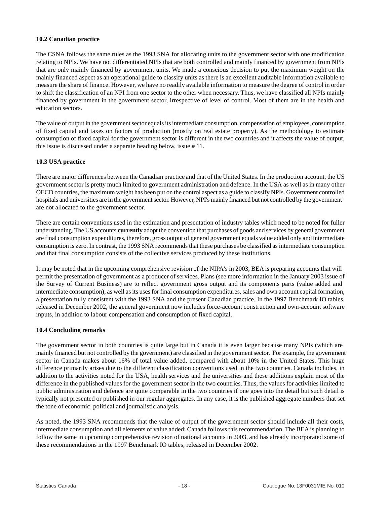# **10.2 Canadian practice**

The CSNA follows the same rules as the 1993 SNA for allocating units to the government sector with one modification relating to NPIs. We have not differentiated NPIs that are both controlled and mainly financed by government from NPIs that are only mainly financed by government units. We made a conscious decision to put the maximum weight on the mainly financed aspect as an operational guide to classify units as there is an excellent auditable information available to measure the share of finance. However, we have no readily available information to measure the degree of control in order to shift the classification of an NPI from one sector to the other when necessary. Thus, we have classified all NPIs mainly financed by government in the government sector, irrespective of level of control. Most of them are in the health and education sectors.

The value of output in the government sector equals its intermediate consumption, compensation of employees, consumption of fixed capital and taxes on factors of production (mostly on real estate property). As the methodology to estimate consumption of fixed capital for the government sector is different in the two countries and it affects the value of output, this issue is discussed under a separate heading below, issue # 11.

# **10.3 USA practice**

There are major differences between the Canadian practice and that of the United States. In the production account, the US government sector is pretty much limited to government administration and defence. In the USA as well as in many other OECD countries, the maximum weight has been put on the control aspect as a guide to classify NPIs. Government controlled hospitals and universities are in the government sector. However, NPI's mainly financed but not controlled by the government are not allocated to the government sector.

There are certain conventions used in the estimation and presentation of industry tables which need to be noted for fuller understanding. The US accounts **currently** adopt the convention that purchases of goods and services by general government are final consumption expenditures, therefore, gross output of general government equals value added only and intermediate consumption is zero. In contrast, the 1993 SNA recommends that these purchases be classified as intermediate consumption and that final consumption consists of the collective services produced by these institutions.

It may be noted that in the upcoming comprehensive revision of the NIPA's in 2003, BEA is preparing accounts that will permit the presentation of government as a producer of services. Plans (see more information in the January 2003 issue of the Survey of Current Business) are to reflect government gross output and its components parts (value added and intermediate consumption), as well as its uses for final consumption expenditures, sales and own account capital formation, a presentation fully consistent with the 1993 SNA and the present Canadian practice. In the 1997 Benchmark IO tables, released in December 2002, the general government now includes force-account construction and own-account software inputs, in addition to labour compensation and consumption of fixed capital.

#### **10.4 Concluding remarks**

The government sector in both countries is quite large but in Canada it is even larger because many NPIs (which are mainly financed but not controlled by the government) are classified in the government sector. For example, the government sector in Canada makes about 16% of total value added, compared with about 10% in the United States. This huge difference primarily arises due to the different classification conventions used in the two countries. Canada includes, in addition to the activities noted for the USA, health services and the universities and these additions explain most of the difference in the published values for the government sector in the two countries. Thus, the values for activities limited to public administration and defence are quite comparable in the two countries if one goes into the detail but such detail is typically not presented or published in our regular aggregates. In any case, it is the published aggregate numbers that set the tone of economic, political and journalistic analysis.

As noted, the 1993 SNA recommends that the value of output of the government sector should include all their costs, intermediate consumption and all elements of value added; Canada follows this recommendation. The BEA is planning to follow the same in upcoming comprehensive revision of national accounts in 2003, and has already incorporated some of these recommendations in the 1997 Benchmark IO tables, released in December 2002.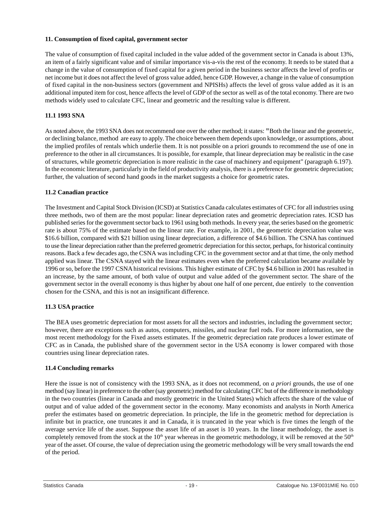# <span id="page-19-0"></span>**11. Consumption of fixed capital, government sector**

The value of consumption of fixed capital included in the value added of the government sector in Canada is about 13%, an item of a fairly significant value and of similar importance vis-a-vis the rest of the economy. It needs to be stated that a change in the value of consumption of fixed capital for a given period in the business sector affects the level of profits or net income but it does not affect the level of gross value added, hence GDP. However, a change in the value of consumption of fixed capital in the non-business sectors (government and NPISHs) affects the level of gross value added as it is an additional imputed item for cost, hence affects the level of GDP of the sector as well as of the total economy. There are two methods widely used to calculate CFC, linear and geometric and the resulting value is different.

# **11.1 1993 SNA**

As noted above, the 1993 SNA does not recommend one over the other method; it states: "Both the linear and the geometric, or declining balance, method are easy to apply. The choice between them depends upon knowledge, or assumptions, about the implied profiles of rentals which underlie them. It is not possible on a priori grounds to recommend the use of one in preference to the other in all circumstances. It is possible, for example, that linear depreciation may be realistic in the case of structures, while geometric depreciation is more realistic in the case of machinery and equipment" (paragraph 6.197). In the economic literature, particularly in the field of productivity analysis, there is a preference for geometric depreciation; further, the valuation of second hand goods in the market suggests a choice for geometric rates.

#### **11.2 Canadian practice**

The Investment and Capital Stock Division (ICSD) at Statistics Canada calculates estimates of CFC for all industries using three methods, two of them are the most popular: linear depreciation rates and geometric depreciation rates. ICSD has published series for the government sector back to 1961 using both methods. In every year, the series based on the geometric rate is about 75% of the estimate based on the linear rate. For example, in 2001, the geometric depreciation value was \$16.6 billion, compared with \$21 billion using linear depreciation, a difference of \$4.6 billion. The CSNA has continued to use the linear depreciation rather than the preferred geometric depreciation for this sector, perhaps, for historical continuity reasons. Back a few decades ago, the CSNA was including CFC in the government sector and at that time, the only method applied was linear. The CSNA stayed with the linear estimates even when the preferred calculation became available by 1996 or so, before the 1997 CSNA historical revisions. This higher estimate of CFC by \$4.6 billion in 2001 has resulted in an increase, by the same amount, of both value of output and value added of the government sector. The share of the government sector in the overall economy is thus higher by about one half of one percent, due entirely to the convention chosen for the CSNA, and this is not an insignificant difference.

# **11.3 USA practice**

The BEA uses geometric depreciation for most assets for all the sectors and industries, including the government sector; however, there are exceptions such as autos, computers, missiles, and nuclear fuel rods. For more information, see the most recent methodology for the Fixed assets estimates. If the geometric depreciation rate produces a lower estimate of CFC as in Canada, the published share of the government sector in the USA economy is lower compared with those countries using linear depreciation rates.

# **11.4 Concluding remarks**

Here the issue is not of consistency with the 1993 SNA, as it does not recommend, on *a priori* grounds, the use of one method (say linear) in preference to the other (say geometric) method for calculating CFC but of the difference in methodology in the two countries (linear in Canada and mostly geometric in the United States) which affects the share of the value of output and of value added of the government sector in the economy. Many economists and analysts in North America prefer the estimates based on geometric depreciation. In principle, the life in the geometric method for depreciation is infinite but in practice, one truncates it and in Canada, it is truncated in the year which is five times the length of the average service life of the asset. Suppose the asset life of an asset is 10 years. In the linear methodology, the asset is completely removed from the stock at the  $10<sup>th</sup>$  year whereas in the geometric methodology, it will be removed at the  $50<sup>th</sup>$ year of the asset. Of course, the value of depreciation using the geometric methodology will be very small towards the end of the period.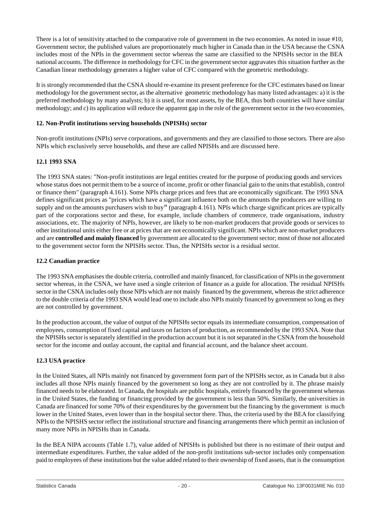<span id="page-20-0"></span>There is a lot of sensitivity attached to the comparative role of government in the two economies. As noted in issue #10, Government sector, the published values are proportionately much higher in Canada than in the USA because the CSNA includes most of the NPIs in the government sector whereas the same are classified to the NPISHs sector in the BEA national accounts. The difference in methodology for CFC in the government sector aggravates this situation further as the Canadian linear methodology generates a higher value of CFC compared with the geometric methodology.

It is strongly recommended that the CSNA should re-examine its present preference for the CFC estimates based on linear methodology for the government sector, as the alternative geometric methodology has many listed advantages: a) it is the preferred methodology by many analysts; b) it is used, for most assets, by the BEA, thus both countries will have similar methodology; and c) its application will reduce the apparent gap in the role of the government sector in the two economies,

#### **12. Non-Profit institutions serving households (NPISHs) sector**

Non-profit institutions (NPIs) serve corporations, and governments and they are classified to those sectors. There are also NPIs which exclusively serve households, and these are called NPISHs and are discussed here.

# **12.1 1993 SNA**

The 1993 SNA states: "Non-profit institutions are legal entities created for the purpose of producing goods and services whose status does not permit them to be a source of income, profit or other financial gain to the units that establish, control or finance them" (paragraph 4.161). Some NPIs charge prices and fees that are economically significant. The 1993 SNA defines significant prices as "prices which have a significant influence both on the amounts the producers are willing to supply and on the amounts purchasers wish to buy" (paragraph 4.161). NPIs which charge significant prices are typically part of the corporations sector and these, for example, include chambers of commerce, trade organisations, industry associations, etc. The majority of NPIs, however, are likely to be non-market producers that provide goods or services to other institutional units either free or at prices that are not economically significant. NPIs which are non-market producers and are **controlled and mainly financed** by government are allocated to the government sector; most of those not allocated to the government sector form the NPISHs sector. Thus, the NPISHs sector is a residual sector.

#### **12.2 Canadian practice**

The 1993 SNA emphasises the double criteria, controlled and mainly financed, for classification of NPIs in the government sector whereas, in the CSNA, we have used a single criterion of finance as a guide for allocation. The residual NPISHs sector in the CSNA includes only those NPIs which are not mainly financed by the government, whereas the strict adherence to the double criteria of the 1993 SNA would lead one to include also NPIs mainly financed by government so long as they are not controlled by government.

In the production account, the value of output of the NPISHs sector equals its intermediate consumption, compensation of employees, consumption of fixed capital and taxes on factors of production, as recommended by the 1993 SNA. Note that the NPISHs sector is separately identified in the production account but it is not separated in the CSNA from the household sector for the income and outlay account, the capital and financial account, and the balance sheet account.

#### **12.3 USA practice**

In the United States, all NPIs mainly not financed by government form part of the NPISHs sector, as in Canada but it also includes all those NPIs mainly financed by the government so long as they are not controlled by it. The phrase mainly financed needs to be elaborated. In Canada, the hospitals are public hospitals, entirely financed by the government whereas in the United States, the funding or financing provided by the government is less than 50%. Similarly, the universities in Canada are financed for some 70% of their expenditures by the government but the financing by the government is much lower in the United States, even lower than in the hospital sector there. Thus, the criteria used by the BEA for classifying NPIs to the NPISHS sector reflect the institutional structure and financing arrangements there which permit an inclusion of many more NPIs in NPISHs than in Canada.

In the BEA NIPA accounts (Table 1.7), value added of NPISHs is published but there is no estimate of their output and intermediate expenditures. Further, the value added of the non-profit institutions sub-sector includes only compensation paid to employees of these institutions but the value added related to their ownership of fixed assets, that is the consumption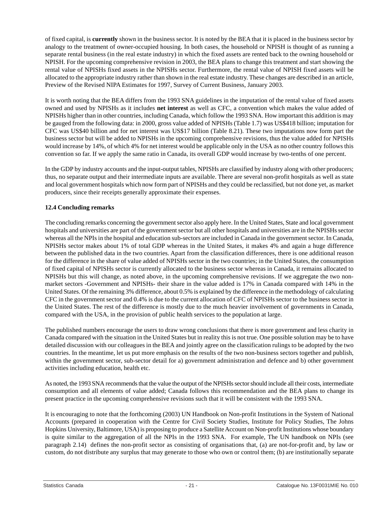of fixed capital, is **currently** shown in the business sector. It is noted by the BEA that it is placed in the business sector by analogy to the treatment of owner-occupied housing. In both cases, the household or NPISH is thought of as running a separate rental business (in the real estate industry) in which the fixed assets are rented back to the owning household or NPISH. For the upcoming comprehensive revision in 2003, the BEA plans to change this treatment and start showing the rental value of NPISHs fixed assets in the NPISHs sector. Furthermore, the rental value of NPISH fixed assets will be allocated to the appropriate industry rather than shown in the real estate industry. These changes are described in an article, Preview of the Revised NIPA Estimates for 1997, Survey of Current Business, January 2003.

It is worth noting that the BEA differs from the 1993 SNA guidelines in the imputation of the rental value of fixed assets owned and used by NPISHs as it includes **net interest** as well as CFC, a convention which makes the value added of NPISHs higher than in other countries, including Canada, which follow the 1993 SNA. How important this addition is may be gauged from the following data: in 2000, gross value added of NPISHs (Table 1.7) was US\$418 billion; imputation for CFC was US\$40 billion and for net interest was US\$17 billion (Table 8.21). These two imputations now form part the business sector but will be added to NPISHs in the upcoming comprehensive revisions, thus the value added for NPISHs would increase by 14%, of which 4% for net interest would be applicable only in the USA as no other country follows this convention so far. If we apply the same ratio in Canada, its overall GDP would increase by two-tenths of one percent.

In the GDP by industry accounts and the input-output tables, NPISHs are classified by industry along with other producers; thus, no separate output and their intermediate inputs are available. There are several non-profit hospitals as well as state and local government hospitals which now form part of NPISHs and they could be reclassified, but not done yet, as market producers, since their receipts generally approximate their expenses.

# **12.4 Concluding remarks**

The concluding remarks concerning the government sector also apply here. In the United States, State and local government hospitals and universities are part of the government sector but all other hospitals and universities are in the NPISHs sector whereas all the NPIs in the hospital and education sub-sectors are included in Canada in the government sector. In Canada, NPISHs sector makes about 1% of total GDP whereas in the United States, it makes 4% and again a huge difference between the published data in the two countries. Apart from the classification differences, there is one additional reason for the difference in the share of value added of NPISHs sector in the two countries; in the United States, the consumption of fixed capital of NPISHs sector is currently allocated to the business sector whereas in Canada, it remains allocated to NPISHs but this will change, as noted above, in the upcoming comprehensive revisions. If we aggregate the two nonmarket sectors -Government and NPISHs- their share in the value added is 17% in Canada compared with 14% in the United States. Of the remaining 3% difference, about 0.5% is explained by the difference in the methodology of calculating CFC in the government sector and 0.4% is due to the current allocation of CFC of NPISHs sector to the business sector in the United States. The rest of the difference is mostly due to the much heavier involvement of governments in Canada, compared with the USA, in the provision of public health services to the population at large.

The published numbers encourage the users to draw wrong conclusions that there is more government and less charity in Canada compared with the situation in the United States but in reality this is not true. One possible solution may be to have detailed discussion with our colleagues in the BEA and jointly agree on the classification rulings to be adopted by the two countries. In the meantime, let us put more emphasis on the results of the two non-business sectors together and publish, within the government sector, sub-sector detail for a) government administration and defence and b) other government activities including education, health etc.

As noted, the 1993 SNA recommends that the value the output of the NPISHs sector should include all their costs, intermediate consumption and all elements of value added; Canada follows this recommendation and the BEA plans to change its present practice in the upcoming comprehensive revisions such that it will be consistent with the 1993 SNA.

It is encouraging to note that the forthcoming (2003) UN Handbook on Non-profit Institutions in the System of National Accounts (prepared in cooperation with the Centre for Civil Society Studies, Institute for Policy Studies, The Johns Hopkins University, Baltimore, USA) is proposing to produce a Satellite Account on Non-profit Institutions whose boundary is quite similar to the aggregation of all the NPIs in the 1993 SNA. For example, The UN handbook on NPIs (see paragraph 2.14) defines the non-profit sector as consisting of organisations that, (a) are not-for-profit and, by law or custom, do not distribute any surplus that may generate to those who own or control them; (b) are institutionally separate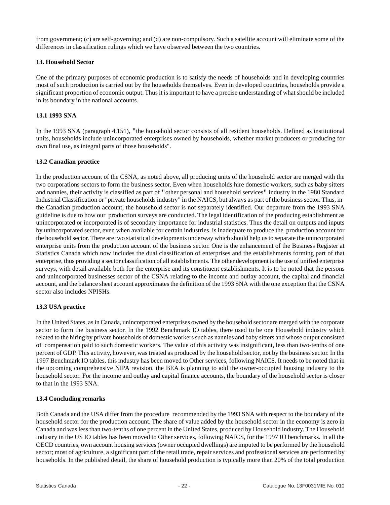<span id="page-22-0"></span>from government; (c) are self-governing; and (d) are non-compulsory. Such a satellite account will eliminate some of the differences in classification rulings which we have observed between the two countries.

#### **13. Household Sector**

One of the primary purposes of economic production is to satisfy the needs of households and in developing countries most of such production is carried out by the households themselves. Even in developed countries, households provide a significant proportion of economic output. Thus it is important to have a precise understanding of what should be included in its boundary in the national accounts.

# **13.1 1993 SNA**

In the 1993 SNA (paragraph 4.151), "the household sector consists of all resident households. Defined as institutional units, households include unincorporated enterprises owned by households, whether market producers or producing for own final use, as integral parts of those households".

# **13.2 Canadian practice**

In the production account of the CSNA, as noted above, all producing units of the household sector are merged with the two corporations sectors to form the business sector. Even when households hire domestic workers, such as baby sitters and nannies, their activity is classified as part of "other personal and household services" industry in the 1980 Standard Industrial Classification or "private households industry" in the NAICS, but always as part of the business sector. Thus, in the Canadian production account, the household sector is not separately identified. Our departure from the 1993 SNA guideline is due to how our production surveys are conducted. The legal identification of the producing establishment as unincorporated or incorporated is of secondary importance for industrial statistics. Thus the detail on outputs and inputs by unincorporated sector, even when available for certain industries, is inadequate to produce the production account for the household sector. There are two statistical developments underway which should help us to separate the unincorporated enterprise units from the production account of the business sector. One is the enhancement of the Business Register at Statistics Canada which now includes the dual classification of enterprises and the establishments forming part of that enterprise, thus providing a sector classification of all establishments. The other development is the use of unified enterprise surveys, with detail available both for the enterprise and its constituent establishments. It is to be noted that the persons and unincorporated businesses sector of the CSNA relating to the income and outlay account, the capital and financial account, and the balance sheet account approximates the definition of the 1993 SNA with the one exception that the CSNA sector also includes NPISHs.

# **13.3 USA practice**

In the United States, as in Canada, unincorporated enterprises owned by the household sector are merged with the corporate sector to form the business sector. In the 1992 Benchmark IO tables, there used to be one Household industry which related to the hiring by private households of domestic workers such as nannies and baby sitters and whose output consisted of compensation paid to such domestic workers. The value of this activity was insignificant, less than two-tenths of one percent of GDP. This activity, however, was treated as produced by the household sector, not by the business sector. In the 1997 Benchmark IO tables, this industry has been moved to Other services, following NAICS. It needs to be noted that in the upcoming comprehensive NIPA revision, the BEA is planning to add the owner-occupied housing industry to the household sector. For the income and outlay and capital finance accounts, the boundary of the household sector is closer to that in the 1993 SNA.

# **13.4 Concluding remarks**

Both Canada and the USA differ from the procedure recommended by the 1993 SNA with respect to the boundary of the household sector for the production account. The share of value added by the household sector in the economy is zero in Canada and was less than two-tenths of one percent in the United States, produced by Household industry. The Household industry in the US IO tables has been moved to Other services, following NAICS, for the 1997 IO benchmarks. In all the OECD countries, own account housing services (owner occupied dwellings) are imputed to be performed by the household sector; most of agriculture, a significant part of the retail trade, repair services and professional services are performed by households. In the published detail, the share of household production is typically more than 20% of the total production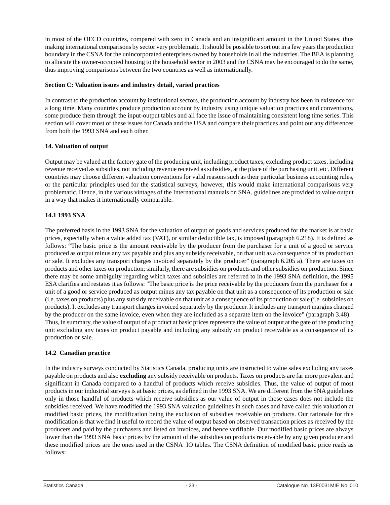<span id="page-23-0"></span>in most of the OECD countries, compared with zero in Canada and an insignificant amount in the United States, thus making international comparisons by sector very problematic. It should be possible to sort out in a few years the production boundary in the CSNA for the unincorporated enterprises owned by households in all the industries. The BEA is planning to allocate the owner-occupied housing to the household sector in 2003 and the CSNA may be encouraged to do the same, thus improving comparisons between the two countries as well as internationally.

#### **Section C: Valuation issues and industry detail, varied practices**

In contrast to the production account by institutional sectors, the production account by industry has been in existence for a long time. Many countries produce production account by industry using unique valuation practices and conventions, some produce them through the input-output tables and all face the issue of maintaining consistent long time series. This section will cover most of these issues for Canada and the USA and compare their practices and point out any differences from both the 1993 SNA and each other.

#### **14. Valuation of output**

Output may be valued at the factory gate of the producing unit, including product taxes, excluding product taxes, including revenue received as subsidies, not including revenue received as subsidies, at the place of the purchasing unit, etc. Different countries may choose different valuation conventions for valid reasons such as their particular business accounting rules, or the particular principles used for the statistical surveys; however, this would make international comparisons very problematic. Hence, in the various vintages of the International manuals on SNA, guidelines are provided to value output in a way that makes it internationally comparable.

# **14.1 1993 SNA**

The preferred basis in the 1993 SNA for the valuation of output of goods and services produced for the market is at basic prices, especially when a value added tax (VAT), or similar deductible tax, is imposed (paragraph 6.218). It is defined as follows: "The basic price is the amount receivable by the producer from the purchaser for a unit of a good or service produced as output minus any tax payable and plus any subsidy receivable, on that unit as a consequence of its production or sale. It excludes any transport charges invoiced separately by the producer" (paragraph 6.205 a). There are taxes on products and other taxes on production; similarly, there are subsidies on products and other subsidies on production. Since there may be some ambiguity regarding which taxes and subsidies are referred to in the 1993 SNA definition, the 1995 ESA clarifies and restates it as follows: "The basic price is the price receivable by the producers from the purchaser for a unit of a good or service produced as output minus any tax payable on that unit as a consequence of its production or sale (i.e. taxes on products) plus any subsidy receivable on that unit as a consequence of its production or sale (i.e. subsidies on products). It excludes any transport charges invoiced separately by the producer. It includes any transport margins charged by the producer on the same invoice, even when they are included as a separate item on the invoice" (paragraph 3.48). Thus, in summary, the value of output of a product at basic prices represents the value of output at the gate of the producing unit excluding any taxes on product payable and including any subsidy on product receivable as a consequence of its production or sale.

# **14.2 Canadian practice**

In the industry surveys conducted by Statistics Canada, producing units are instructed to value sales excluding any taxes payable on products and also **excluding** any subsidy receivable on products. Taxes on products are far more prevalent and significant in Canada compared to a handful of products which receive subsidies. Thus, the value of output of most products in our industrial surveys is at basic prices, as defined in the 1993 SNA. We are different from the SNA guidelines only in those handful of products which receive subsidies as our value of output in those cases does not include the subsidies received. We have modified the 1993 SNA valuation guidelines in such cases and have called this valuation at modified basic prices, the modification being the exclusion of subsidies receivable on products. Our rationale for this modification is that we find it useful to record the value of output based on observed transaction prices as received by the producers and paid by the purchasers and listed on invoices, and hence verifiable. Our modified basic prices are always lower than the 1993 SNA basic prices by the amount of the subsidies on products receivable by any given producer and these modified prices are the ones used in the CSNA IO tables. The CSNA definition of modified basic price reads as follows: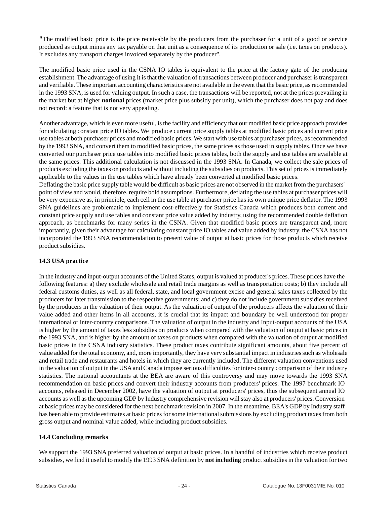"The modified basic price is the price receivable by the producers from the purchaser for a unit of a good or service produced as output minus any tax payable on that unit as a consequence of its production or sale (i.e. taxes on products). It excludes any transport charges invoiced separately by the producer".

The modified basic price used in the CSNA IO tables is equivalent to the price at the factory gate of the producing establishment. The advantage of using it is that the valuation of transactions between producer and purchaser is transparent and verifiable. These important accounting characteristics are not available in the event that the basic price, as recommended in the 1993 SNA, is used for valuing output. In such a case, the transactions will be reported, not at the prices prevailing in the market but at higher **notional** prices (market price plus subsidy per unit), which the purchaser does not pay and does not record: a feature that is not very appealing.

Another advantage, which is even more useful, is the facility and efficiency that our modified basic price approach provides for calculating constant price IO tables. We produce current price supply tables at modified basic prices and current price use tables at both purchaser prices and modified basic prices. We start with use tables at purchaser prices, as recommended by the 1993 SNA, and convert them to modified basic prices, the same prices as those used in supply tables. Once we have converted our purchaser price use tables into modified basic prices tables, both the supply and use tables are available at the same prices. This additional calculation is not discussed in the 1993 SNA. In Canada, we collect the sale prices of products excluding the taxes on products and without including the subsidies on products. This set of prices is immediately applicable to the values in the use tables which have already been converted at modified basic prices.

Deflating the basic price supply table would be difficult as basic prices are not observed in the market from the purchasers' point of view and would, therefore, require bold assumptions. Furthermore, deflating the use tables at purchaser prices will be very expensive as, in principle, each cell in the use table at purchaser price has its own unique price deflator. The 1993 SNA guidelines are problematic to implement cost-effectively for Statistics Canada which produces both current and constant price supply and use tables and constant price value added by industry, using the recommended double deflation approach, as benchmarks for many series in the CSNA. Given that modified basic prices are transparent and, more importantly, given their advantage for calculating constant price IO tables and value added by industry, the CSNA has not incorporated the 1993 SNA recommendation to present value of output at basic prices for those products which receive product subsidies.

# **14.3 USA practice**

In the industry and input-output accounts of the United States, output is valued at producer's prices. These prices have the following features: a) they exclude wholesale and retail trade margins as well as transportation costs; b) they include all federal customs duties, as well as all federal, state, and local government excise and general sales taxes collected by the producers for later transmission to the respective governments; and c) they do not include government subsidies received by the producers in the valuation of their output. As the valuation of output of the producers affects the valuation of their value added and other items in all accounts, it is crucial that its impact and boundary be well understood for proper international or inter-country comparisons. The valuation of output in the industry and Input-output accounts of the USA is higher by the amount of taxes less subsidies on products when compared with the valuation of output at basic prices in the 1993 SNA, and is higher by the amount of taxes on products when compared with the valuation of output at modified basic prices in the CSNA industry statistics. These product taxes contribute significant amounts, about five percent of value added for the total economy, and, more importantly, they have very substantial impact in industries such as wholesale and retail trade and restaurants and hotels in which they are currently included. The different valuation conventions used in the valuation of output in the USA and Canada impose serious difficulties for inter-country comparison of their industry statistics. The national accountants at the BEA are aware of this controversy and may move towards the 1993 SNA recommendation on basic prices and convert their industry accounts from producers' prices. The 1997 benchmark IO accounts, released in December 2002, have the valuation of output at producers' prices, thus the subsequent annual IO accounts as well as the upcoming GDP by Industry comprehensive revision will stay also at producers' prices. Conversion at basic prices may be considered for the next benchmark revision in 2007. In the meantime, BEA's GDP by Industry staff has been able to provide estimates at basic prices for some international submissions by excluding product taxes from both gross output and nominal value added, while including product subsidies.

# **14.4 Concluding remarks**

We support the 1993 SNA preferred valuation of output at basic prices. In a handful of industries which receive product subsidies, we find it useful to modify the 1993 SNA definition by **not including** product subsidies in the valuation for two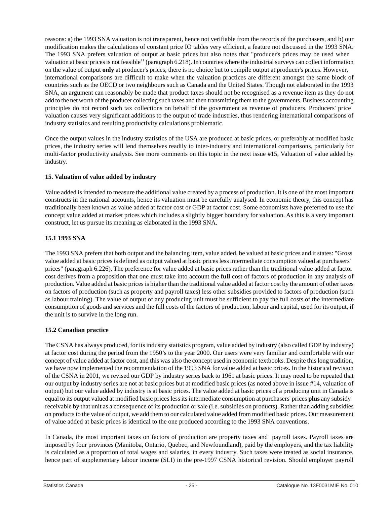<span id="page-25-0"></span>reasons: a) the 1993 SNA valuation is not transparent, hence not verifiable from the records of the purchasers, and b) our modification makes the calculations of constant price IO tables very efficient, a feature not discussed in the 1993 SNA. The 1993 SNA prefers valuation of output at basic prices but also notes that "producer's prices may be used when valuation at basic prices is not feasible" (paragraph 6.218). In countries where the industrial surveys can collect information on the value of output **only** at producer's prices, there is no choice but to compile output at producer's prices. However, international comparisons are difficult to make when the valuation practices are different amongst the same block of countries such as the OECD or two neighbours such as Canada and the United States. Though not elaborated in the 1993 SNA, an argument can reasonably be made that product taxes should not be recognised as a revenue item as they do not add to the net worth of the producer collecting such taxes and then transmitting them to the governments. Business accounting principles do not record such tax collections on behalf of the government as revenue of producers. Producers' price valuation causes very significant additions to the output of trade industries, thus rendering international comparisons of industry statistics and resulting productivity calculations problematic.

Once the output values in the industry statistics of the USA are produced at basic prices, or preferably at modified basic prices, the industry series will lend themselves readily to inter-industry and international comparisons, particularly for multi-factor productivity analysis. See more comments on this topic in the next issue #15, Valuation of value added by industry.

# **15. Valuation of value added by industry**

Value added is intended to measure the additional value created by a process of production. It is one of the most important constructs in the national accounts, hence its valuation must be carefully analysed. In economic theory, this concept has traditionally been known as value added at factor cost or GDP at factor cost. Some economists have preferred to use the concept value added at market prices which includes a slightly bigger boundary for valuation. As this is a very important construct, let us pursue its meaning as elaborated in the 1993 SNA.

# **15.1 1993 SNA**

The 1993 SNA prefers that both output and the balancing item, value added, be valued at basic prices and it states: "Gross value added at basic prices is defined as output valued at basic prices less intermediate consumption valued at purchasers' prices" (paragraph 6.226). The preference for value added at basic prices rather than the traditional value added at factor cost derives from a proposition that one must take into account the **full** cost of factors of production in any analysis of production. Value added at basic prices is higher than the traditional value added at factor cost by the amount of other taxes on factors of production (such as property and payroll taxes) less other subsidies provided to factors of production (such as labour training). The value of output of any producing unit must be sufficient to pay the full costs of the intermediate consumption of goods and services and the full costs of the factors of production, labour and capital, used for its output, if the unit is to survive in the long run.

# **15.2 Canadian practice**

The CSNA has always produced, for its industry statistics program, value added by industry (also called GDP by industry) at factor cost during the period from the 1950's to the year 2000. Our users were very familiar and comfortable with our concept of value added at factor cost, and this was also the concept used in economic textbooks. Despite this long tradition, we have now implemented the recommendation of the 1993 SNA for value added at basic prices. In the historical revision of the CSNA in 2001, we revised our GDP by industry series back to 1961 at basic prices. It may need to be repeated that our output by industry series are not at basic prices but at modified basic prices (as noted above in issue #14, valuation of output) but our value added by industry is at basic prices. The value added at basic prices of a producing unit in Canada is equal to its output valued at modified basic prices less its intermediate consumption at purchasers' prices **plus** any subsidy receivable by that unit as a consequence of its production or sale (i.e. subsidies on products). Rather than adding subsidies on products to the value of output, we add them to our calculated value added from modified basic prices. Our measurement of value added at basic prices is identical to the one produced according to the 1993 SNA conventions.

In Canada, the most important taxes on factors of production are property taxes and payroll taxes. Payroll taxes are imposed by four provinces (Manitoba, Ontario, Quebec, and Newfoundland), paid by the employers, and the tax liability is calculated as a proportion of total wages and salaries, in every industry. Such taxes were treated as social insurance, hence part of supplementary labour income (SLI) in the pre-1997 CSNA historical revision. Should employer payroll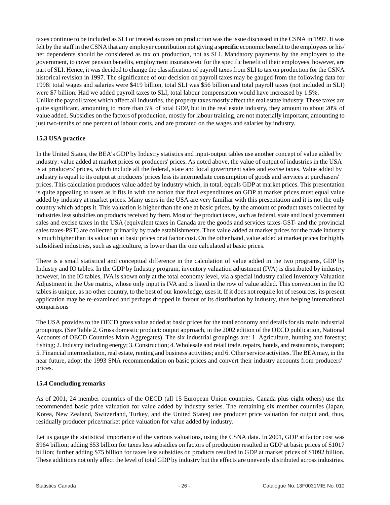taxes continue to be included as SLI or treated as taxes on production was the issue discussed in the CSNA in 1997. It was felt by the staff in the CSNA that any employer contribution not giving a **specific** economic benefit to the employees or his/ her dependents should be considered as tax on production, not as SLI. Mandatory payments by the employers to the government, to cover pension benefits, employment insurance etc for the specific benefit of their employees, however, are part of SLI. Hence, it was decided to change the classification of payroll taxes from SLI to tax on production for the CSNA historical revision in 1997. The significance of our decision on payroll taxes may be gauged from the following data for 1998: total wages and salaries were \$419 billion, total SLI was \$56 billion and total payroll taxes (not included in SLI) were \$7 billion. Had we added payroll taxes to SLI, total labour compensation would have increased by 1.5%. Unlike the payroll taxes which affect all industries, the property taxes mostly affect the real estate industry. These taxes are

quite significant, amounting to more than 5% of total GDP, but in the real estate industry, they amount to about 20% of value added. Subsidies on the factors of production, mostly for labour training, are not materially important, amounting to just two-tenths of one percent of labour costs, and are prorated on the wages and salaries by industry.

# **15.3 USA practice**

In the United States, the BEA's GDP by Industry statistics and input-output tables use another concept of value added by industry: value added at market prices or producers' prices. As noted above, the value of output of industries in the USA is at producers' prices, which include all the federal, state and local government sales and excise taxes. Value added by industry is equal to its output at producers' prices less its intermediate consumption of goods and services at purchasers' prices. This calculation produces value added by industry which, in total, equals GDP at market prices. This presentation is quite appealing to users as it fits in with the notion that final expenditures on GDP at market prices must equal value added by industry at market prices. Many users in the USA are very familiar with this presentation and it is not the only country which adopts it. This valuation is higher than the one at basic prices, by the amount of product taxes collected by industries less subsidies on products received by them. Most of the product taxes, such as federal, state and local government sales and excise taxes in the USA (equivalent taxes in Canada are the goods and services taxes-GST- and the provincial sales taxes-PST) are collected primarily by trade establishments. Thus value added at market prices for the trade industry is much higher than its valuation at basic prices or at factor cost. On the other hand, value added at market prices for highly subsidised industries, such as agriculture, is lower than the one calculated at basic prices.

There is a small statistical and conceptual difference in the calculation of value added in the two programs, GDP by Industry and IO tables. In the GDP by Industry program, inventory valuation adjustment (IVA) is distributed by industry; however, in the IO tables, IVA is shown only at the total economy level, via a special industry called Inventory Valuation Adjustment in the Use matrix, whose only input is IVA and is listed in the row of value added. This convention in the IO tables is unique, as no other country, to the best of our knowledge, uses it. If it does not require lot of resources, its present application may be re-examined and perhaps dropped in favour of its distribution by industry, thus helping international comparisons

The USA provides to the OECD gross value added at basic prices for the total economy and details for six main industrial groupings. (See Table 2, Gross domestic product: output approach, in the 2002 edition of the OECD publication, National Accounts of OECD Countries Main Aggregates). The six industrial groupings are: 1. Agriculture, hunting and forestry; fishing; 2. Industry including energy; 3. Construction; 4. Wholesale and retail trade, repairs, hotels, and restaurants, transport; 5. Financial intermediation, real estate, renting and business activities; and 6. Other service activities. The BEA may, in the near future, adopt the 1993 SNA recommendation on basic prices and convert their industry accounts from producers' prices.

# **15.4 Concluding remarks**

As of 2001, 24 member countries of the OECD (all 15 European Union countries, Canada plus eight others) use the recommended basic price valuation for value added by industry series. The remaining six member countries (Japan, Korea, New Zealand, Switzerland, Turkey, and the United States) use producer price valuation for output and, thus, residually producer price/market price valuation for value added by industry.

Let us gauge the statistical importance of the various valuations, using the CSNA data. In 2001, GDP at factor cost was \$964 billion; adding \$53 billion for taxes less subsidies on factors of production resulted in GDP at basic prices of \$1017 billion; further adding \$75 billion for taxes less subsidies on products resulted in GDP at market prices of \$1092 billion. These additions not only affect the level of total GDP by industry but the effects are unevenly distributed across industries.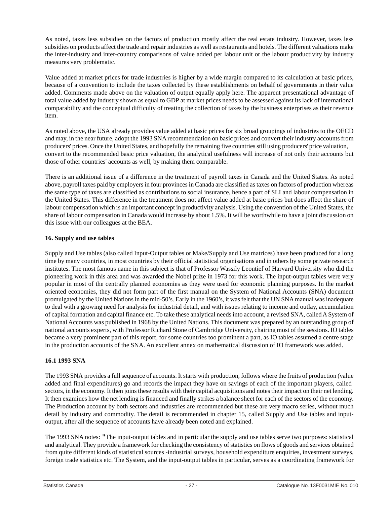<span id="page-27-0"></span>As noted, taxes less subsidies on the factors of production mostly affect the real estate industry. However, taxes less subsidies on products affect the trade and repair industries as well as restaurants and hotels. The different valuations make the inter-industry and inter-country comparisons of value added per labour unit or the labour productivity by industry measures very problematic.

Value added at market prices for trade industries is higher by a wide margin compared to its calculation at basic prices, because of a convention to include the taxes collected by these establishments on behalf of governments in their value added. Comments made above on the valuation of output equally apply here. The apparent presentational advantage of total value added by industry shown as equal to GDP at market prices needs to be assessed against its lack of international comparability and the conceptual difficulty of treating the collection of taxes by the business enterprises as their revenue item.

As noted above, the USA already provides value added at basic prices for six broad groupings of industries to the OECD and may, in the near future, adopt the 1993 SNA recommendation on basic prices and convert their industry accounts from producers' prices. Once the United States, and hopefully the remaining five countries still using producers' price valuation, convert to the recommended basic price valuation, the analytical usefulness will increase of not only their accounts but those of other countries' accounts as well, by making them comparable.

There is an additional issue of a difference in the treatment of payroll taxes in Canada and the United States. As noted above, payroll taxes paid by employers in four provinces in Canada are classified as taxes on factors of production whereas the same type of taxes are classified as contributions to social insurance, hence a part of SLI and labour compensation in the United States. This difference in the treatment does not affect value added at basic prices but does affect the share of labour compensation which is an important concept in productivity analysis. Using the convention of the United States, the share of labour compensation in Canada would increase by about 1.5%. It will be worthwhile to have a joint discussion on this issue with our colleagues at the BEA.

#### **16. Supply and use tables**

Supply and Use tables (also called Input-Output tables or Make/Supply and Use matrices) have been produced for a long time by many countries, in most countries by their official statistical organisations and in others by some private research institutes. The most famous name in this subject is that of Professor Wassily Leontief of Harvard University who did the pioneering work in this area and was awarded the Nobel prize in 1973 for this work. The input-output tables were very popular in most of the centrally planned economies as they were used for economic planning purposes. In the market oriented economies, they did not form part of the first manual on the System of National Accounts (SNA) document promulgated by the United Nations in the mid-50's. Early in the 1960's, it was felt that the UN SNA manual was inadequate to deal with a growing need for analysis for industrial detail, and with issues relating to income and outlay, accumulation of capital formation and capital finance etc. To take these analytical needs into account, a revised SNA, called A System of National Accounts was published in 1968 by the United Nations. This document was prepared by an outstanding group of national accounts experts, with Professor Richard Stone of Cambridge University, chairing most of the sessions. IO tables became a very prominent part of this report, for some countries too prominent a part, as IO tables assumed a centre stage in the production accounts of the SNA. An excellent annex on mathematical discussion of IO framework was added.

#### **16.1 1993 SNA**

The 1993 SNA provides a full sequence of accounts. It starts with production, follows where the fruits of production (value added and final expenditures) go and records the impact they have on savings of each of the important players, called sectors, in the economy. It then joins these results with their capital acquisitions and notes their impact on their net lending. It then examines how the net lending is financed and finally strikes a balance sheet for each of the sectors of the economy. The Production account by both sectors and industries are recommended but these are very macro series, without much detail by industry and commodity. The detail is recommended in chapter 15, called Supply and Use tables and inputoutput, after all the sequence of accounts have already been noted and explained.

The 1993 SNA notes: "The input-output tables and in particular the supply and use tables serve two purposes: statistical and analytical. They provide a framework for checking the consistency of statistics on flows of goods and services obtained from quite different kinds of statistical sources -industrial surveys, household expenditure enquiries, investment surveys, foreign trade statistics etc. The System, and the input-output tables in particular, serves as a coordinating framework for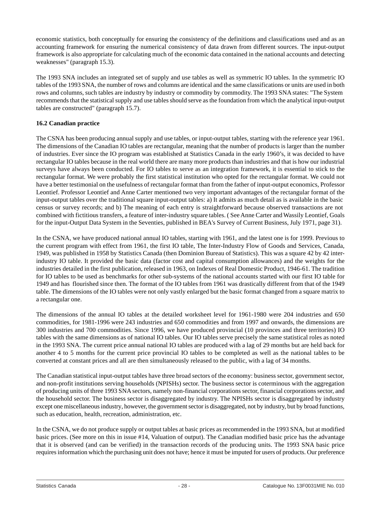economic statistics, both conceptually for ensuring the consistency of the definitions and classifications used and as an accounting framework for ensuring the numerical consistency of data drawn from different sources. The input-output framework is also appropriate for calculating much of the economic data contained in the national accounts and detecting weaknesses" (paragraph 15.3).

The 1993 SNA includes an integrated set of supply and use tables as well as symmetric IO tables. In the symmetric IO tables of the 1993 SNA, the number of rows and columns are identical and the same classifications or units are used in both rows and columns, such tables are industry by industry or commodity by commodity. The 1993 SNA states: "The System recommends that the statistical supply and use tables should serve as the foundation from which the analytical input-output tables are constructed" (paragraph 15.7).

# **16.2 Canadian practice**

The CSNA has been producing annual supply and use tables, or input-output tables, starting with the reference year 1961. The dimensions of the Canadian IO tables are rectangular, meaning that the number of products is larger than the number of industries. Ever since the IO program was established at Statistics Canada in the early 1960's, it was decided to have rectangular IO tables because in the real world there are many more products than industries and that is how our industrial surveys have always been conducted. For IO tables to serve as an integration framework, it is essential to stick to the rectangular format. We were probably the first statistical institution who opted for the rectangular format. We could not have a better testimonial on the usefulness of rectangular format than from the father of input-output economics, Professor Leontief. Professor Leontief and Anne Carter mentioned two very important advantages of the rectangular format of the input-output tables over the traditional square input-output tables: a) It admits as much detail as is available in the basic census or survey records; and b) The meaning of each entry is straightforward because observed transactions are not combined with fictitious transfers, a feature of inter-industry square tables. ( See Anne Carter and Wassily Leontief, Goals for the input-Output Data System in the Seventies, published in BEA's Survey of Current Business, July 1971, page 31).

In the CSNA, we have produced national annual IO tables, starting with 1961, and the latest one is for 1999. Previous to the current program with effect from 1961, the first IO table, The Inter-Industry Flow of Goods and Services, Canada, 1949, was published in 1958 by Statistics Canada (then Dominion Bureau of Statistics). This was a square 42 by 42 interindustry IO table. It provided the basic data (factor cost and capital consumption allowances) and the weights for the industries detailed in the first publication, released in 1963, on Indexes of Real Domestic Product, 1946-61. The tradition for IO tables to be used as benchmarks for other sub-systems of the national accounts started with our first IO table for 1949 and has flourished since then. The format of the IO tables from 1961 was drastically different from that of the 1949 table. The dimensions of the IO tables were not only vastly enlarged but the basic format changed from a square matrix to a rectangular one.

The dimensions of the annual IO tables at the detailed worksheet level for 1961-1980 were 204 industries and 650 commodities, for 1981-1996 were 243 industries and 650 commodities and from 1997 and onwards, the dimensions are 300 industries and 700 commodities. Since 1996, we have produced provincial (10 provinces and three territories) IO tables with the same dimensions as of national IO tables. Our IO tables serve precisely the same statistical roles as noted in the 1993 SNA. The current price annual national IO tables are produced with a lag of 29 months but are held back for another 4 to 5 months for the current price provincial IO tables to be completed as well as the national tables to be converted at constant prices and all are then simultaneously released to the public, with a lag of 34 months.

The Canadian statistical input-output tables have three broad sectors of the economy: business sector, government sector, and non-profit institutions serving households (NPISHs) sector. The business sector is coterminous with the aggregation of producing units of three 1993 SNA sectors, namely non-financial corporations sector, financial corporations sector, and the household sector. The business sector is disaggregated by industry. The NPISHs sector is disaggregated by industry except one miscellaneous industry, however, the government sector is disaggregated, not by industry, but by broad functions, such as education, health, recreation, administration, etc.

In the CSNA, we do not produce supply or output tables at basic prices as recommended in the 1993 SNA, but at modified basic prices. (See more on this in issue #14, Valuation of output). The Canadian modified basic price has the advantage that it is observed (and can be verified) in the transaction records of the producing units. The 1993 SNA basic price requires information which the purchasing unit does not have; hence it must be imputed for users of products. Our preference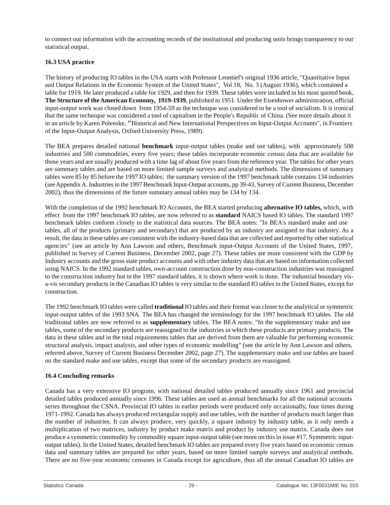to connect our information with the accounting records of the institutional and producing units brings transparency to our statistical output.

#### **16.3 USA practice**

The history of producing IO tables in the USA starts with Professor Leontief's original 1936 article, "Quantitative Input and Output Relations in the Economic System of the United States", Vol 18, No. 3 (August 1936), which contained a table for 1919. He later produced a table for 1929, and then for 1939. These tables were included in his most quoted book, **The Structure of the American Economy, 1919-1939**, published in 1951. Under the Eisenhower administration, official input-output work was closed down from 1954-59 as the technique was considered to be a tool of socialism. It is ironical that the same technique was considered a tool of capitalism in the People's Republic of China. (See more details about it in an article by Karen Polenske, "Historical and New International Perspectives on Input-Output Accounts", in Frontiers of the Input-Output Analysis, Oxford University Press, 1989).

The BEA prepares detailed national **benchmark** input-output tables (make and use tables), with approximately 500 industries and 500 commodities, every five years; these tables incorporate economic census data that are available for those years and are usually produced with a time lag of about five years from the reference year. The tables for other years are summary tables and are based on more limited sample surveys and analytical methods. The dimensions of summary tables were 85 by 85 before the 1997 IO tables; the summary version of the 1997 benchmark table contains 134 industries (see Appendix A. Industries in the 1997 Benchmark Input-Output accounts, pp 39-43, Survey of Current Business, December 2002), thus the dimensions of the future summary annual tables may be 134 by 134.

With the completion of the 1992 benchmark IO Accounts, the BEA started producing **alternative IO tables,** which, with effect from the 1997 benchmark IO tables, are now referred to as **standard** NAICS based IO tables. The standard 1997 benchmark tables conform closely to the statistical data sources. The BEA notes: "In BEA's standard make and use tables, all of the products (primary and secondary) that are produced by an industry are assigned to that industry. As a result, the data in these tables are consistent with the industry-based data that are collected and reported by other statistical agencies" (see an article by Ann Lawson and others, Benchmark input-Output Accounts of the United States, 1997, published in Survey of Current Business, December 2002, page 27). These tables are more consistent with the GDP by Industry accounts and the gross state product accounts and with other industry data that are based on information collected using NAICS. In the 1992 standard tables, own-account construction done by non-construction industries was reassigned to the construction industry but in the 1997 standard tables, it is shown where work is done. The industrial boundary visa-vis secondary products in the Canadian IO tables is very similar to the standard IO tables in the United States, except for construction.

The 1992 benchmark IO tables were called **traditional** IO tables and their format was closer to the analytical or symmetric input-output tables of the 1993 SNA. The BEA has changed the terminology for the 1997 benchmark IO tables. The old traditional tables are now referred to as **supplementary** tables. The BEA notes: "In the supplementary make and use tables, some of the secondary products are reassigned to the industries in which these products are primary products. The data in these tables and in the total requirements tables that are derived from them are valuable for performing economic structural analysis, impact analysis, and other types of economic modelling" (see the article by Ann Lawson and others, referred above, Survey of Current Business December 2002, page 27). The supplementary make and use tables are based on the standard make and use tables, except that some of the secondary products are reassigned.

# **16.4 Concluding remarks**

Canada has a very extensive IO program, with national detailed tables produced annually since 1961 and provincial detailed tables produced annually since 1996. These tables are used as annual benchmarks for all the national accounts series throughout the CSNA. Provincial IO tables in earlier periods were produced only occasionally, four times during 1971-1992. Canada has always produced rectangular supply and use tables, with the number of products much larger than the number of industries. It can always produce, very quickly, a square industry by industry table, as it only needs a multiplication of two matrices, industry by product make matrix and product by industry use matrix. Canada does not produce a symmetric commodity by commodity square input-output table (see more on this in issue #17, Symmetric inputoutput tables). In the United States, detailed benchmark IO tables are prepared every five years based on economic census data and summary tables are prepared for other years, based on more limited sample surveys and analytical methods. There are no five-year economic censuses in Canada except for agriculture, thus all the annual Canadian IO tables are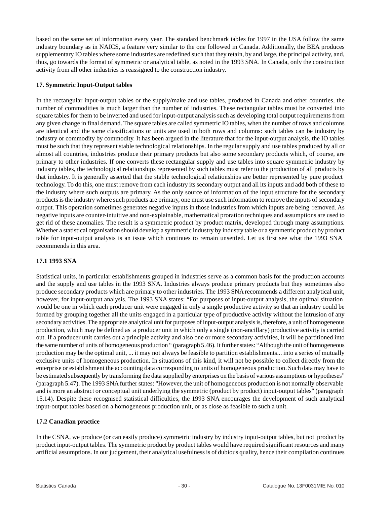<span id="page-30-0"></span>based on the same set of information every year. The standard benchmark tables for 1997 in the USA follow the same industry boundary as in NAICS, a feature very similar to the one followed in Canada. Additionally, the BEA produces supplementary IO tables where some industries are redefined such that they retain, by and large, the principal activity, and, thus, go towards the format of symmetric or analytical table, as noted in the 1993 SNA. In Canada, only the construction activity from all other industries is reassigned to the construction industry.

#### **17. Symmetric Input-Output tables**

In the rectangular input-output tables or the supply/make and use tables, produced in Canada and other countries, the number of commodities is much larger than the number of industries. These rectangular tables must be converted into square tables for them to be inverted and used for input-output analysis such as developing total output requirements from any given change in final demand. The square tables are called symmetric IO tables, when the number of rows and columns are identical and the same classifications or units are used in both rows and columns: such tables can be industry by industry or commodity by commodity. It has been argued in the literature that for the input-output analysis, the IO tables must be such that they represent stable technological relationships. In the regular supply and use tables produced by all or almost all countries, industries produce their primary products but also some secondary products which, of course, are primary to other industries. If one converts these rectangular supply and use tables into square symmetric industry by industry tables, the technological relationships represented by such tables must refer to the production of all products by that industry. It is generally asserted that the stable technological relationships are better represented by pure product technology. To do this, one must remove from each industry its secondary output and all its inputs and add both of these to the industry where such outputs are primary. As the only source of information of the input structure for the secondary products is the industry where such products are primary, one must use such information to remove the inputs of secondary output. This operation sometimes generates negative inputs in those industries from which inputs are being removed. As negative inputs are counter-intuitive and non-explainable, mathematical proration techniques and assumptions are used to get rid of these anomalies. The result is a symmetric product by product matrix, developed through many assumptions. Whether a statistical organisation should develop a symmetric industry by industry table or a symmetric product by product table for input-output analysis is an issue which continues to remain unsettled. Let us first see what the 1993 SNA recommends in this area.

#### **17.1 1993 SNA**

Statistical units, in particular establishments grouped in industries serve as a common basis for the production accounts and the supply and use tables in the 1993 SNA. Industries always produce primary products but they sometimes also produce secondary products which are primary to other industries. The 1993 SNA recommends a different analytical unit, however, for input-output analysis. The 1993 SNA states: "For purposes of input-output analysis, the optimal situation would be one in which each producer unit were engaged in only a single productive activity so that an industry could be formed by grouping together all the units engaged in a particular type of productive activity without the intrusion of any secondary activities.The appropriate analytical unit for purposes of input-output analysis is, therefore, a unit of homogeneous production, which may be defined as a producer unit in which only a single (non-ancillary) productive activity is carried out. If a producer unit carries out a principle activity and also one or more secondary activities, it will be partitioned into the same number of units of homogeneous production " (paragraph 5.46). It further states: "Although the unit of homogeneous production may be the optimal unit, ... it may not always be feasible to partition establishments... into a series of mutually exclusive units of homogeneous production. In situations of this kind, it will not be possible to collect directly from the enterprise or establishment the accounting data corresponding to units of homogeneous production. Such data may have to be estimated subsequently by transforming the data supplied by enterprises on the basis of various assumptions or hypotheses" (paragraph 5.47). The 1993 SNAfurther states: "However, the unit of homogeneous production is not normally observable and is more an abstract or conceptual unit underlying the symmetric (product by product) input-output tables" (paragraph 15.14). Despite these recognised statistical difficulties, the 1993 SNA encourages the development of such analytical input-output tables based on a homogeneous production unit, or as close as feasible to such a unit.

# **17.2 Canadian practice**

In the CSNA, we produce (or can easily produce) symmetric industry by industry input-output tables, but not product by product input-output tables. The symmetric product by product tables would have required significant resources and many artificial assumptions. In our judgement, their analytical usefulness is of dubious quality, hence their compilation continues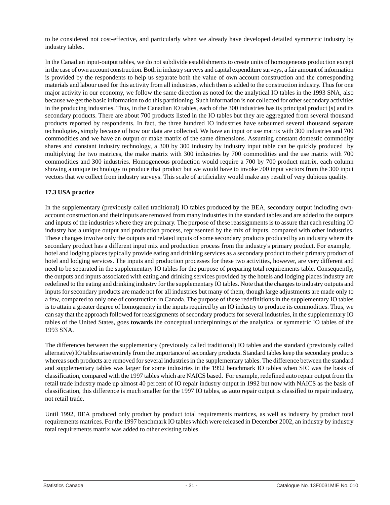to be considered not cost-effective, and particularly when we already have developed detailed symmetric industry by industry tables.

In the Canadian input-output tables, we do not subdivide establishments to create units of homogeneous production except in the case of own account construction. Both in industry surveys and capital expenditure surveys, a fair amount of information is provided by the respondents to help us separate both the value of own account construction and the corresponding materials and labour used for this activity from all industries, which then is added to the construction industry. Thus for one major activity in our economy, we follow the same direction as noted for the analytical IO tables in the 1993 SNA, also because we get the basic information to do this partitioning. Such information is not collected for other secondary activities in the producing industries. Thus, in the Canadian IO tables, each of the 300 industries has its principal product (s) and its secondary products. There are about 700 products listed in the IO tables but they are aggregated from several thousand products reported by respondents. In fact, the three hundred IO industries have subsumed several thousand separate technologies, simply because of how our data are collected. We have an input or use matrix with 300 industries and 700 commodities and we have an output or make matrix of the same dimensions. Assuming constant domestic commodity shares and constant industry technology, a 300 by 300 industry by industry input table can be quickly produced by multiplying the two matrices, the make matrix with 300 industries by 700 commodities and the use matrix with 700 commodities and 300 industries. Homogeneous production would require a 700 by 700 product matrix, each column showing a unique technology to produce that product but we would have to invoke 700 input vectors from the 300 input vectors that we collect from industry surveys. This scale of artificiality would make any result of very dubious quality.

# **17.3 USA practice**

In the supplementary (previously called traditional) IO tables produced by the BEA, secondary output including ownaccount construction and their inputs are removed from many industries in the standard tables and are added to the outputs and inputs of the industries where they are primary. The purpose of these reassignments is to assure that each resulting IO industry has a unique output and production process, represented by the mix of inputs, compared with other industries. These changes involve only the outputs and related inputs of some secondary products produced by an industry where the secondary product has a different input mix and production process from the industry's primary product. For example, hotel and lodging places typically provide eating and drinking services as a secondary product to their primary product of hotel and lodging services. The inputs and production processes for these two activities, however, are very different and need to be separated in the supplementary IO tables for the purpose of preparing total requirements table. Consequently, the outputs and inputs associated with eating and drinking services provided by the hotels and lodging places industry are redefined to the eating and drinking industry for the supplementary IO tables. Note that the changes to industry outputs and inputs for secondary products are made not for all industries but many of them, though large adjustments are made only to a few, compared to only one of construction in Canada. The purpose of these redefinitions in the supplementary IO tables is to attain a greater degree of homogeneity in the inputs required by an IO industry to produce its commodities. Thus, we can say that the approach followed for reassignments of secondary products for several industries, in the supplementary IO tables of the United States, goes **towards** the conceptual underpinnings of the analytical or symmetric IO tables of the 1993 SNA.

The differences between the supplementary (previously called traditional) IO tables and the standard (previously called alternative) IO tables arise entirely from the importance of secondary products. Standard tables keep the secondary products whereas such products are removed for several industries in the supplementary tables. The difference between the standard and supplementary tables was larger for some industries in the 1992 benchmark IO tables when SIC was the basis of classification, compared with the 1997 tables which are NAICS based. For example, redefined auto repair output from the retail trade industry made up almost 40 percent of IO repair industry output in 1992 but now with NAICS as the basis of classification, this difference is much smaller for the 1997 IO tables, as auto repair output is classified to repair industry, not retail trade.

Until 1992, BEA produced only product by product total requirements matrices, as well as industry by product total requirements matrices. For the 1997 benchmark IO tables which were released in December 2002, an industry by industry total requirements matrix was added to other existing tables.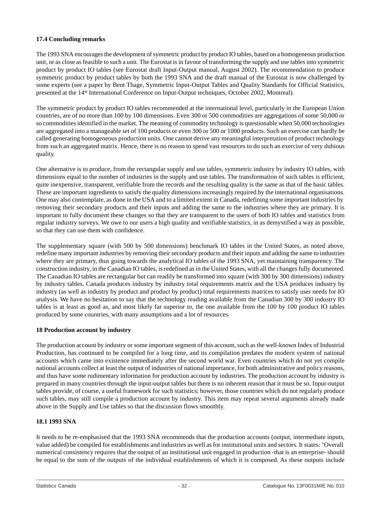# <span id="page-32-0"></span>**17.4 Concluding remarks**

The 1993 SNA encourages the development of symmetric product by product IO tables, based on a homogeneous production unit, or as close as feasible to such a unit. The Eurostat is in favour of transforming the supply and use tables into symmetric product by product IO tables (see Eurostat draft Input-Output manual, August 2002). The recommendation to produce symmetric product by product tables by both the 1993 SNA and the draft manual of the Eurostat is now challenged by some experts (see a paper by Bent Thage, Symmetric Input-Output Tables and Quality Standards for Official Statistics, presented at the 14th International Conference on Input-Output techniques, October 2002, Montreal).

The symmetric product by product IO tables recommended at the international level, particularly in the European Union countries, are of no more than 100 by 100 dimensions. Even 300 or 500 commodities are aggregations of some 50,000 or so commodities identified in the market. The meaning of commodity technology is questionable when 50,000 technologies are aggregated into a manageable set of 100 products or even 300 or 500 or 1000 products. Such an exercise can hardly be called generating homogeneous production units. One cannot derive any meaningful interpretation of product technology from such an aggregated matrix. Hence, there is no reason to spend vast resources to do such an exercise of very dubious quality.

One alternative is to produce, from the rectangular supply and use tables, symmetric industry by industry IO tables, with dimensions equal to the number of industries in the supply and use tables. The transformation of such tables is efficient, quite inexpensive, transparent, verifiable from the records and the resulting quality is the same as that of the basic tables. These are important ingredients to satisfy the quality dimensions increasingly required by the international organisations. One may also contemplate, as done in the USA and to a limited extent in Canada, redefining some important industries by removing their secondary products and their inputs and adding the same to the industries where they are primary. It is important to fully document these changes so that they are transparent to the users of both IO tables and statistics from regular industry surveys. We owe to our users a high quality and verifiable statistics, in as demystified a way as possible, so that they can use them with confidence.

The supplementary square (with 500 by 500 dimensions) benchmark IO tables in the United States, as noted above, redefine many important industries by removing their secondary products and their inputs and adding the same to industries where they are primary, thus going towards the analytical IO tables of the 1993 SNA, yet maintaining transparency. The construction industry, in the Canadian IO tables, is redefined as in the United States, with all the changes fully documented. The Canadian IO tables are rectangular but can readily be transformed into square (with 300 by 300 dimensions) industry by industry tables. Canada produces industry by industry total requirements matrix and the USA produces industry by industry (as well as industry by product and product by product) total requirements matrices to satisfy user needs for IO analysis. We have no hesitation to say that the technology reading available from the Canadian 300 by 300 industry IO tables is at least as good as, and most likely far superior to, the one available from the 100 by 100 product IO tables produced by some countries, with many assumptions and a lot of resources.

# **18 Production account by industry**

The production account by industry or some important segment of this account, such as the well-known Index of Industrial Production, has continued to be compiled for a long time, and its compilation predates the modern system of national accounts which came into existence immediately after the second world war. Even countries which do not yet compile national accounts collect at least the output of industries of national importance, for both administrative and policy reasons, and thus have some rudimentary information for production account by industries. The production account by industry is prepared in many countries through the input-output tables but there is no inherent reason that it must be so. Input-output tables provide, of course, a useful framework for such statistics; however, those countries which do not regularly produce such tables, may still compile a production account by industry. This item may repeat several arguments already made above in the Supply and Use tables so that the discussion flows smoothly.

# **18.1 1993 SNA**

It needs to be re-emphasised that the 1993 SNA recommends that the production accounts (output, intermediate inputs, value added) be compiled for establishments and industries as well as for institutional units and sectors. It states: "Overall numerical consistency requires that the output of an institutional unit engaged in production -that is an enterprise- should be equal to the sum of the outputs of the individual establishments of which it is composed. As these outputs include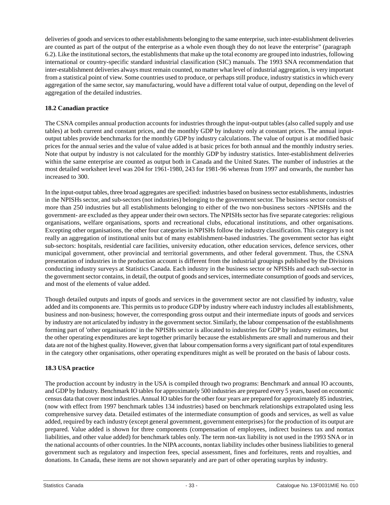deliveries of goods and services to other establishments belonging to the same enterprise, such inter-establishment deliveries are counted as part of the output of the enterprise as a whole even though they do not leave the enterprise" (paragraph 6.2). Like the institutional sectors, the establishments that make up the total economy are grouped into industries, following international or country-specific standard industrial classification (SIC) manuals. The 1993 SNA recommendation that inter-establishment deliveries always must remain counted, no matter what level of industrial aggregation, is very important from a statistical point of view. Some countries used to produce, or perhaps still produce, industry statistics in which every aggregation of the same sector, say manufacturing, would have a different total value of output, depending on the level of aggregation of the detailed industries.

# **18.2 Canadian practice**

The CSNA compiles annual production accounts for industries through the input-output tables (also called supply and use tables) at both current and constant prices, and the monthly GDP by industry only at constant prices. The annual inputoutput tables provide benchmarks for the monthly GDP by industry calculations. The value of output is at modified basic prices for the annual series and the value of value added is at basic prices for both annual and the monthly industry series. Note that output by industry is not calculated for the monthly GDP by industry statistics. Inter-establishment deliveries within the same enterprise are counted as output both in Canada and the United States. The number of industries at the most detailed worksheet level was 204 for 1961-1980, 243 for 1981-96 whereas from 1997 and onwards, the number has increased to 300.

In the input-output tables, three broad aggregates are specified: industries based on business sector establishments, industries in the NPISHs sector, and sub-sectors (not industries) belonging to the government sector. The business sector consists of more than 250 industries but all establishments belonging to either of the two non-business sectors -NPISHs and the government- are excluded as they appear under their own sectors. The NPISHs sector has five separate categories: religious organisations, welfare organisations, sports and recreational clubs, educational institutions, and other organisations. Excepting other organisations, the other four categories in NPISHs follow the industry classification. This category is not really an aggregation of institutional units but of many establishment-based industries. The government sector has eight sub-sectors: hospitals, residential care facilities, university education, other education services, defence services, other municipal government, other provincial and territorial governments, and other federal government. Thus, the CSNA presentation of industries in the production account is different from the industrial groupings published by the Divisions conducting industry surveys at Statistics Canada. Each industry in the business sector or NPISHs and each sub-sector in the government sector contains, in detail, the output of goods and services, intermediate consumption of goods and services, and most of the elements of value added.

Though detailed outputs and inputs of goods and services in the government sector are not classified by industry, value added and its components are. This permits us to produce GDP by industry where each industry includes all establishments, business and non-business; however, the corresponding gross output and their intermediate inputs of goods and services by industry are not articulated by industry in the government sector. Similarly, the labour compensation of the establishments forming part of 'other organisations' in the NPISHs sector is allocated to industries for GDP by industry estimates, but the other operating expenditures are kept together primarily because the establishments are small and numerous and their data are not of the highest quality. However, given that labour compensation forms a very significant part of total expenditures in the category other organisations, other operating expenditures might as well be prorated on the basis of labour costs.

# **18.3 USA practice**

The production account by industry in the USA is compiled through two programs: Benchmark and annual IO accounts, and GDP by Industry. Benchmark IO tables for approximately 500 industries are prepared every 5 years, based on economic census data that cover most industries. Annual IO tables for the other four years are prepared for approximately 85 industries, (now with effect from 1997 benchmark tables 134 industries) based on benchmark relationships extrapolated using less comprehensive survey data. Detailed estimates of the intermediate consumption of goods and services, as well as value added, required by each industry (except general government, government enterprises) for the production of its output are prepared. Value added is shown for three components (compensation of employees, indirect business tax and nontax liabilities, and other value added) for benchmark tables only. The term non-tax liability is not used in the 1993 SNA or in the national accounts of other countries. In the NIPA accounts, nontax liability includes other business liabilities to general government such as regulatory and inspection fees, special assessment, fines and forfeitures, rents and royalties, and donations. In Canada, these items are not shown separately and are part of other operating surplus by industry.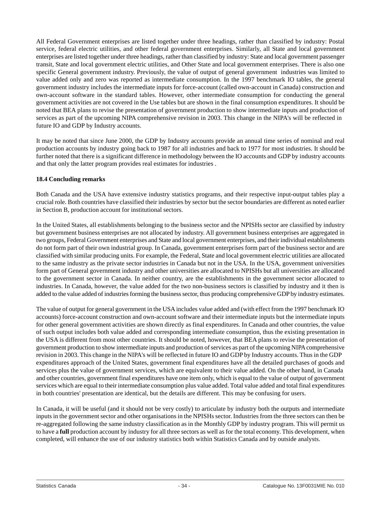All Federal Government enterprises are listed together under three headings, rather than classified by industry: Postal service, federal electric utilities, and other federal government enterprises. Similarly, all State and local government enterprises are listed together under three headings, rather than classified by industry: State and local government passenger transit, State and local government electric utilities, and Other State and local government enterprises. There is also one specific General government industry. Previously, the value of output of general government industries was limited to value added only and zero was reported as intermediate consumption. In the 1997 benchmark IO tables, the general government industry includes the intermediate inputs for force-account (called own-account in Canada) construction and own-account software in the standard tables. However, other intermediate consumption for conducting the general government activities are not covered in the Use tables but are shown in the final consumption expenditures. It should be noted that BEA plans to revise the presentation of government production to show intermediate inputs and production of services as part of the upcoming NIPA comprehensive revision in 2003. This change in the NIPA's will be reflected in future IO and GDP by Industry accounts.

It may be noted that since June 2000, the GDP by Industry accounts provide an annual time series of nominal and real production accounts by industry going back to 1987 for all industries and back to 1977 for most industries. It should be further noted that there is a significant difference in methodology between the IO accounts and GDP by industry accounts and that only the latter program provides real estimates for industries .

# **18.4 Concluding remarks**

Both Canada and the USA have extensive industry statistics programs, and their respective input-output tables play a crucial role. Both countries have classified their industries by sector but the sector boundaries are different as noted earlier in Section B, production account for institutional sectors.

In the United States, all establishments belonging to the business sector and the NPISHs sector are classified by industry but government business enterprises are not allocated by industry. All government business enterprises are aggregated in two groups, Federal Government enterprises and State and local government enterprises, and their individual establishments do not form part of their own industrial group. In Canada, government enterprises form part of the business sector and are classified with similar producing units. For example, the Federal, State and local government electric utilities are allocated to the same industry as the private sector industries in Canada but not in the USA. In the USA, government universities form part of General government industry and other universities are allocated to NPISHs but all universities are allocated to the government sector in Canada. In neither country, are the establishments in the government sector allocated to industries. In Canada, however, the value added for the two non-business sectors is classified by industry and it then is added to the value added of industries forming the business sector, thus producing comprehensive GDP by industry estimates.

The value of output for general government in the USA includes value added and (with effect from the 1997 benchmark IO accounts) force-account construction and own-account software and their intermediate inputs but the intermediate inputs for other general government activities are shown directly as final expenditures. In Canada and other countries, the value of such output includes both value added and corresponding intermediate consumption, thus the existing presentation in the USA is different from most other countries. It should be noted, however, that BEA plans to revise the presentation of government production to show intermediate inputs and production of services as part of the upcoming NIPA comprehensive revision in 2003. This change in the NIPA's will be reflected in future IO and GDP by Industry accounts. Thus in the GDP expenditures approach of the United States, government final expenditures have all the detailed purchases of goods and services plus the value of government services, which are equivalent to their value added. On the other hand, in Canada and other countries, government final expenditures have one item only, which is equal to the value of output of government services which are equal to their intermediate consumption plus value added. Total value added and total final expenditures in both countries' presentation are identical, but the details are different. This may be confusing for users.

In Canada, it will be useful (and it should not be very costly) to articulate by industry both the outputs and intermediate inputs in the government sector and other organisations in the NPISHs sector. Industries from the three sectors can then be re-aggregated following the same industry classification as in the Monthly GDP by industry program. This will permit us to have a **full** production account by industry for all three sectors as well as for the total economy. This development, when completed, will enhance the use of our industry statistics both within Statistics Canada and by outside analysts.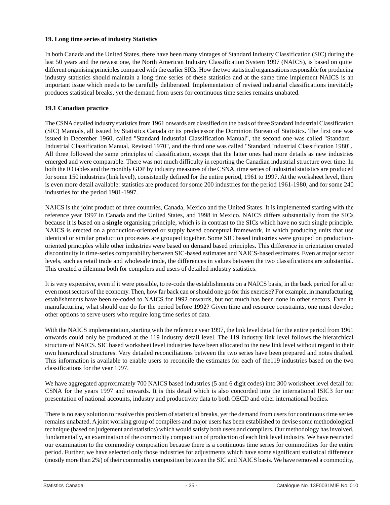#### <span id="page-35-0"></span>**19. Long time series of industry Statistics**

In both Canada and the United States, there have been many vintages of Standard Industry Classification (SIC) during the last 50 years and the newest one, the North American Industry Classification System 1997 (NAICS), is based on quite different organising principles compared with the earlier SICs. How the two statistical organisations responsible for producing industry statistics should maintain a long time series of these statistics and at the same time implement NAICS is an important issue which needs to be carefully deliberated. Implementation of revised industrial classifications inevitably produces statistical breaks, yet the demand from users for continuous time series remains unabated.

#### **19.1 Canadian practice**

The CSNA detailed industry statistics from 1961 onwards are classified on the basis of three Standard Industrial Classification (SIC) Manuals, all issued by Statistics Canada or its predecessor the Dominion Bureau of Statistics. The first one was issued in December 1960, called "Standard Industrial Classification Manual", the second one was called "Standard Industrial Classification Manual, Revised 1970", and the third one was called "Standard Industrial Classification 1980". All three followed the same principles of classification, except that the latter ones had more details as new industries emerged and were comparable. There was not much difficulty in reporting the Canadian industrial structure over time. In both the IO tables and the monthly GDP by industry measures of the CSNA, time series of industrial statistics are produced for some 150 industries (link level), consistently defined for the entire period, 1961 to 1997. At the worksheet level, there is even more detail available: statistics are produced for some 200 industries for the period 1961-1980, and for some 240 industries for the period 1981-1997.

NAICS is the joint product of three countries, Canada, Mexico and the United States. It is implemented starting with the reference year 1997 in Canada and the United States, and 1998 in Mexico. NAICS differs substantially from the SICs because it is based on a **single** organising principle, which is in contrast to the SICs which have no such single principle. NAICS is erected on a production-oriented or supply based conceptual framework, in which producing units that use identical or similar production processes are grouped together. Some SIC based industries were grouped on productionoriented principles while other industries were based on demand based principles. This difference in orientation created discontinuity in time-series comparability between SIC-based estimates and NAICS-based estimates. Even at major sector levels, such as retail trade and wholesale trade, the differences in values between the two classifications are substantial. This created a dilemma both for compilers and users of detailed industry statistics.

It is very expensive, even if it were possible, to re-code the establishments on a NAICS basis, in the back period for all or even most sectors of the economy. Then, how far back can or should one go for this exercise? For example, in manufacturing, establishments have been re-coded to NAICS for 1992 onwards, but not much has been done in other sectors. Even in manufacturing, what should one do for the period before 1992? Given time and resource constraints, one must develop other options to serve users who require long time series of data.

With the NAICS implementation, starting with the reference year 1997, the link level detail for the entire period from 1961 onwards could only be produced at the 119 industry detail level. The 119 industry link level follows the hierarchical structure of NAICS. SIC based worksheet level industries have been allocated to the new link level without regard to their own hierarchical structures. Very detailed reconciliations between the two series have been prepared and notes drafted. This information is available to enable users to reconcile the estimates for each of the119 industries based on the two classifications for the year 1997.

We have aggregated approximately 700 NAICS based industries (5 and 6 digit codes) into 300 worksheet level detail for CSNA for the years 1997 and onwards. It is this detail which is also concorded into the international ISIC3 for our presentation of national accounts, industry and productivity data to both OECD and other international bodies.

There is no easy solution to resolve this problem of statistical breaks, yet the demand from users for continuous time series remains unabated. A joint working group of compilers and major users has been established to devise some methodological technique (based on judgement and statistics) which would satisfy both users and compilers. Our methodology has involved, fundamentally, an examination of the commodity composition of production of each link level industry. We have restricted our examination to the commodity composition because there is a continuous time series for commodities for the entire period. Further, we have selected only those industries for adjustments which have some significant statistical difference (mostly more than 2%) of their commodity composition between the SIC and NAICS basis. We have removed a commodity,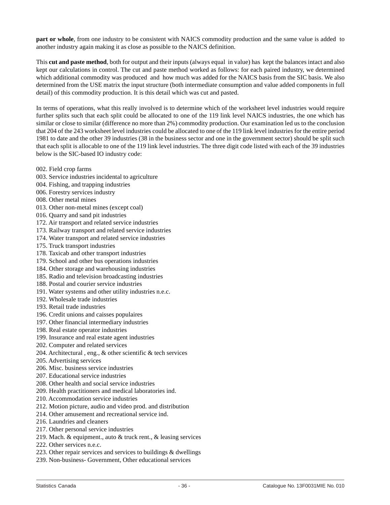**part or whole**, from one industry to be consistent with NAICS commodity production and the same value is added to another industry again making it as close as possible to the NAICS definition.

This **cut and paste method**, both for output and their inputs (always equal in value) has kept the balances intact and also kept our calculations in control. The cut and paste method worked as follows: for each paired industry, we determined which additional commodity was produced and how much was added for the NAICS basis from the SIC basis. We also determined from the USE matrix the input structure (both intermediate consumption and value added components in full detail) of this commodity production. It is this detail which was cut and pasted.

In terms of operations, what this really involved is to determine which of the worksheet level industries would require further splits such that each split could be allocated to one of the 119 link level NAICS industries, the one which has similar or close to similar (difference no more than 2%) commodity production. Our examination led us to the conclusion that 204 of the 243 worksheet level industries could be allocated to one of the 119 link level industries for the entire period 1981 to date and the other 39 industries (38 in the business sector and one in the government sector) should be split such that each split is allocable to one of the 119 link level industries. The three digit code listed with each of the 39 industries below is the SIC-based IO industry code:

- 002. Field crop farms
- 003. Service industries incidental to agriculture
- 004. Fishing, and trapping industries
- 006. Forestry services industry
- 008. Other metal mines
- 013. Other non-metal mines (except coal)
- 016. Quarry and sand pit industries
- 172. Air transport and related service industries
- 173. Railway transport and related service industries
- 174. Water transport and related service industries
- 175. Truck transport industries
- 178. Taxicab and other transport industries
- 179. School and other bus operations industries
- 184. Other storage and warehousing industries
- 185. Radio and television broadcasting industries
- 188. Postal and courier service industries
- 191. Water systems and other utility industries n.e.c.
- 192. Wholesale trade industries
- 193. Retail trade industries
- 196. Credit unions and caisses populaires
- 197. Other financial intermediary industries
- 198. Real estate operator industries
- 199. Insurance and real estate agent industries
- 202. Computer and related services
- 204. Architectural , eng., & other scientific & tech services
- 205. Advertising services
- 206. Misc. business service industries
- 207. Educational service industries
- 208. Other health and social service industries
- 209. Health practitioners and medical laboratories ind.
- 210. Accommodation service industries
- 212. Motion picture, audio and video prod. and distribution
- 214. Other amusement and recreational service ind.
- 216. Laundries and cleaners
- 217. Other personal service industries
- 219. Mach. & equipment., auto & truck rent., & leasing services
- 222. Other services n.e.c.
- 223. Other repair services and services to buildings & dwellings
- 239. Non-business- Government, Other educational services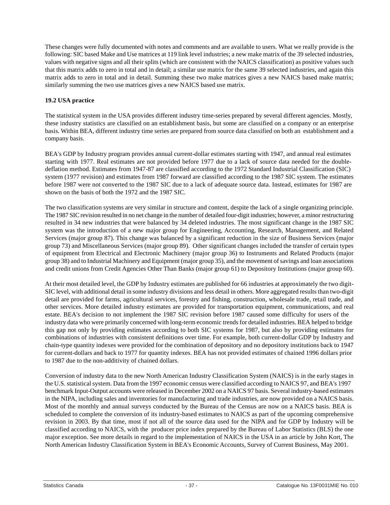These changes were fully documented with notes and comments and are available to users. What we really provide is the following: SIC based Make and Use matrices at 119 link level industries; a new make matrix of the 39 selected industries, values with negative signs and all their splits (which are consistent with the NAICS classification) as positive values such that this matrix adds to zero in total and in detail; a similar use matrix for the same 39 selected industries, and again this matrix adds to zero in total and in detail. Summing these two make matrices gives a new NAICS based make matrix; similarly summing the two use matrices gives a new NAICS based use matrix.

# **19.2 USA practice**

The statistical system in the USA provides different industry time-series prepared by several different agencies. Mostly, these industry statistics are classified on an establishment basis, but some are classified on a company or an enterprise basis. Within BEA, different industry time series are prepared from source data classified on both an establishment and a company basis.

BEA's GDP by Industry program provides annual current-dollar estimates starting with 1947, and annual real estimates starting with 1977. Real estimates are not provided before 1977 due to a lack of source data needed for the doubledeflation method. Estimates from 1947-87 are classified according to the 1972 Standard Industrial Classification (SIC) system (1977 revision) and estimates from 1987 forward are classified according to the 1987 SIC system. The estimates before 1987 were not converted to the 1987 SIC due to a lack of adequate source data. Instead, estimates for 1987 are shown on the basis of both the 1972 and the 1987 SIC.

The two classification systems are very similar in structure and content, despite the lack of a single organizing principle. The 1987 SIC revision resulted in no net change in the number of detailed four-digit industries; however, a minor restructuring resulted in 34 new industries that were balanced by 34 deleted industries. The most significant change in the 1987 SIC system was the introduction of a new major group for Engineering, Accounting, Research, Management, and Related Services (major group 87). This change was balanced by a significant reduction in the size of Business Services (major group 73) and Miscellaneous Services (major group 89). Other significant changes included the transfer of certain types of equipment from Electrical and Electronic Machinery (major group 36) to Instruments and Related Products (major group 38) and to Industrial Machinery and Equipment (major group 35), and the movement of savings and loan associations and credit unions from Credit Agencies Other Than Banks (major group 61) to Depository Institutions (major group 60).

At their most detailed level, the GDP by Industry estimates are published for 66 industries at approximately the two digit-SIC level, with additional detail in some industry divisions and less detail in others. More aggregated results than two-digit detail are provided for farms, agricultural services, forestry and fishing, construction, wholesale trade, retail trade, and other services. More detailed industry estimates are provided for transportation equipment, communications, and real estate. BEA's decision to not implement the 1987 SIC revision before 1987 caused some difficulty for users of the industry data who were primarily concerned with long-term economic trends for detailed industries. BEA helped to bridge this gap not only by providing estimates according to both SIC systems for 1987, but also by providing estimates for combinations of industries with consistent definitions over time. For example, both current-dollar GDP by Industry and chain-type quantity indexes were provided for the combination of depository and no depository institutions back to 1947 for current-dollars and back to 1977 for quantity indexes. BEA has not provided estimates of chained 1996 dollars prior to 1987 due to the non-additivity of chained dollars.

Conversion of industry data to the new North American Industry Classification System (NAICS) is in the early stages in the U.S. statistical system. Data from the 1997 economic census were classified according to NAICS 97, and BEA's 1997 benchmark Input-Output accounts were released in December 2002 on a NAICS 97 basis. Several industry-based estimates in the NIPA, including sales and inventories for manufacturing and trade industries, are now provided on a NAICS basis. Most of the monthly and annual surveys conducted by the Bureau of the Census are now on a NAICS basis. BEA is scheduled to complete the conversion of its industry-based estimates to NAICS as part of the upcoming comprehensive revision in 2003. By that time, most if not all of the source data used for the NIPA and for GDP by Industry will be classified according to NAICS, with the producer price index prepared by the Bureau of Labor Statistics (BLS) the one major exception. See more details in regard to the implementation of NAICS in the USA in an article by John Kort, The North American Industry Classification System in BEA's Economic Accounts, Survey of Current Business, May 2001.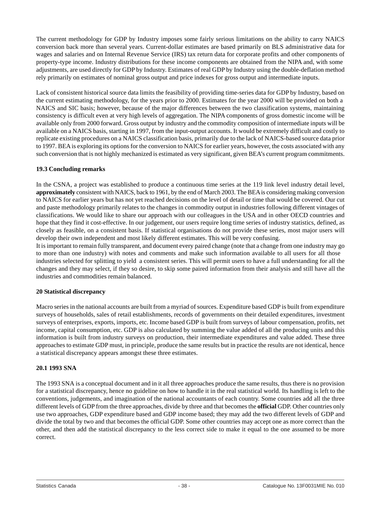<span id="page-38-0"></span>The current methodology for GDP by Industry imposes some fairly serious limitations on the ability to carry NAICS conversion back more than several years. Current-dollar estimates are based primarily on BLS administrative data for wages and salaries and on Internal Revenue Service (IRS) tax return data for corporate profits and other components of property-type income. Industry distributions for these income components are obtained from the NIPA and, with some adjustments, are used directly for GDP by Industry. Estimates of real GDP by Industry using the double-deflation method rely primarily on estimates of nominal gross output and price indexes for gross output and intermediate inputs.

Lack of consistent historical source data limits the feasibility of providing time-series data for GDP by Industry, based on the current estimating methodology, for the years prior to 2000. Estimates for the year 2000 will be provided on both a NAICS and SIC basis; however, because of the major differences between the two classification systems, maintaining consistency is difficult even at very high levels of aggregation. The NIPA components of gross domestic income will be available only from 2000 forward. Gross output by industry and the commodity composition of intermediate inputs will be available on a NAICS basis, starting in 1997, from the input-output accounts. It would be extremely difficult and costly to replicate existing procedures on a NAICS classification basis, primarily due to the lack of NAICS-based source data prior to 1997. BEA is exploring its options for the conversion to NAICS for earlier years, however, the costs associated with any such conversion that is not highly mechanized is estimated as very significant, given BEA's current program commitments.

# **19.3 Concluding remarks**

In the CSNA, a project was established to produce a continuous time series at the 119 link level industry detail level, **approximately** consistent with NAICS, back to 1961, by the end of March 2003. The BEA is considering making conversion to NAICS for earlier years but has not yet reached decisions on the level of detail or time that would be covered. Our cut and paste methodology primarily relates to the changes in commodity output in industries following different vintages of classifications. We would like to share our approach with our colleagues in the USA and in other OECD countries and hope that they find it cost-effective. In our judgement, our users require long time series of industry statistics, defined, as closely as feasible, on a consistent basis. If statistical organisations do not provide these series, most major users will develop their own independent and most likely different estimates. This will be very confusing.

It is important to remain fully transparent, and document every paired change (note that a change from one industry may go to more than one industry) with notes and comments and make such information available to all users for all those industries selected for splitting to yield a consistent series. This will permit users to have a full understanding for all the changes and they may select, if they so desire, to skip some paired information from their analysis and still have all the industries and commodities remain balanced.

#### **20 Statistical discrepancy**

Macro series in the national accounts are built from a myriad of sources. Expenditure based GDP is built from expenditure surveys of households, sales of retail establishments, records of governments on their detailed expenditures, investment surveys of enterprises, exports, imports, etc. Income based GDP is built from surveys of labour compensation, profits, net income, capital consumption, etc. GDP is also calculated by summing the value added of all the producing units and this information is built from industry surveys on production, their intermediate expenditures and value added. These three approaches to estimate GDP must, in principle, produce the same results but in practice the results are not identical, hence a statistical discrepancy appears amongst these three estimates.

#### **20.1 1993 SNA**

The 1993 SNA is a conceptual document and in it all three approaches produce the same results, thus there is no provision for a statistical discrepancy, hence no guideline on how to handle it in the real statistical world. Its handling is left to the conventions, judgements, and imagination of the national accountants of each country. Some countries add all the three different levels of GDP from the three approaches, divide by three and that becomes the **official** GDP. Other countries only use two approaches, GDP expenditure based and GDP income based; they may add the two different levels of GDP and divide the total by two and that becomes the official GDP. Some other countries may accept one as more correct than the other, and then add the statistical discrepancy to the less correct side to make it equal to the one assumed to be more correct.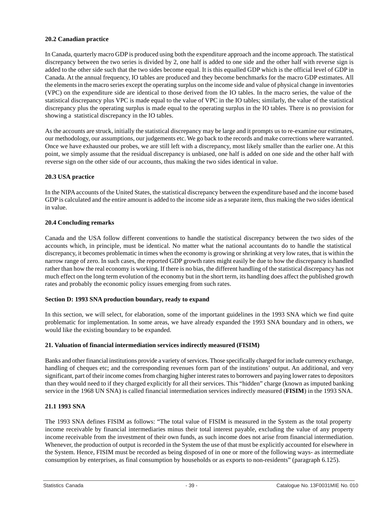# <span id="page-39-0"></span>**20.2 Canadian practice**

In Canada, quarterly macro GDP is produced using both the expenditure approach and the income approach. The statistical discrepancy between the two series is divided by 2, one half is added to one side and the other half with reverse sign is added to the other side such that the two sides become equal. It is this equalled GDP which is the official level of GDP in Canada. At the annual frequency, IO tables are produced and they become benchmarks for the macro GDP estimates. All the elements in the macro series except the operating surplus on the income side and value of physical change in inventories (VPC) on the expenditure side are identical to those derived from the IO tables. In the macro series, the value of the statistical discrepancy plus VPC is made equal to the value of VPC in the IO tables; similarly, the value of the statistical discrepancy plus the operating surplus is made equal to the operating surplus in the IO tables. There is no provision for showing a statistical discrepancy in the IO tables.

As the accounts are struck, initially the statistical discrepancy may be large and it prompts us to re-examine our estimates, our methodology, our assumptions, our judgements etc. We go back to the records and make corrections where warranted. Once we have exhausted our probes, we are still left with a discrepancy, most likely smaller than the earlier one. At this point, we simply assume that the residual discrepancy is unbiased, one half is added on one side and the other half with reverse sign on the other side of our accounts, thus making the two sides identical in value.

# **20.3 USA practice**

In the NIPA accounts of the United States, the statistical discrepancy between the expenditure based and the income based GDP is calculated and the entire amount is added to the income side as a separate item, thus making the two sides identical in value.

# **20.4 Concluding remarks**

Canada and the USA follow different conventions to handle the statistical discrepancy between the two sides of the accounts which, in principle, must be identical. No matter what the national accountants do to handle the statistical discrepancy, it becomes problematic in times when the economy is growing or shrinking at very low rates, that is within the narrow range of zero. In such cases, the reported GDP growth rates might easily be due to how the discrepancy is handled rather than how the real economy is working. If there is no bias, the different handling of the statistical discrepancy has not much effect on the long term evolution of the economy but in the short term, its handling does affect the published growth rates and probably the economic policy issues emerging from such rates.

# **Section D: 1993 SNA production boundary, ready to expand**

In this section, we will select, for elaboration, some of the important guidelines in the 1993 SNA which we find quite problematic for implementation. In some areas, we have already expanded the 1993 SNA boundary and in others, we would like the existing boundary to be expanded.

# **21. Valuation of financial intermediation services indirectly measured (FISIM)**

Banks and other financial institutions provide a variety of services. Those specifically charged for include currency exchange, handling of cheques etc; and the corresponding revenues form part of the institutions' output. An additional, and very significant, part of their income comes from charging higher interest rates to borrowers and paying lower rates to depositors than they would need to if they charged explicitly for all their services. This "hidden" charge (known as imputed banking service in the 1968 UN SNA) is called financial intermediation services indirectly measured (**FISIM**) in the 1993 SNA.

# **21.1 1993 SNA**

The 1993 SNA defines FISIM as follows: "The total value of FISIM is measured in the System as the total property income receivable by financial intermediaries minus their total interest payable, excluding the value of any property income receivable from the investment of their own funds, as such income does not arise from financial intermediation. Whenever, the production of output is recorded in the System the use of that must be explicitly accounted for elsewhere in the System. Hence, FISIM must be recorded as being disposed of in one or more of the following ways- as intermediate consumption by enterprises, as final consumption by households or as exports to non-residents" (paragraph 6.125).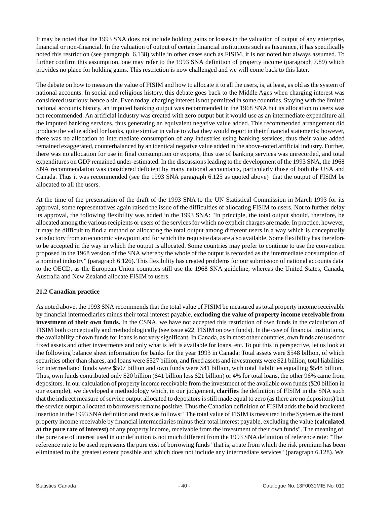It may be noted that the 1993 SNA does not include holding gains or losses in the valuation of output of any enterprise, financial or non-financial. In the valuation of output of certain financial institutions such as Insurance, it has specifically noted this restriction (see paragraph 6.138) while in other cases such as FISIM, it is not noted but always assumed. To further confirm this assumption, one may refer to the 1993 SNA definition of property income (paragraph 7.89) which provides no place for holding gains. This restriction is now challenged and we will come back to this later.

The debate on how to measure the value of FISIM and how to allocate it to all the users, is, at least, as old as the system of national accounts. In social and religious history, this debate goes back to the Middle Ages when charging interest was considered usurious; hence a sin. Even today, charging interest is not permitted in some countries. Staying with the limited national accounts history, an imputed banking output was recommended in the 1968 SNA but its allocation to users was not recommended. An artificial industry was created with zero output but it would use as an intermediate expenditure all the imputed banking services, thus generating an equivalent negative value added. This recommended arrangement did produce the value added for banks, quite similar in value to what they would report in their financial statements; however, there was no allocation to intermediate consumption of any industries using banking services, thus their value added remained exaggerated, counterbalanced by an identical negative value added in the above-noted artificial industry. Further, there was no allocation for use in final consumption or exports, thus use of banking services was unrecorded, and total expenditures on GDP remained under-estimated. In the discussions leading to the development of the 1993 SNA, the 1968 SNA recommendation was considered deficient by many national accountants, particularly those of both the USA and Canada. Thus it was recommended (see the 1993 SNA paragraph 6.125 as quoted above) that the output of FISIM be allocated to all the users.

At the time of the presentation of the draft of the 1993 SNA to the UN Statistical Commission in March 1993 for its approval, some representatives again raised the issue of the difficulties of allocating FISIM to users. Not to further delay its approval, the following flexibility was added in the 1993 SNA: "In principle, the total output should, therefore, be allocated among the various recipients or users of the services for which no explicit charges are made. In practice, however, it may be difficult to find a method of allocating the total output among different users in a way which is conceptually satisfactory from an economic viewpoint and for which the requisite data are also available. Some flexibility has therefore to be accepted in the way in which the output is allocated. Some countries may prefer to continue to use the convention proposed in the 1968 version of the SNA whereby the whole of the output is recorded as the intermediate consumption of a nominal industry" (paragraph 6.126). This flexibility has created problems for our submission of national accounts data to the OECD, as the European Union countries still use the 1968 SNA guideline, whereas the United States, Canada, Australia and New Zealand allocate FISIM to users.

# **21.2 Canadian practice**

As noted above, the 1993 SNA recommends that the total value of FISIM be measured as total property income receivable by financial intermediaries minus their total interest payable, **excluding the value of property income receivable from investment of their own funds.** In the CSNA, we have not accepted this restriction of own funds in the calculation of FISIM both conceptually and methodologically (see issue #22, FISIM on own funds). In the case of financial institutions, the availability of own funds for loans is not very significant. In Canada, as in most other countries, own funds are used for fixed assets and other investments and only what is left is available for loans, etc. To put this in perspective, let us look at the following balance sheet information for banks for the year 1993 in Canada: Total assets were \$548 billion, of which securities other than shares, and loans were \$527 billion, and fixed assets and investments were \$21 billion; total liabilities for intermediated funds were \$507 billion and own funds were \$41 billion, with total liabilities equalling \$548 billion. Thus, own funds contributed only \$20 billion (\$41 billion less \$21 billion) or 4% for total loans, the other 96% came from depositors. In our calculation of property income receivable from the investment of the available own funds (\$20 billion in our example), we developed a methodology which, in our judgement, **clarifies** the definition of FISIM in the SNA such that the indirect measure of service output allocated to depositors is still made equal to zero (as there are no depositors) but the service output allocated to borrowers remains positive. Thus the Canadian definition of FISIM adds the bold bracketed insertion in the 1993 SNAdefinition and reads as follows: "The total value of FISIM is measured in the System as the total property income receivable by financial intermediaries minus their total interest payable, excluding the value **(calculated at the pure rate of interest)** of any property income, receivable from the investment of their own funds". The meaning of the pure rate of interest used in our definition is not much different from the 1993 SNA definition of reference rate: "The reference rate to be used represents the pure cost of borrowing funds "that is, a rate from which the risk premium has been eliminated to the greatest extent possible and which does not include any intermediate services" (paragraph 6.128). We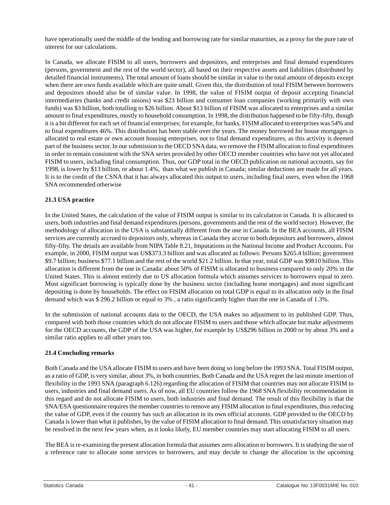have operationally used the middle of the lending and borrowing rate for similar maturities, as a proxy for the pure rate of interest for our calculations.

In Canada, we allocate FISIM to all users, borrowers and depositors, and enterprises and final demand expenditures (persons, government and the rest of the world sector), all based on their respective assets and liabilities (distributed by detailed financial instruments). The total amount of loans should be similar in value to the total amount of deposits except when there are own funds available which are quite small. Given this, the distribution of total FISIM between borrowers and depositors should also be of similar value. In 1998, the value of FISIM output of deposit accepting financial intermediaries (banks and credit unions) was \$23 billion and consumer loan companies (working primarily with own funds) was \$3 billion, both totalling to \$26 billion. About \$13 billion of FISIM was allocated to enterprises and a similar amount to final expenditures, mostly to household consumption. In 1998, the distribution happened to be fifty-fifty, though it is a bit different for each set of financial enterprises; for example, for banks, FISIM allocated to enterprises was 54% and to final expenditures 46%. This distribution has been stable over the years. The money borrowed for house mortgages is allocated to real estate or own account housing enterprises, not to final demand expenditures, as this activity is deemed part of the business sector. In our submission to the OECD SNA data, we remove the FISIM allocation to final expenditures in order to remain consistent with the SNA series provided by other OECD member countries who have not yet allocated FISIM to users, including final consumption. Thus, our GDP total in the OECD publication on national accounts, say for 1998, is lower by \$13 billion, or about 1.4%, than what we publish in Canada; similar deductions are made for all years. It is to the credit of the CSNA that it has always allocated this output to users, including final users, even when the 1968 SNA recommended otherwise

# **21.3 USA practice**

In the United States, the calculation of the value of FISIM output is similar to its calculation in Canada. It is allocated to users, both industries and final demand expenditures (persons, governments and the rest of the world sector). However, the methodology of allocation in the USA is substantially different from the one in Canada. In the BEA accounts, all FISIM services are currently accrued to depositors only, whereas in Canada they accrue to both depositors and borrowers, almost fifty-fifty. The details are available from NIPA Table 8.21, Imputations in the National Income and Product Accounts. For example, in 2000, FISIM output was US\$373.3 billion and was allocated as follows: Persons \$265.4 billion; government \$9.7 billion; business \$77.1 billion and the rest of the world \$21.2 billion. In that year, total GDP was \$9810 billion. This allocation is different from the one in Canada: about 50% of FISIM is allocated to business compared to only 20% in the United States. This is almost entirely due to US allocation formula which assumes services to borrowers equal to zero. Most significant borrowing is typically done by the business sector (including home mortgages) and most significant depositing is done by households. The effect on FISIM allocation on total GDP is equal to its allocation only in the final demand which was \$ 296.2 billion or equal to 3% , a ratio significantly higher than the one in Canada of 1.3%.

In the submission of national accounts data to the OECD, the USA makes no adjustment to its published GDP. Thus, compared with both those countries which do not allocate FISIM to users and those which allocate but make adjustments for the OECD accounts, the GDP of the USA was higher, for example by US\$296 billion in 2000 or by about 3% and a similar ratio applies to all other years too.

#### **21.4 Concluding remarks**

Both Canada and the USA allocate FISIM to users and have been doing so long before the 1993 SNA. Total FISIM output, as a ratio of GDP, is very similar, about 3%, in both countries. Both Canada and the USA regret the last minute insertion of flexibility in the 1993 SNA (paragraph 6.126) regarding the allocation of FISIM that countries may not allocate FISIM to users, industries and final demand users. As of now, all EU countries follow the 1968 SNA flexibility recommendation in this regard and do not allocate FISIM to users, both industries and final demand. The result of this flexibility is that the SNA/ESA questionnaire requires the member countries to remove any FISIM allocation to final expenditures, thus reducing the value of GDP, even if the country has such an allocation in its own official accounts. GDP provided to the OECD by Canada is lower than what it publishes, by the value of FISIM allocation to final demand. This unsatisfactory situation may be resolved in the next few years when, as it looks likely, EU member countries may start allocating FISIM to all users.

The BEA is re-examining the present allocation formula that assumes zero allocation to borrowers. It is studying the use of a reference rate to allocate some services to borrowers, and may decide to change the allocation in the upcoming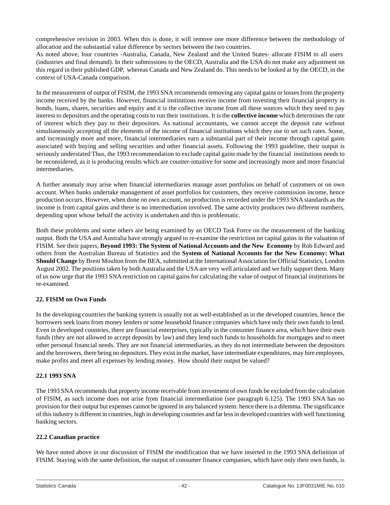<span id="page-42-0"></span>comprehensive revision in 2003. When this is done, it will remove one more difference between the methodology of allocation and the substantial value difference by sectors between the two countries.

As noted above, four countries -Australia, Canada, New Zealand and the United States- allocate FISIM to all users (industries and final demand). In their submissions to the OECD, Australia and the USA do not make any adjustment on this regard in their published GDP, whereas Canada and New Zealand do. This needs to be looked at by the OECD, in the context of USA-Canada comparison.

In the measurement of output of FISIM, the 1993 SNA recommends removing any capital gains or losses from the property income received by the banks. However, financial institutions receive income from investing their financial property in bonds, loans, shares, securities and equity and it is the collective income from all these sources which they need to pay interest to depositors and the operating costs to run their institutions. It is the **collective income** which determines the rate of interest which they pay to their depositors. As national accountants, we cannot accept the deposit rate without simultaneously accepting all the elements of the income of financial institutions which they use to set such rates. Some, and increasingly more and more, financial intermediaries earn a substantial part of their income through capital gains associated with buying and selling securities and other financial assets. Following the 1993 guideline, their output is seriously understated Thus, the 1993 recommendation to exclude capital gains made by the financial institutions needs to be reconsidered, as it is producing results which are counter-intuitive for some and increasingly more and more financial intermediaries.

A further anomaly may arise when financial intermediaries manage asset portfolios on behalf of customers or on own account. When banks undertake management of asset portfolios for customers, they receive commission income, hence production occurs. However, when done on own account, no production is recorded under the 1993 SNA standards as the income is from capital gains and there is no intermediation involved. The same activity produces two different numbers, depending upon whose behalf the activity is undertaken and this is problematic.

Both these problems and some others are being examined by an OECD Task Force on the measurement of the banking output. Both the USA and Australia have strongly argued to re-examine the restriction on capital gains in the valuation of FISIM. See their papers, **Beyond 1993: The System of National Accounts and the New Economy** by Rob Edward and others from the Australian Bureau of Statistics and the **System of National Accounts for the New Economy: What Should Change** by Brent Moulton from the BEA, submitted at the International Association for Official Statistics, London August 2002. The positions taken by both Australia and the USA are very well articulated and we fully support them. Many of us now urge that the 1993 SNA restriction on capital gains for calculating the value of output of financial institutions be re-examined.

# **22. FISIM on Own Funds**

In the developing countries the banking system is usually not as well-established as in the developed countries, hence the borrowers seek loans from money lenders or some household finance companies which have only their own funds to lend. Even in developed countries, there are financial enterprises, typically in the consumer finance area, which have their own funds (they are not allowed to accept deposits by law) and they lend such funds to households for mortgages and to meet other personal financial needs. They are not financial intermediaries, as they do not intermediate between the depositors and the borrowers, there being no depositors. They exist in the market, have intermediate expenditures, may hire employees, make profits and meet all expenses by lending money. How should their output be valued?

#### **22.1 1993 SNA**

The 1993 SNA recommends that property income receivable from investment of own funds be excluded from the calculation of FISIM, as such income does not arise from financial intermediation (see paragraph 6.125). The 1993 SNA has no provision for their output but expenses cannot be ignored in any balanced system: hence there is a dilemma. The significance of this industry is different in countries, high in developing countries and far less in developed countries with well functioning banking sectors.

# **22.2 Canadian practice**

We have noted above in our discussion of FISIM the modification that we have inserted in the 1993 SNA definition of FISIM. Staying with the same definition, the output of consumer finance companies, which have only their own funds, is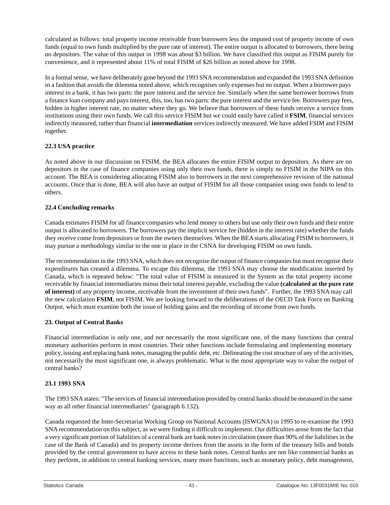<span id="page-43-0"></span>calculated as follows: total property income receivable from borrowers less the imputed cost of property income of own funds (equal to own funds multiplied by the pure rate of interest). The entire output is allocated to borrowers, there being no depositors. The value of this output in 1998 was about \$3 billion. We have classified this output as FISIM purely for convenience, and it represented about 11% of total FISIM of \$26 billion as noted above for 1998.

In a formal sense, we have deliberately gone beyond the 1993 SNA recommendation and expanded the 1993 SNA definition in a fashion that avoids the dilemma noted above, which recognises only expenses but no output. When a borrower pays interest to a bank, it has two parts: the pure interest and the service fee. Similarly when the same borrower borrows from a finance loan company and pays interest, this, too, has two parts: the pure interest and the service fee. Borrowers pay fees, hidden in higher interest rate, no matter where they go. We believe that borrowers of these funds receive a service from institutions using their own funds. We call this service FISIM but we could easily have called it **FSIM**, financial services indirectly measured, rather than financial **intermediation** services indirectly measured. We have added FSIM and FISIM together.

# **22.3 USA practice**

As noted above in our discussion on FISIM, the BEA allocates the entire FISIM output to depositors. As there are no depositors in the case of finance companies using only their own funds, there is simply no FISIM in the NIPA on this account. The BEA is considering allocating FISIM also to borrowers in the next comprehensive revision of the national accounts. Once that is done, BEA will also have an output of FISIM for all those companies using own funds to lend to others.

# **22.4 Concluding remarks**

Canada estimates FISIM for all finance companies who lend money to others but use only their own funds and their entire output is allocated to borrowers. The borrowers pay the implicit service fee (hidden in the interest rate) whether the funds they receive come from depositors or from the owners themselves. When the BEA starts allocating FISIM to borrowers, it may pursue a methodology similar to the one in place in the CSNA for developing FISIM on own funds.

The recommendation in the 1993 SNA, which does not recognise the output of finance companies but must recognise their expenditures has created a dilemma. To escape this dilemma, the 1993 SNA may choose the modification inserted by Canada, which is repeated below: "The total value of FISIM is measured in the System as the total property income receivable by financial intermediaries minus their total interest payable, excluding the value **(calculated at the pure rate of interest)** of any property income, receivable from the investment of their own funds". Further, the 1993 SNA may call the new calculation **FSIM**, not FISIM. We are looking forward to the deliberations of the OECD Task Force on Banking Output, which must examine both the issue of holding gains and the recording of income from own funds.

# **23. Output of Central Banks**

Financial intermediation is only one, and not necessarily the most significant one, of the many functions that central monetary authorities perform in most countries. Their other functions include formulating and implementing monetary policy, issuing and replacing bank notes, managing the public debt, etc. Delineating the cost structure of any of the activities, not necessarily the most significant one, is always problematic. What is the most appropriate way to value the output of central banks?

# **23.1 1993 SNA**

The 1993 SNAstates: "The services of financial intermediation provided by central banks should be measured in the same way as all other financial intermediaries" (paragraph 6.132).

Canada requested the Inter-Secretariat Working Group on National Accounts (ISWGNA) in 1995 to re-examine the 1993 SNA recommendation on this subject, as we were finding it difficult to implement. Our difficulties arose from the fact that a very significant portion of liabilities of a central bank are bank notes in circulation (more than 90% of the liabilities in the case of the Bank of Canada) and its property income derives from the assets in the form of the treasury bills and bonds provided by the central government to have access to these bank notes. Central banks are not like commercial banks as they perform, in addition to central banking services, many more functions, such as monetary policy, debt management,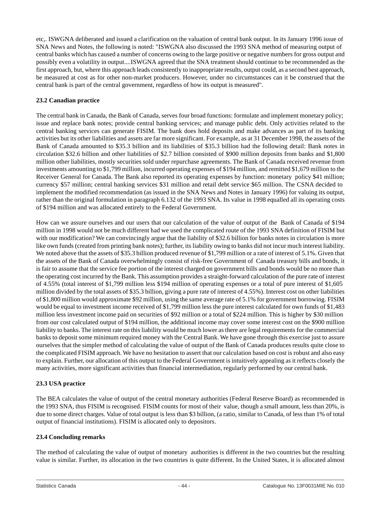etc,. ISWGNA deliberated and issued a clarification on the valuation of central bank output. In its January 1996 issue of SNA News and Notes, the following is noted: "ISWGNA also discussed the 1993 SNA method of measuring output of central banks which has caused a number of concerns owing to the large positive or negative numbers for gross output and possibly even a volatility in output....ISWGNA agreed that the SNA treatment should continue to be recommended as the first approach, but, where this approach leads consistently to inappropriate results, output could, as a second best approach, be measured at cost as for other non-market producers. However, under no circumstances can it be construed that the central bank is part of the central government, regardless of how its output is measured".

# **23.2 Canadian practice**

The central bank in Canada, the Bank of Canada, serves four broad functions: formulate and implement monetary policy; issue and replace bank notes; provide central banking services; and manage public debt. Only activities related to the central banking services can generate FISIM. The bank does hold deposits and make advances as part of its banking activities but its other liabilities and assets are far more significant. For example, as at 31 December 1998, the assets of the Bank of Canada amounted to \$35.3 billion and its liabilities of \$35.3 billion had the following detail: Bank notes in circulation \$32.6 billion and other liabilities of \$2.7 billion consisted of \$900 million deposits from banks and \$1,800 million other liabilities, mostly securities sold under repurchase agreements. The Bank of Canada received revenue from investments amounting to \$1,799 million, incurred operating expenses of \$194 million, and remitted \$1,679 million to the Receiver General for Canada. The Bank also reported its operating expenses by function: monetary policy \$41 million; currency \$57 million; central banking services \$31 million and retail debt service \$65 million. The CSNA decided to implement the modified recommendation (as issued in the SNA News and Notes in January 1996) for valuing its output, rather than the original formulation in paragraph 6.132 of the 1993 SNA. Its value in 1998 equalled all its operating costs of \$194 million and was allocated entirely to the Federal Government.

How can we assure ourselves and our users that our calculation of the value of output of the Bank of Canada of \$194 million in 1998 would not be much different had we used the complicated route of the 1993 SNA definition of FISIM but with our modification? We can convincingly argue that the liability of \$32.6 billion for banks notes in circulation is more like own funds (created from printing bank notes); further, its liability owing to banks did not incur much interest liability. We noted above that the assets of \$35.3 billion produced revenue of \$1,799 million or a rate of interest of 5.1%. Given that the assets of the Bank of Canada overwhelmingly consist of risk-free Government of Canada treasury bills and bonds, it is fair to assume that the service fee portion of the interest charged on government bills and bonds would be no more than the operating cost incurred by the Bank. This assumption provides a straight-forward calculation of the pure rate of interest of 4.55% (total interest of \$1,799 million less \$194 million of operating expenses or a total of pure interest of \$1,605 million divided by the total assets of \$35.3 billion, giving a pure rate of interest of 4.55%). Interest cost on other liabilities of \$1,800 million would approximate \$92 million, using the same average rate of 5.1% for government borrowing. FISIM would be equal to investment income received of \$1,799 million less the pure interest calculated for own funds of \$1,483 million less investment income paid on securities of \$92 million or a total of \$224 million. This is higher by \$30 million from our cost calculated output of \$194 million, the additional income may cover some interest cost on the \$900 million liability to banks. The interest rate on this liability would be much lower as there are legal requirements for the commercial banks to deposit some minimum required money with the Central Bank. We have gone through this exercise just to assure ourselves that the simpler method of calculating the value of output of the Bank of Canada produces results quite close to the complicated FISIM approach. We have no hesitation to assert that our calculation based on cost is robust and also easy to explain. Further, our allocation of this output to the Federal Government is intuitively appealing as it reflects closely the many activities, more significant activities than financial intermediation, regularly performed by our central bank.

# **23.3 USA practice**

The BEA calculates the value of output of the central monetary authorities (Federal Reserve Board) as recommended in the 1993 SNA, thus FISIM is recognised. FISIM counts for most of their value, though a small amount, less than 20%, is due to some direct charges. Value of total output is less than \$3 billion, (a ratio, similar to Canada, of less than 1% of total output of financial institutions). FISIM is allocated only to depositors.

# **23.4 Concluding remarks**

The method of calculating the value of output of monetary authorities is different in the two countries but the resulting value is similar. Further, its allocation in the two countries is quite different. In the United States, it is allocated almost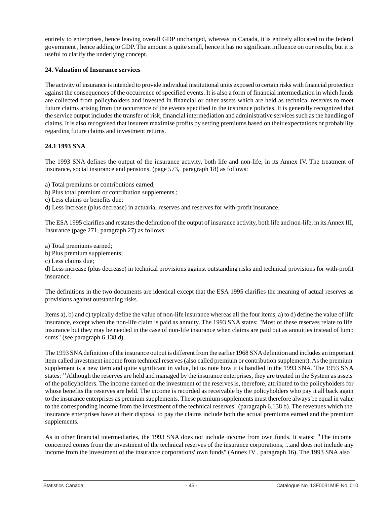<span id="page-45-0"></span>entirely to enterprises, hence leaving overall GDP unchanged, whereas in Canada, it is entirely allocated to the federal government , hence adding to GDP. The amount is quite small, hence it has no significant influence on our results, but it is useful to clarify the underlying concept.

#### **24. Valuation of Insurance services**

The activity of insurance is intended to provide individual institutional units exposed to certain risks with financial protection against the consequences of the occurrence of specified events. It is also a form of financial intermediation in which funds are collected from policyholders and invested in financial or other assets which are held as technical reserves to meet future claims arising from the occurrence of the events specified in the insurance policies. It is generally recognized that the service output includes the transfer of risk, financial intermediation and administrative services such as the handling of claims. It is also recognised that insurers maximise profits by setting premiums based on their expectations or probability regarding future claims and investment returns.

#### **24.1 1993 SNA**

The 1993 SNA defines the output of the insurance activity, both life and non-life, in its Annex IV, The treatment of insurance, social insurance and pensions, (page 573, paragraph 18) as follows:

a) Total premiums or contributions earned;

b) Plus total premium or contribution supplements ;

c) Less claims or benefits due;

d) Less increase (plus decrease) in actuarial reserves and reserves for with-profit insurance.

The ESA 1995 clarifies and restates the definition of the output of insurance activity, both life and non-life, in its Annex III, Insurance (page 271, paragraph 27) as follows:

a) Total premiums earned;

b) Plus premium supplements;

c) Less claims due;

d) Less increase (plus decrease) in technical provisions against outstanding risks and technical provisions for with-profit insurance.

The definitions in the two documents are identical except that the ESA 1995 clarifies the meaning of actual reserves as provisions against outstanding risks.

Items a), b) and c) typically define the value of non-life insurance whereas all the four items, a) to d) define the value of life insurance, except when the non-life claim is paid as annuity. The 1993 SNA states: "Most of these reserves relate to life insurance but they may be needed in the case of non-life insurance when claims are paid out as annuities instead of lump sums" (see paragraph 6.138 d).

The 1993 SNA definition of the insurance output is different from the earlier 1968 SNA definition and includes an important item called investment income from technical reserves (also called premium or contribution supplement).As the premium supplement is a new item and quite significant in value, let us note how it is handled in the 1993 SNA. The 1993 SNA states: "Although the reserves are held and managed by the insurance enterprises, they are treated in the System as assets of the policyholders. The income earned on the investment of the reserves is, therefore, attributed to the policyholders for whose benefits the reserves are held. The income is recorded as receivable by the policyholders who pay it all back again to the insurance enterprises as premium supplements. These premium supplements must therefore always be equal in value to the corresponding income from the investment of the technical reserves" (paragraph 6.138 b). The revenues which the insurance enterprises have at their disposal to pay the claims include both the actual premiums earned and the premium supplements.

As in other financial intermediaries, the 1993 SNA does not include income from own funds. It states: "The income concerned comes from the investment of the technical reserves of the insurance corporations, ...and does not include any income from the investment of the insurance corporations' own funds" (Annex IV , paragraph 16). The 1993 SNA also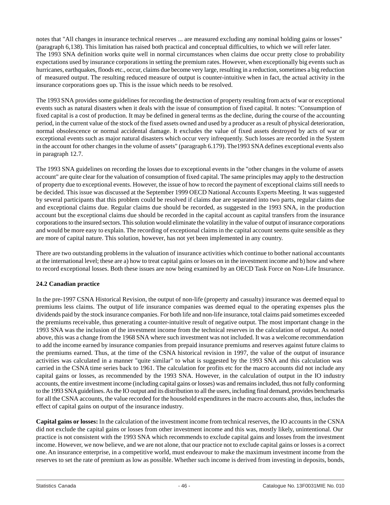notes that "All changes in insurance technical reserves ... are measured excluding any nominal holding gains or losses" (paragraph 6,138). This limitation has raised both practical and conceptual difficulties, to which we will refer later. The 1993 SNA definition works quite well in normal circumstances when claims due occur pretty close to probability expectations used by insurance corporations in setting the premium rates. However, when exceptionally big events such as hurricanes, earthquakes, floods etc., occur, claims due become very large, resulting in a reduction, sometimes a big reduction of measured output. The resulting reduced measure of output is counter-intuitive when in fact, the actual activity in the insurance corporations goes up. This is the issue which needs to be resolved.

The 1993 SNA provides some guidelines for recording the destruction of property resulting from acts of war or exceptional events such as natural disasters when it deals with the issue of consumption of fixed capital. It notes: "Consumption of fixed capital is a cost of production. It may be defined in general terms as the decline, during the course of the accounting period, in the current value of the stock of the fixed assets owned and used by a producer as a result of physical deterioration, normal obsolescence or normal accidental damage. It excludes the value of fixed assets destroyed by acts of war or exceptional events such as major natural disasters which occur very infrequently. Such losses are recorded in the System in the account for other changes in the volume of assets" (paragraph 6.179). The1993 SNAdefines exceptional events also in paragraph 12.7.

The 1993 SNA guidelines on recording the losses due to exceptional events in the "other changes in the volume of assets account" are quite clear for the valuation of consumption of fixed capital. The same principles may apply to the destruction of property due to exceptional events. However, the issue of how to record the payment of exceptional claims still needs to be decided. This issue was discussed at the September 1999 OECD National Accounts Experts Meeting. It was suggested by several participants that this problem could be resolved if claims due are separated into two parts, regular claims due and exceptional claims due. Regular claims due should be recorded, as suggested in the 1993 SNA, in the production account but the exceptional claims due should be recorded in the capital account as capital transfers from the insurance corporations to the insured sectors. This solution would eliminate the volatility in the value of output of insurance corporations and would be more easy to explain. The recording of exceptional claims in the capital account seems quite sensible as they are more of capital nature. This solution, however, has not yet been implemented in any country.

There are two outstanding problems in the valuation of insurance activities which continue to bother national accountants at the international level; these are a) how to treat capital gains or losses on in the investment income and b) how and where to record exceptional losses. Both these issues are now being examined by an OECD Task Force on Non-Life Insurance.

# **24.2 Canadian practice**

In the pre-1997 CSNA Historical Revision, the output of non-life (property and casualty) insurance was deemed equal to premiums less claims. The output of life insurance companies was deemed equal to the operating expenses plus the dividends paid by the stock insurance companies. For both life and non-life insurance, total claims paid sometimes exceeded the premiums receivable, thus generating a counter-intuitive result of negative output. The most important change in the 1993 SNA was the inclusion of the investment income from the technical reserves in the calculation of output. As noted above, this was a change from the 1968 SNA where such investment was not included. It was a welcome recommendation to add the income earned by insurance companies from prepaid insurance premiums and reserves against future claims to the premiums earned. Thus, at the time of the CSNA historical revision in 1997, the value of the output of insurance activities was calculated in a manner "quite similar" to what is suggested by the 1993 SNA and this calculation was carried in the CSNA time series back to 1961. The calculation for profits etc for the macro accounts did not include any capital gains or losses, as recommended by the 1993 SNA. However, in the calculation of output in the IO industry accounts, the entire investment income (including capital gains or losses) was and remains included, thus not fully conforming to the 1993 SNAguidelines.As the IO output and its distribution to all the users, including final demand, provides benchmarks for all the CSNA accounts, the value recorded for the household expenditures in the macro accounts also, thus, includes the effect of capital gains on output of the insurance industry.

**Capital gains or losses:** In the calculation of the investment income from technical reserves, the IO accounts in the CSNA did not exclude the capital gains or losses from other investment income and this was, mostly likely, unintentional. Our practice is not consistent with the 1993 SNA which recommends to exclude capital gains and losses from the investment income. However, we now believe, and we are not alone, that our practice not to exclude capital gains or losses is a correct one. An insurance enterprise, in a competitive world, must endeavour to make the maximum investment income from the reserves to set the rate of premium as low as possible. Whether such income is derived from investing in deposits, bonds,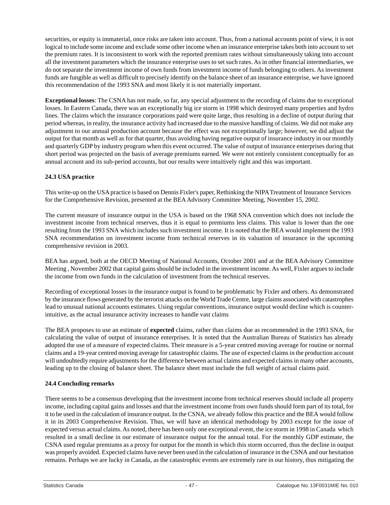securities, or equity is immaterial, once risks are taken into account. Thus, from a national accounts point of view, it is not logical to include some income and exclude some other income when an insurance enterprise takes both into account to set the premium rates. It is inconsistent to work with the reported premium rates without simultaneously taking into account all the investment parameters which the insurance enterprise uses to set such rates. As in other financial intermediaries, we do not separate the investment income of own funds from investment income of funds belonging to others. As investment funds are fungible as well as difficult to precisely identify on the balance sheet of an insurance enterprise, we have ignored this recommendation of the 1993 SNA and most likely it is not materially important.

**Exceptional losses**: The CSNA has not made, so far, any special adjustment to the recording of claims due to exceptional losses. In Eastern Canada, there was an exceptionally big ice storm in 1998 which destroyed many properties and hydro lines. The claims which the insurance corporations paid were quite large, thus resulting in a decline of output during that period whereas, in reality, the insurance activity had increased due to the massive handling of claims. We did not make any adjustment to our annual production account because the effect was not exceptionally large; however, we did adjust the output for that month as well as for that quarter, thus avoiding having negative output of insurance industry in our monthly and quarterly GDP by industry program when this event occurred. The value of output of insurance enterprises during that short period was projected on the basis of average premiums earned. We were not entirely consistent conceptually for an annual account and its sub-period accounts, but our results were intuitively right and this was important.

# **24.3 USA practice**

This write-up on the USApractice is based on Dennis Fixler's paper, Rethinking the NIPATreatment of Insurance Services for the Comprehensive Revision, presented at the BEA Advisory Committee Meeting, November 15, 2002.

The current measure of insurance output in the USA is based on the 1968 SNA convention which does not include the investment income from technical reserves, thus it is equal to premiums less claims. This value is lower than the one resulting from the 1993 SNA which includes such investment income. It is noted that the BEA would implement the 1993 SNA recommendation on investment income from technical reserves in its valuation of insurance in the upcoming comprehensive revision in 2003.

BEA has argued, both at the OECD Meeting of National Accounts, October 2001 and at the BEA Advisory Committee Meeting , November 2002 that capital gains should be included in the investment income. As well, Fixler argues to include the income from own funds in the calculation of investment from the technical reserves.

Recording of exceptional losses in the insurance output is found to be problematic by Fixler and others. As demonstrated by the insurance flows generated by the terrorist attacks on the World Trade Centre, large claims associated with catastrophes lead to unusual national accounts estimates. Using regular conventions, insurance output would decline which is counterintuitive, as the actual insurance activity increases to handle vast claims

The BEA proposes to use an estimate of **expected** claims, rather than claims due as recommended in the 1993 SNA, for calculating the value of output of insurance enterprises. It is noted that the Australian Bureau of Statistics has already adopted the use of a measure of expected claims. Their measure is a 5-year centred moving average for routine or normal claims and a 19-year centred moving average for catastrophic claims. The use of expected claims in the production account will undoubtedly require adjustments for the difference between actual claims and expected claims in many other accounts, leading up to the closing of balance sheet. The balance sheet must include the full weight of actual claims paid.

# **24.4 Concluding remarks**

There seems to be a consensus developing that the investment income from technical reserves should include all property income, including capital gains and losses and that the investment income from own funds should form part of its total, for it to be used in the calculation of insurance output. In the CSNA, we already follow this practice and the BEA would follow it in its 2003 Comprehensive Revision. Thus, we will have an identical methodology by 2003 except for the issue of expected versus actual claims. As noted, there has been only one exceptional event, the ice storm in 1998 in Canada which resulted in a small decline in our estimate of insurance output for the annual total. For the monthly GDP estimate, the CSNA used regular premiums as a proxy for output for the month in which this storm occurred, thus the decline in output was properly avoided. Expected claims have never been used in the calculation of insurance in the CSNA and our hesitation remains. Perhaps we are lucky in Canada, as the catastrophic events are extremely rare in our history, thus mitigating the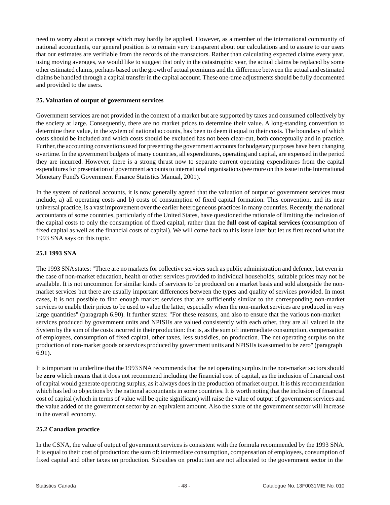<span id="page-48-0"></span>need to worry about a concept which may hardly be applied. However, as a member of the international community of national accountants, our general position is to remain very transparent about our calculations and to assure to our users that our estimates are verifiable from the records of the transactors. Rather than calculating expected claims every year, using moving averages, we would like to suggest that only in the catastrophic year, the actual claims be replaced by some other estimated claims, perhaps based on the growth of actual premiums and the difference between the actual and estimated claims be handled through a capital transfer in the capital account. These one-time adjustments should be fully documented and provided to the users.

#### **25. Valuation of output of government services**

Government services are not provided in the context of a market but are supported by taxes and consumed collectively by the society at large. Consequently, there are no market prices to determine their value. A long-standing convention to determine their value, in the system of national accounts, has been to deem it equal to their costs. The boundary of which costs should be included and which costs should be excluded has not been clear-cut, both conceptually and in practice. Further, the accounting conventions used for presenting the government accounts for budgetary purposes have been changing overtime. In the government budgets of many countries, all expenditures, operating and capital, are expensed in the period they are incurred. However, there is a strong thrust now to separate current operating expenditures from the capital expenditures for presentation of government accounts to international organisations (see more on this issue in the International Monetary Fund's Government Finance Statistics Manual, 2001).

In the system of national accounts, it is now generally agreed that the valuation of output of government services must include, a) all operating costs and b) costs of consumption of fixed capital formation. This convention, and its near universal practice, is a vast improvement over the earlier heterogeneous practices in many countries. Recently, the national accountants of some countries, particularly of the United States, have questioned the rationale of limiting the inclusion of the capital costs to only the consumption of fixed capital, rather than the **full cost of capital services** (consumption of fixed capital as well as the financial costs of capital). We will come back to this issue later but let us first record what the 1993 SNA says on this topic.

#### **25.1 1993 SNA**

The 1993 SNAstates: "There are no markets for collective services such as public administration and defence, but even in the case of non-market education, health or other services provided to individual households, suitable prices may not be available. It is not uncommon for similar kinds of services to be produced on a market basis and sold alongside the nonmarket services but there are usually important differences between the types and quality of services provided. In most cases, it is not possible to find enough market services that are sufficiently similar to the corresponding non-market services to enable their prices to be used to value the latter, especially when the non-market services are produced in very large quantities" (paragraph 6.90). It further states: "For these reasons, and also to ensure that the various non-market services produced by government units and NPISHs are valued consistently with each other, they are all valued in the System by the sum of the costs incurred in their production: that is, as the sum of: intermediate consumption, compensation of employees, consumption of fixed capital, other taxes, less subsidies, on production. The net operating surplus on the production of non-market goods or services produced by government units and NPISHs is assumed to be zero" (paragraph 6.91).

It is important to underline that the 1993 SNA recommends that the net operating surplus in the non-market sectors should be **zero** which means that it does not recommend including the financial cost of capital, as the inclusion of financial cost of capital would generate operating surplus, as it always does in the production of market output. It is this recommendation which has led to objections by the national accountants in some countries. It is worth noting that the inclusion of financial cost of capital (which in terms of value will be quite significant) will raise the value of output of government services and the value added of the government sector by an equivalent amount. Also the share of the government sector will increase in the overall economy.

#### **25.2 Canadian practice**

In the CSNA, the value of output of government services is consistent with the formula recommended by the 1993 SNA. It is equal to their cost of production: the sum of: intermediate consumption, compensation of employees, consumption of fixed capital and other taxes on production. Subsidies on production are not allocated to the government sector in the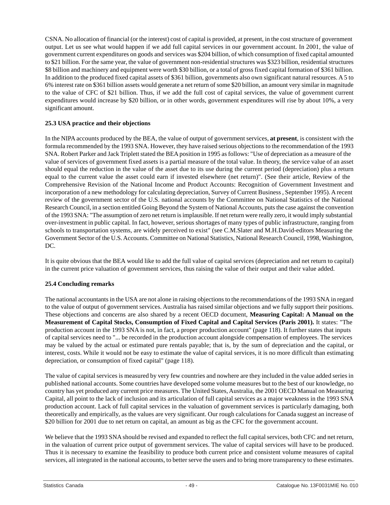CSNA. No allocation of financial (or the interest) cost of capital is provided, at present, in the cost structure of government output. Let us see what would happen if we add full capital services in our government account. In 2001, the value of government current expenditures on goods and services was \$204 billion, of which consumption of fixed capital amounted to \$21 billion. For the same year, the value of government non-residential structures was \$323 billion, residential structures \$8 billion and machinery and equipment were worth \$30 billion, or a total of gross fixed capital formation of \$361 billion. In addition to the produced fixed capital assets of \$361 billion, governments also own significant natural resources. A 5 to 6% interest rate on \$361 billion assets would generate a net return of some \$20 billion, an amount very similar in magnitude to the value of CFC of \$21 billion. Thus, if we add the full cost of capital services, the value of government current expenditures would increase by \$20 billion, or in other words, government expenditures will rise by about 10%, a very significant amount.

# **25.3 USA practice and their objections**

In the NIPA accounts produced by the BEA, the value of output of government services, **at present**, is consistent with the formula recommended by the 1993 SNA. However, they have raised serious objections to the recommendation of the 1993 SNA. Robert Parker and Jack Triplett stated the BEAposition in 1995 as follows: "Use of depreciation as a measure of the value of services of government fixed assets is a partial measure of the total value. In theory, the service value of an asset should equal the reduction in the value of the asset due to its use during the current period (depreciation) plus a return equal to the current value the asset could earn if invested elsewhere (net return)". (See their article, Review of the Comprehensive Revision of the National Income and Product Accounts: Recognition of Government Investment and incorporation of a new methodology for calculating depreciation, Survey of Current Business, September 1995). A recent review of the government sector of the U.S. national accounts by the Committee on National Statistics of the National Research Council, in a section entitled Going Beyond the System of National Accounts, puts the case against the convention of the 1993 SNA: "The assumption of zero net return is implausible. If net return were really zero, it would imply substantial over-investment in public capital. In fact, however, serious shortages of many types of public infrastructure, ranging from schools to transportation systems, are widely perceived to exist" (see C.M.Slater and M.H.David-editors Measuring the Government Sector of the U.S. Accounts. Committee on National Statistics, National Research Council, 1998, Washington, DC.

It is quite obvious that the BEA would like to add the full value of capital services (depreciation and net return to capital) in the current price valuation of government services, thus raising the value of their output and their value added.

# **25.4 Concluding remarks**

The national accountants in the USA are not alone in raising objections to the recommendations of the 1993 SNA in regard to the value of output of government services. Australia has raised similar objections and we fully support their positions. These objections and concerns are also shared by a recent OECD document, **Measuring Capital: A Manual on the Measurement of Capital Stocks, Consumption of Fixed Capital and Capital Services (Paris 2001).** It states: "The production account in the 1993 SNA is not, in fact, a proper production account" (page 118). It further states that inputs of capital services need to "... be recorded in the production account alongside compensation of employees. The services may be valued by the actual or estimated pure rentals payable; that is, by the sum of depreciation and the capital, or interest, costs. While it would not be easy to estimate the value of capital services, it is no more difficult than estimating depreciation, or consumption of fixed capital" (page 118).

The value of capital services is measured by very few countries and nowhere are they included in the value added series in published national accounts. Some countries have developed some volume measures but to the best of our knowledge, no country has yet produced any current price measures. The United States, Australia, the 2001 OECD Manual on Measuring Capital, all point to the lack of inclusion and its articulation of full capital services as a major weakness in the 1993 SNA production account. Lack of full capital services in the valuation of government services is particularly damaging, both theoretically and empirically, as the values are very significant. Our rough calculations for Canada suggest an increase of \$20 billion for 2001 due to net return on capital, an amount as big as the CFC for the government account.

We believe that the 1993 SNA should be revised and expanded to reflect the full capital services, both CFC and net return, in the valuation of current price output of government services. The value of capital services will have to be produced. Thus it is necessary to examine the feasibility to produce both current price and consistent volume measures of capital services, all integrated in the national accounts, to better serve the users and to bring more transparency to these estimates.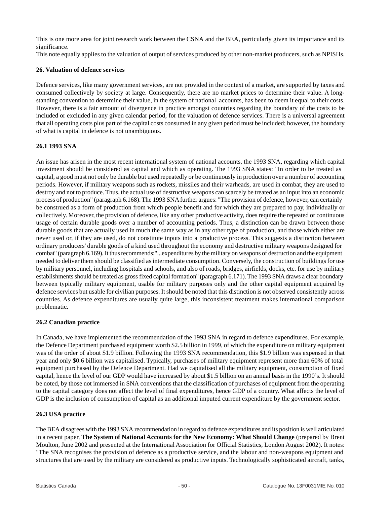<span id="page-50-0"></span>This is one more area for joint research work between the CSNA and the BEA, particularly given its importance and its significance.

This note equally applies to the valuation of output of services produced by other non-market producers, such as NPISHs.

#### **26. Valuation of defence services**

Defence services, like many government services, are not provided in the context of a market, are supported by taxes and consumed collectively by society at large. Consequently, there are no market prices to determine their value. A longstanding convention to determine their value, in the system of national accounts, has been to deem it equal to their costs. However, there is a fair amount of divergence in practice amongst countries regarding the boundary of the costs to be included or excluded in any given calendar period, for the valuation of defence services. There is a universal agreement that all operating costs plus part of the capital costs consumed in any given period must be included; however, the boundary of what is capital in defence is not unambiguous.

# **26.1 1993 SNA**

An issue has arisen in the most recent international system of national accounts, the 1993 SNA, regarding which capital investment should be considered as capital and which as operating. The 1993 SNA states: "In order to be treated as capital, a good must not only be durable but used repeatedly or be continuously in production over a number of accounting periods. However, if military weapons such as rockets, missiles and their warheads, are used in combat, they are used to destroy and not to produce. Thus, the actual use of destructive weapons can scarcely be treated as an input into an economic process of production" (paragraph 6.168).The 1993 SNAfurther argues: "The provision of defence, however, can certainly be construed as a form of production from which people benefit and for which they are prepared to pay, individually or collectively. Moreover, the provision of defence, like any other productive activity, does require the repeated or continuous usage of certain durable goods over a number of accounting periods. Thus, a distinction can be drawn between those durable goods that are actually used in much the same way as in any other type of production, and those which either are never used or, if they are used, do not constitute inputs into a productive process. This suggests a distinction between ordinary producers' durable goods of a kind used throughout the economy and destructive military weapons designed for combat" (paragraph 6.169). It thus recommends:"...expenditures by the military on weapons of destruction and the equipment needed to deliver them should be classified as intermediate consumption. Conversely, the construction of buildings for use by military personnel, including hospitals and schools, and also of roads, bridges, airfields, docks, etc. for use by military establishments should be treated as gross fixed capital formation" (paragraph 6.171). The 1993 SNAdraws a clear boundary between typically military equipment, usable for military purposes only and the other capital equipment acquired by defence services but usable for civilian purposes. It should be noted that this distinction is not observed consistently across countries. As defence expenditures are usually quite large, this inconsistent treatment makes international comparison problematic.

#### **26.2 Canadian practice**

In Canada, we have implemented the recommendation of the 1993 SNA in regard to defence expenditures. For example, the Defence Department purchased equipment worth \$2.5 billion in 1999, of which the expenditure on military equipment was of the order of about \$1.9 billion. Following the 1993 SNA recommendation, this \$1.9 billion was expensed in that year and only \$0.6 billion was capitalised. Typically, purchases of military equipment represent more than 60% of total equipment purchased by the Defence Department. Had we capitalised all the military equipment, consumption of fixed capital, hence the level of our GDP would have increased by about \$1.5 billion on an annual basis in the 1990's. It should be noted, by those not immersed in SNA conventions that the classification of purchases of equipment from the operating to the capital category does not affect the level of final expenditures, hence GDP of a country. What affects the level of GDP is the inclusion of consumption of capital as an additional imputed current expenditure by the government sector.

# **26.3 USA practice**

The BEA disagrees with the 1993 SNA recommendation in regard to defence expenditures and its position is well articulated in a recent paper, **The System of National Accounts for the New Economy: What Should Change** (prepared by Brent Moulton, June 2002 and presented at the International Association for Official Statistics, London August 2002). It notes: "The SNA recognises the provision of defence as a productive service, and the labour and non-weapons equipment and structures that are used by the military are considered as productive inputs. Technologically sophisticated aircraft, tanks,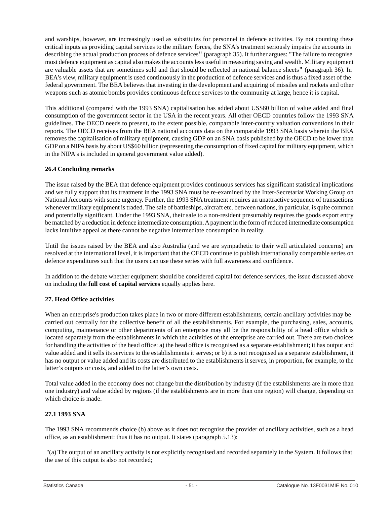<span id="page-51-0"></span>and warships, however, are increasingly used as substitutes for personnel in defence activities. By not counting these critical inputs as providing capital services to the military forces, the SNA's treatment seriously impairs the accounts in describing the actual production process of defence services" (paragraph 35). It further argues: "The failure to recognise most defence equipment as capital also makes the accounts less useful in measuring saving and wealth. Military equipment are valuable assets that are sometimes sold and that should be reflected in national balance sheets" (paragraph 36). In BEA's view, military equipment is used continuously in the production of defence services and is thus a fixed asset of the federal government. The BEA believes that investing in the development and acquiring of missiles and rockets and other weapons such as atomic bombs provides continuous defence services to the community at large, hence it is capital.

This additional (compared with the 1993 SNA) capitalisation has added about US\$60 billion of value added and final consumption of the government sector in the USA in the recent years. All other OECD countries follow the 1993 SNA guidelines. The OECD needs to present, to the extent possible, comparable inter-country valuation conventions in their reports. The OECD receives from the BEA national accounts data on the comparable 1993 SNA basis wherein the BEA removes the capitalisation of military equipment, causing GDP on an SNA basis published by the OECD to be lower than GDP on a NIPA basis by about US\$60 billion (representing the consumption of fixed capital for military equipment, which in the NIPA's is included in general government value added).

#### **26.4 Concluding remarks**

The issue raised by the BEA that defence equipment provides continuous services has significant statistical implications and we fully support that its treatment in the 1993 SNA must be re-examined by the Inter-Secretariat Working Group on National Accounts with some urgency. Further, the 1993 SNA treatment requires an unattractive sequence of transactions whenever military equipment is traded. The sale of battleships, aircraft etc. between nations, in particular, is quite common and potentially significant. Under the 1993 SNA, their sale to a non-resident presumably requires the goods export entry be matched by a reduction in defence intermediate consumption. A payment in the form of reduced intermediate consumption lacks intuitive appeal as there cannot be negative intermediate consumption in reality.

Until the issues raised by the BEA and also Australia (and we are sympathetic to their well articulated concerns) are resolved at the international level, it is important that the OECD continue to publish internationally comparable series on defence expenditures such that the users can use these series with full awareness and confidence.

In addition to the debate whether equipment should be considered capital for defence services, the issue discussed above on including the **full cost of capital services** equally applies here.

# **27. Head Office activities**

When an enterprise's production takes place in two or more different establishments, certain ancillary activities may be carried out centrally for the collective benefit of all the establishments. For example, the purchasing, sales, accounts, computing, maintenance or other departments of an enterprise may all be the responsibility of a head office which is located separately from the establishments in which the activities of the enterprise are carried out. There are two choices for handling the activities of the head office: a) the head office is recognised as a separate establishment; it has output and value added and it sells its services to the establishments it serves; or b) it is not recognised as a separate establishment, it has no output or value added and its costs are distributed to the establishments it serves, in proportion, for example, to the latter's outputs or costs, and added to the latter's own costs.

Total value added in the economy does not change but the distribution by industry (if the establishments are in more than one industry) and value added by regions (if the establishments are in more than one region) will change, depending on which choice is made.

# **27.1 1993 SNA**

The 1993 SNA recommends choice (b) above as it does not recognise the provider of ancillary activities, such as a head office, as an establishment: thus it has no output. It states (paragraph 5.13):

 "(a) The output of an ancillary activity is not explicitly recognised and recorded separately in the System. It follows that the use of this output is also not recorded;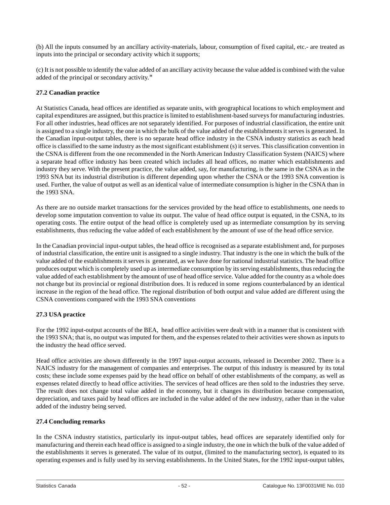(b) All the inputs consumed by an ancillary activity-materials, labour, consumption of fixed capital, etc.- are treated as inputs into the principal or secondary activity which it supports;

(c) It is not possible to identify the value added of an ancillary activity because the value added is combined with the value added of the principal or secondary activity."

#### **27.2 Canadian practice**

At Statistics Canada, head offices are identified as separate units, with geographical locations to which employment and capital expenditures are assigned, but this practice is limited to establishment-based surveys for manufacturing industries. For all other industries, head offices are not separately identified. For purposes of industrial classification, the entire unit is assigned to a single industry, the one in which the bulk of the value added of the establishments it serves is generated. In the Canadian input-output tables, there is no separate head office industry in the CSNA industry statistics as each head office is classified to the same industry as the most significant establishment (s) it serves. This classification convention in the CSNA is different from the one recommended in the North American Industry Classification System (NAICS) where a separate head office industry has been created which includes all head offices, no matter which establishments and industry they serve. With the present practice, the value added, say, for manufacturing, is the same in the CSNA as in the 1993 SNA but its industrial distribution is different depending upon whether the CSNA or the 1993 SNA convention is used. Further, the value of output as well as an identical value of intermediate consumption is higher in the CSNA than in the 1993 SNA.

As there are no outside market transactions for the services provided by the head office to establishments, one needs to develop some imputation convention to value its output. The value of head office output is equated, in the CSNA, to its operating costs. The entire output of the head office is completely used up as intermediate consumption by its serving establishments, thus reducing the value added of each establishment by the amount of use of the head office service.

In the Canadian provincial input-output tables, the head office is recognised as a separate establishment and, for purposes of industrial classification, the entire unit is assigned to a single industry. That industry is the one in which the bulk of the value added of the establishments it serves is generated, as we have done for national industrial statistics. The head office produces output which is completely used up as intermediate consumption by its serving establishments, thus reducing the value added of each establishment by the amount of use of head office service. Value added for the country as a whole does not change but its provincial or regional distribution does. It is reduced in some regions counterbalanced by an identical increase in the region of the head office. The regional distribution of both output and value added are different using the CSNA conventions compared with the 1993 SNA conventions

#### **27.3 USA practice**

For the 1992 input-output accounts of the BEA, head office activities were dealt with in a manner that is consistent with the 1993 SNA; that is, no output was imputed for them, and the expenses related to their activities were shown as inputs to the industry the head office served.

Head office activities are shown differently in the 1997 input-output accounts, released in December 2002. There is a NAICS industry for the management of companies and enterprises. The output of this industry is measured by its total costs; these include some expenses paid by the head office on behalf of other establishments of the company, as well as expenses related directly to head office activities. The services of head offices are then sold to the industries they serve. The result does not change total value added in the economy, but it changes its distribution because compensation, depreciation, and taxes paid by head offices are included in the value added of the new industry, rather than in the value added of the industry being served.

#### **27.4 Concluding remarks**

In the CSNA industry statistics, particularly its input-output tables, head offices are separately identified only for manufacturing and therein each head office is assigned to a single industry, the one in which the bulk of the value added of the establishments it serves is generated. The value of its output, (limited to the manufacturing sector), is equated to its operating expenses and is fully used by its serving establishments. In the United States, for the 1992 input-output tables,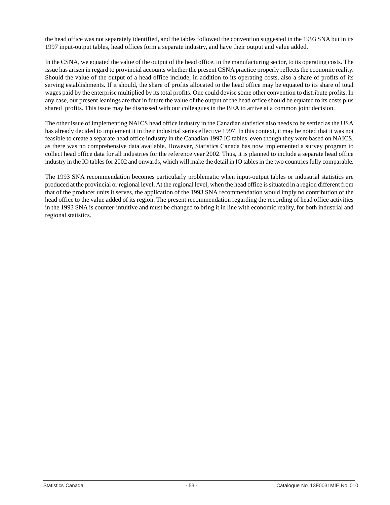the head office was not separately identified, and the tables followed the convention suggested in the 1993 SNA but in its 1997 input-output tables, head offices form a separate industry, and have their output and value added.

In the CSNA, we equated the value of the output of the head office, in the manufacturing sector, to its operating costs. The issue has arisen in regard to provincial accounts whether the present CSNA practice properly reflects the economic reality. Should the value of the output of a head office include, in addition to its operating costs, also a share of profits of its serving establishments. If it should, the share of profits allocated to the head office may be equated to its share of total wages paid by the enterprise multiplied by its total profits. One could devise some other convention to distribute profits. In any case, our present leanings are that in future the value of the output of the head office should be equated to its costs plus shared profits. This issue may be discussed with our colleagues in the BEA to arrive at a common joint decision.

The other issue of implementing NAICS head office industry in the Canadian statistics also needs to be settled as the USA has already decided to implement it in their industrial series effective 1997. In this context, it may be noted that it was not feasible to create a separate head office industry in the Canadian 1997 IO tables, even though they were based on NAICS, as there was no comprehensive data available. However, Statistics Canada has now implemented a survey program to collect head office data for all industries for the reference year 2002. Thus, it is planned to include a separate head office industry in the IO tables for 2002 and onwards, which will make the detail in IO tables in the two countries fully comparable.

The 1993 SNA recommendation becomes particularly problematic when input-output tables or industrial statistics are produced at the provincial or regional level. At the regional level, when the head office is situated in a region different from that of the producer units it serves, the application of the 1993 SNA recommendation would imply no contribution of the head office to the value added of its region. The present recommendation regarding the recording of head office activities in the 1993 SNA is counter-intuitive and must be changed to bring it in line with economic reality, for both industrial and regional statistics.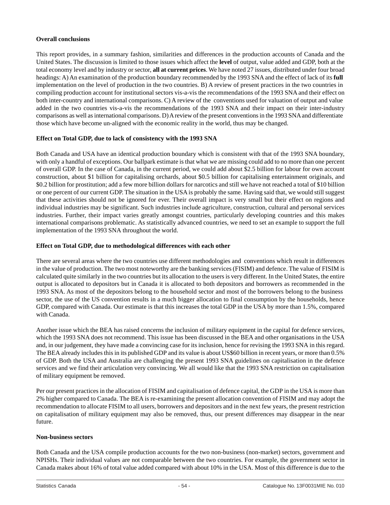#### <span id="page-54-0"></span>**Overall conclusions**

This report provides, in a summary fashion, similarities and differences in the production accounts of Canada and the United States. The discussion is limited to those issues which affect the **level** of output, value added and GDP, both at the total economy level and by industry or sector, **all at current prices**. We have noted 27 issues, distributed under four broad headings: A) An examination of the production boundary recommended by the 1993 SNA and the effect of lack of its **full** implementation on the level of production in the two countries. B) A review of present practices in the two countries in compiling production account for institutional sectors vis-a-vis the recommendations of the 1993 SNA and their effect on both inter-country and international comparisons. C) A review of the conventions used for valuation of output and value added in the two countries vis-a-vis the recommendations of the 1993 SNA and their impact on their inter-industry comparisons as well as international comparisons. D) A review of the present conventions in the 1993 SNA and differentiate those which have become un-aligned with the economic reality in the world, thus may be changed.

# **Effect on Total GDP, due to lack of consistency with the 1993 SNA**

Both Canada and USA have an identical production boundary which is consistent with that of the 1993 SNA boundary, with only a handful of exceptions. Our ballpark estimate is that what we are missing could add to no more than one percent of overall GDP. In the case of Canada, in the current period, we could add about \$2.5 billion for labour for own account construction, about \$1 billion for capitalising orchards, about \$0.5 billion for capitalising entertainment originals, and \$0.2 billion for prostitution; add a few more billion dollars for narcotics and still we have not reached a total of \$10 billion or one percent of our current GDP. The situation in the USA is probably the same. Having said that, we would still suggest that these activities should not be ignored for ever. Their overall impact is very small but their effect on regions and individual industries may be significant. Such industries include agriculture, construction, cultural and personal services industries. Further, their impact varies greatly amongst countries, particularly developing countries and this makes international comparisons problematic. As statistically advanced countries, we need to set an example to support the full implementation of the 1993 SNA throughout the world.

#### **Effect on Total GDP, due to methodological differences with each other**

There are several areas where the two countries use different methodologies and conventions which result in differences in the value of production. The two most noteworthy are the banking services (FISIM) and defence. The value of FISIM is calculated quite similarly in the two countries but its allocation to the users is very different. In the United States, the entire output is allocated to depositors but in Canada it is allocated to both depositors and borrowers as recommended in the 1993 SNA. As most of the depositors belong to the household sector and most of the borrowers belong to the business sector, the use of the US convention results in a much bigger allocation to final consumption by the households, hence GDP, compared with Canada. Our estimate is that this increases the total GDP in the USA by more than 1.5%, compared with Canada.

Another issue which the BEA has raised concerns the inclusion of military equipment in the capital for defence services, which the 1993 SNA does not recommend. This issue has been discussed in the BEA and other organisations in the USA and, in our judgement, they have made a convincing case for its inclusion, hence for revising the 1993 SNA in this regard. The BEA already includes this in its published GDP and its value is about US\$60 billion in recent years, or more than 0.5% of GDP. Both the USA and Australia are challenging the present 1993 SNA guidelines on capitalisation in the defence services and we find their articulation very convincing. We all would like that the 1993 SNA restriction on capitalisation of military equipment be removed.

Per our present practices in the allocation of FISIM and capitalisation of defence capital, the GDP in the USA is more than 2% higher compared to Canada. The BEA is re-examining the present allocation convention of FISIM and may adopt the recommendation to allocate FISIM to all users, borrowers and depositors and in the next few years, the present restriction on capitalisation of military equipment may also be removed, thus, our present differences may disappear in the near future.

#### **Non-business sectors**

Both Canada and the USA compile production accounts for the two non-business (non-market) sectors, government and NPISHs. Their individual values are not comparable between the two countries. For example, the government sector in Canada makes about 16% of total value added compared with about 10% in the USA. Most of this difference is due to the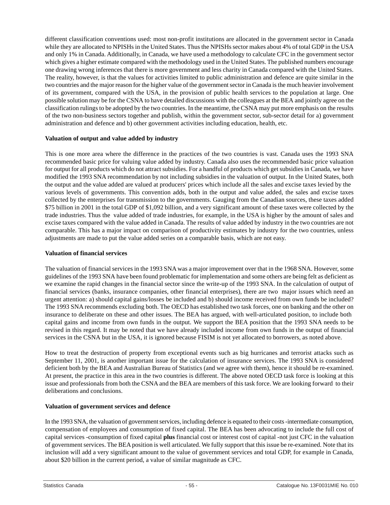different classification conventions used: most non-profit institutions are allocated in the government sector in Canada while they are allocated to NPISHs in the United States. Thus the NPISHs sector makes about 4% of total GDP in the USA and only 1% in Canada. Additionally, in Canada, we have used a methodology to calculate CFC in the government sector which gives a higher estimate compared with the methodology used in the United States. The published numbers encourage one drawing wrong inferences that there is more government and less charity in Canada compared with the United States. The reality, however, is that the values for activities limited to public administration and defence are quite similar in the two countries and the major reason for the higher value of the government sector in Canada is the much heavier involvement of its government, compared with the USA, in the provision of public health services to the population at large. One possible solution may be for the CSNA to have detailed discussions with the colleagues at the BEA and jointly agree on the classification rulings to be adopted by the two countries. In the meantime, the CSNA may put more emphasis on the results of the two non-business sectors together and publish, within the government sector, sub-sector detail for a) government administration and defence and b) other government activities including education, health, etc.

# **Valuation of output and value added by industry**

This is one more area where the difference in the practices of the two countries is vast. Canada uses the 1993 SNA recommended basic price for valuing value added by industry. Canada also uses the recommended basic price valuation for output for all products which do not attract subsidies. For a handful of products which get subsidies in Canada, we have modified the 1993 SNA recommendation by not including subsidies in the valuation of output. In the United States, both the output and the value added are valued at producers' prices which include all the sales and excise taxes levied by the various levels of governments. This convention adds, both in the output and value added, the sales and excise taxes collected by the enterprises for transmission to the governments. Gauging from the Canadian sources, these taxes added \$75 billion in 2001 in the total GDP of \$1,092 billion, and a very significant amount of these taxes were collected by the trade industries. Thus the value added of trade industries, for example, in the USA is higher by the amount of sales and excise taxes compared with the value added in Canada. The results of value added by industry in the two countries are not comparable. This has a major impact on comparison of productivity estimates by industry for the two countries, unless adjustments are made to put the value added series on a comparable basis, which are not easy.

#### **Valuation of financial services**

The valuation of financial services in the 1993 SNA was a major improvement over that in the 1968 SNA. However, some guidelines of the 1993 SNA have been found problematic for implementation and some others are being felt as deficient as we examine the rapid changes in the financial sector since the write-up of the 1993 SNA. In the calculation of output of financial services (banks, insurance companies, other financial enterprises), there are two major issues which need an urgent attention: a) should capital gains/losses be included and b) should income received from own funds be included? The 1993 SNA recommends excluding both. The OECD has established two task forces, one on banking and the other on insurance to deliberate on these and other issues. The BEA has argued, with well-articulated position, to include both capital gains and income from own funds in the output. We support the BEA position that the 1993 SNA needs to be revised in this regard. It may be noted that we have already included income from own funds in the output of financial services in the CSNA but in the USA, it is ignored because FISIM is not yet allocated to borrowers, as noted above.

How to treat the destruction of property from exceptional events such as big hurricanes and terrorist attacks such as September 11, 2001, is another important issue for the calculation of insurance services. The 1993 SNA is considered deficient both by the BEA and Australian Bureau of Statistics (and we agree with them), hence it should be re-examined. At present, the practice in this area in the two countries is different. The above noted OECD task force is looking at this issue and professionals from both the CSNA and the BEA are members of this task force. We are looking forward to their deliberations and conclusions.

# **Valuation of government services and defence**

In the 1993 SNA, the valuation of government services, including defence is equated to their costs -intermediate consumption, compensation of employees and consumption of fixed capital. The BEA has been advocating to include the full cost of capital services -consumption of fixed capital **plus** financial cost or interest cost of capital -not just CFC in the valuation of government services. The BEA position is well articulated. We fully support that this issue be re-examined. Note that its inclusion will add a very significant amount to the value of government services and total GDP, for example in Canada, about \$20 billion in the current period, a value of similar magnitude as CFC.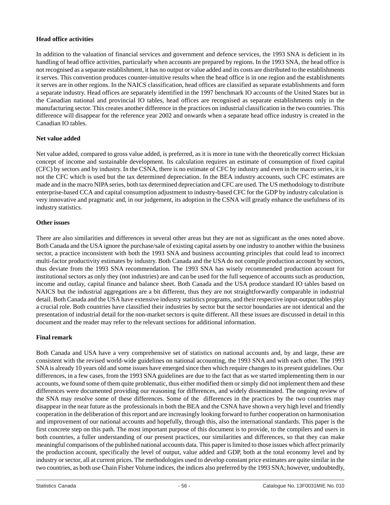#### **Head office activities**

In addition to the valuation of financial services and government and defence services, the 1993 SNA is deficient in its handling of head office activities, particularly when accounts are prepared by regions. In the 1993 SNA, the head office is not recognised as a separate establishment, it has no output or value added and its costs are distributed to the establishments it serves. This convention produces counter-intuitive results when the head office is in one region and the establishments it serves are in other regions. In the NAICS classification, head offices are classified as separate establishments and form a separate industry. Head offices are separately identified in the 1997 benchmark IO accounts of the United States but in the Canadian national and provincial IO tables, head offices are recognised as separate establishments only in the manufacturing sector. This creates another difference in the practices on industrial classification in the two countries. This difference will disappear for the reference year 2002 and onwards when a separate head office industry is created in the Canadian IO tables.

# **Net value added**

Net value added, compared to gross value added, is preferred, as it is more in tune with the theoretically correct Hicksian concept of income and sustainable development. Its calculation requires an estimate of consumption of fixed capital (CFC) by sectors and by industry. In the CSNA, there is no estimate of CFC by industry and even in the macro series, it is not the CFC which is used but the tax determined depreciation. In the BEA industry accounts, such CFC estimates are made and in the macro NIPA series, both tax determined depreciation and CFC are used. The US methodology to distribute enterprise-based CCA and capital consumption adjustment to industry-based CFC for the GDP by industry calculation is very innovative and pragmatic and, in our judgement, its adoption in the CSNA will greatly enhance the usefulness of its industry statistics.

#### **Other issues**

There are also similarities and differences in several other areas but they are not as significant as the ones noted above. Both Canada and the USA ignore the purchase/sale of existing capital assets by one industry to another within the business sector, a practice inconsistent with both the 1993 SNA and business accounting principles that could lead to incorrect multi-factor productivity estimates by industry. Both Canada and the USA do not compile production account by sectors, thus deviate from the 1993 SNA recommendation. The 1993 SNA has wisely recommended production account for institutional sectors as only they (not industries) are and can be used for the full sequence of accounts such as production, income and outlay, capital finance and balance sheet. Both Canada and the USA produce standard IO tables based on NAICS but the industrial aggregations are a bit different, thus they are not straightforwardly comparable in industrial detail. Both Canada and the USA have extensive industry statistics programs, and their respective input-output tables play a crucial role. Both countries have classified their industries by sector but the sector boundaries are not identical and the presentation of industrial detail for the non-market sectors is quite different. All these issues are discussed in detail in this document and the reader may refer to the relevant sections for additional information.

# **Final remark**

Both Canada and USA have a very comprehensive set of statistics on national accounts and, by and large, these are consistent with the revised world-wide guidelines on national accounting, the 1993 SNA and with each other. The 1993 SNAis already 10 years old and some issues have emerged since then which require changes to its present guidelines. Our differences, in a few cases, from the 1993 SNA guidelines are due to the fact that as we started implementing them in our accounts, we found some of them quite problematic, thus either modified them or simply did not implement them and these differences were documented providing our reasoning for differences, and widely disseminated. The ongoing review of the SNA may resolve some of these differences. Some of the differences in the practices by the two countries may disappear in the near future as the professionals in both the BEA and the CSNA have shown a very high level and friendly cooperation in the deliberation of this report and are increasingly looking forward to further cooperation on harmonisation and improvement of our national accounts and hopefully, through this, also the international standards. This paper is the first concrete step on this path. The most important purpose of this document is to provide, to the compilers and users in both countries, a fuller understanding of our present practices, our similarities and differences, so that they can make meaningful comparisons of the published national accounts data. This paper is limited to those issues which affect primarily the production account, specifically the level of output, value added and GDP, both at the total economy level and by industry or sector, all at current prices. The methodologies used to develop constant price estimates are quite similar in the two countries, as both use Chain Fisher Volume indices, the indices also preferred by the 1993 SNA; however, undoubtedly,